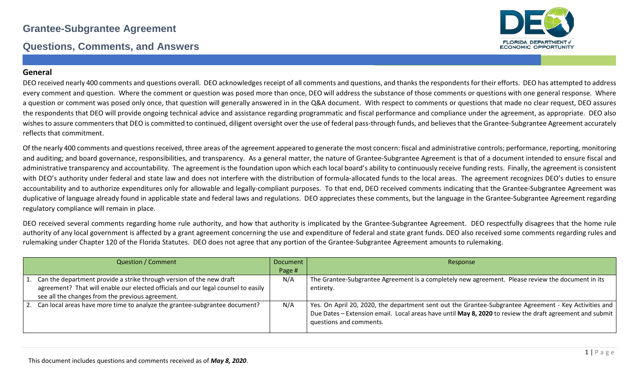#### **Questions, Comments, and Answers**



#### **General**

DEO received nearly 400 comments and questions overall. DEO acknowledges receipt of all comments and questions, and thanks the respondents for their efforts. DEO has attempted to address every comment and question. Where the comment or question was posed more than once, DEO will address the substance of those comments or questions with one general response. Where a question or comment was posed only once, that question will generally answered in in the Q&A document. With respect to comments or questions that made no clear request, DEO assures the respondents that DEO will provide ongoing technical advice and assistance regarding programmatic and fiscal performance and compliance under the agreement, as appropriate. DEO also wishes to assure commenters that DEO is committed to continued, diligent oversight over the use of federal pass-through funds, and believes that the Grantee-Subgrantee Agreement accurately reflects that commitment.

Of the nearly 400 comments and questions received, three areas of the agreement appeared to generate the most concern: fiscal and administrative controls; performance, reporting, monitoring and auditing; and board governance, responsibilities, and transparency. As a general matter, the nature of Grantee-Subgrantee Agreement is that of a document intended to ensure fiscal and administrative transparency and accountability. The agreement is the foundation upon which each local board's ability to continuously receive funding rests. Finally, the agreement is consistent with DEO's authority under federal and state law and does not interfere with the distribution of formula-allocated funds to the local areas. The agreement recognizes DEO's duties to ensure accountability and to authorize expenditures only for allowable and legally-compliant purposes. To that end, DEO received comments indicating that the Grantee-Subgrantee Agreement was duplicative of language already found in applicable state and federal laws and regulations. DEO appreciates these comments, but the language in the Grantee-Subgrantee Agreement regarding regulatory compliance will remain in place.

DEO received several comments regarding home rule authority, and how that authority is implicated by the Grantee-Subgrantee Agreement. DEO respectfully disagrees that the home rule authority of any local government is affected by a grant agreement concerning the use and expenditure of federal and state grant funds. DEO also received some comments regarding rules and rulemaking under Chapter 120 of the Florida Statutes. DEO does not agree that any portion of the Grantee-Subgrantee Agreement amounts to rulemaking.

| <b>Question / Comment</b>                                                                                                                                                                                        | Document | Response                                                                                                                                                                                                                                     |
|------------------------------------------------------------------------------------------------------------------------------------------------------------------------------------------------------------------|----------|----------------------------------------------------------------------------------------------------------------------------------------------------------------------------------------------------------------------------------------------|
|                                                                                                                                                                                                                  | Page #   |                                                                                                                                                                                                                                              |
| 1. Can the department provide a strike through version of the new draft<br>agreement? That will enable our elected officials and our legal counsel to easily<br>see all the changes from the previous agreement. | N/A      | The Grantee-Subgrantee Agreement is a completely new agreement. Please review the document in its<br>entirety.                                                                                                                               |
| 2. Can local areas have more time to analyze the grantee-subgrantee document?                                                                                                                                    | N/A      | Yes. On April 20, 2020, the department sent out the Grantee-Subgrantee Agreement - Key Activities and<br>Due Dates - Extension email. Local areas have until May 8, 2020 to review the draft agreement and submit<br>questions and comments. |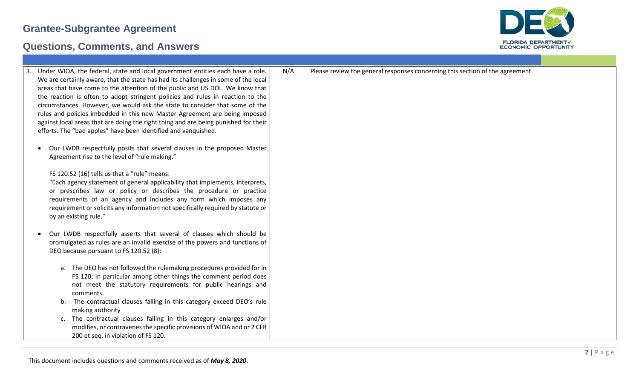

| Under WIOA, the federal, state and local government entities each have a role.      | N/A | Please review the general responses concerning this section of the agreement. |
|-------------------------------------------------------------------------------------|-----|-------------------------------------------------------------------------------|
| We are certainly aware, that the state has had its challenges in some of the local  |     |                                                                               |
| areas that have come to the attention of the public and US DOL. We know that        |     |                                                                               |
| the reaction is often to adopt stringent policies and rules in reaction to the      |     |                                                                               |
| circumstances. However, we would ask the state to consider that some of the         |     |                                                                               |
| rules and policies imbedded in this new Master Agreement are being imposed          |     |                                                                               |
| against local areas that are doing the right thing and are being punished for their |     |                                                                               |
|                                                                                     |     |                                                                               |
| efforts. The "bad apples" have been identified and vanquished.                      |     |                                                                               |
|                                                                                     |     |                                                                               |
| Our LWDB respectfully posits that several clauses in the proposed Master            |     |                                                                               |
| Agreement rise to the level of "rule making."                                       |     |                                                                               |
|                                                                                     |     |                                                                               |
| FS 120.52 (16) tells us that a "rule" means:                                        |     |                                                                               |
| "Each agency statement of general applicability that implements, interprets,        |     |                                                                               |
| or prescribes law or policy or describes the procedure or practice                  |     |                                                                               |
| requirements of an agency and includes any form which imposes any                   |     |                                                                               |
| requirement or solicits any information not specifically required by statute or     |     |                                                                               |
| by an existing rule."                                                               |     |                                                                               |
|                                                                                     |     |                                                                               |
| Our LWDB respectfully asserts that several of clauses which should be               |     |                                                                               |
| promulgated as rules are an invalid exercise of the powers and functions of         |     |                                                                               |
| DEO because pursuant to FS 120.52 (8):                                              |     |                                                                               |
|                                                                                     |     |                                                                               |
| a. The DEO has not followed the rulemaking procedures provided for in               |     |                                                                               |
| FS 120; In particular among other things the comment period does                    |     |                                                                               |
| not meet the statutory requirements for public hearings and                         |     |                                                                               |
| comments.                                                                           |     |                                                                               |
|                                                                                     |     |                                                                               |
| b. The contractual clauses falling in this category exceed DEO's rule               |     |                                                                               |
| making authority                                                                    |     |                                                                               |
| c. The contractual clauses falling in this category enlarges and/or                 |     |                                                                               |
| modifies, or contravenes the specific provisions of WIOA and or 2 CFR               |     |                                                                               |
| 200 et seq. in violation of FS 120.                                                 |     |                                                                               |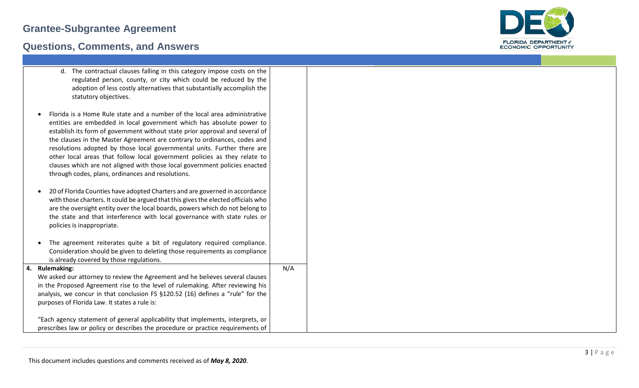

| d. The contractual clauses falling in this category impose costs on the<br>regulated person, county, or city which could be reduced by the<br>adoption of less costly alternatives that substantially accomplish the<br>statutory objectives.                                                                                                                                                                                                                                                                                                                                                                |     |
|--------------------------------------------------------------------------------------------------------------------------------------------------------------------------------------------------------------------------------------------------------------------------------------------------------------------------------------------------------------------------------------------------------------------------------------------------------------------------------------------------------------------------------------------------------------------------------------------------------------|-----|
| Florida is a Home Rule state and a number of the local area administrative<br>entities are embedded in local government which has absolute power to<br>establish its form of government without state prior approval and several of<br>the clauses in the Master Agreement are contrary to ordinances, codes and<br>resolutions adopted by those local governmental units. Further there are<br>other local areas that follow local government policies as they relate to<br>clauses which are not aligned with those local government policies enacted<br>through codes, plans, ordinances and resolutions. |     |
| 20 of Florida Counties have adopted Charters and are governed in accordance<br>with those charters. It could be argued that this gives the elected officials who<br>are the oversight entity over the local boards, powers which do not belong to<br>the state and that interference with local governance with state rules or<br>policies is inappropriate.                                                                                                                                                                                                                                                 |     |
| The agreement reiterates quite a bit of regulatory required compliance.<br>Consideration should be given to deleting those requirements as compliance<br>is already covered by those regulations.                                                                                                                                                                                                                                                                                                                                                                                                            |     |
| <b>Rulemaking:</b><br>We asked our attorney to review the Agreement and he believes several clauses                                                                                                                                                                                                                                                                                                                                                                                                                                                                                                          | N/A |
| in the Proposed Agreement rise to the level of rulemaking. After reviewing his<br>analysis, we concur in that conclusion FS §120.52 (16) defines a "rule" for the<br>purposes of Florida Law. It states a rule is:                                                                                                                                                                                                                                                                                                                                                                                           |     |
| "Each agency statement of general applicability that implements, interprets, or<br>prescribes law or policy or describes the procedure or practice requirements of                                                                                                                                                                                                                                                                                                                                                                                                                                           |     |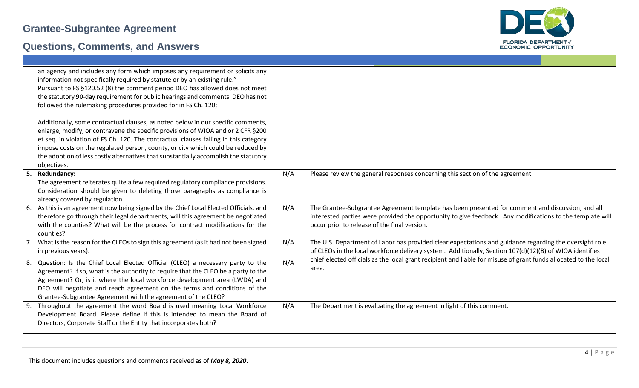

|     | an agency and includes any form which imposes any requirement or solicits any<br>information not specifically required by statute or by an existing rule."<br>Pursuant to FS §120.52 (8) the comment period DEO has allowed does not meet<br>the statutory 90-day requirement for public hearings and comments. DEO has not<br>followed the rulemaking procedures provided for in FS Ch. 120;<br>Additionally, some contractual clauses, as noted below in our specific comments,<br>enlarge, modify, or contravene the specific provisions of WIOA and or 2 CFR §200<br>et seq. in violation of FS Ch. 120. The contractual clauses falling in this category<br>impose costs on the regulated person, county, or city which could be reduced by<br>the adoption of less costly alternatives that substantially accomplish the statutory<br>objectives. |     |                                                                                                                           |
|-----|---------------------------------------------------------------------------------------------------------------------------------------------------------------------------------------------------------------------------------------------------------------------------------------------------------------------------------------------------------------------------------------------------------------------------------------------------------------------------------------------------------------------------------------------------------------------------------------------------------------------------------------------------------------------------------------------------------------------------------------------------------------------------------------------------------------------------------------------------------|-----|---------------------------------------------------------------------------------------------------------------------------|
| 5.  | Redundancy:                                                                                                                                                                                                                                                                                                                                                                                                                                                                                                                                                                                                                                                                                                                                                                                                                                             | N/A | Please review the general responses concerning this section of the agreement.                                             |
|     | The agreement reiterates quite a few required regulatory compliance provisions.                                                                                                                                                                                                                                                                                                                                                                                                                                                                                                                                                                                                                                                                                                                                                                         |     |                                                                                                                           |
|     | Consideration should be given to deleting those paragraphs as compliance is                                                                                                                                                                                                                                                                                                                                                                                                                                                                                                                                                                                                                                                                                                                                                                             |     |                                                                                                                           |
|     | already covered by regulation.                                                                                                                                                                                                                                                                                                                                                                                                                                                                                                                                                                                                                                                                                                                                                                                                                          |     |                                                                                                                           |
|     | As this is an agreement now being signed by the Chief Local Elected Officials, and                                                                                                                                                                                                                                                                                                                                                                                                                                                                                                                                                                                                                                                                                                                                                                      | N/A | The Grantee-Subgrantee Agreement template has been presented for comment and discussion, and all                          |
|     | therefore go through their legal departments, will this agreement be negotiated                                                                                                                                                                                                                                                                                                                                                                                                                                                                                                                                                                                                                                                                                                                                                                         |     | interested parties were provided the opportunity to give feedback. Any modifications to the template will                 |
|     | with the counties? What will be the process for contract modifications for the<br>counties?                                                                                                                                                                                                                                                                                                                                                                                                                                                                                                                                                                                                                                                                                                                                                             |     | occur prior to release of the final version.                                                                              |
|     | What is the reason for the CLEOs to sign this agreement (as it had not been signed                                                                                                                                                                                                                                                                                                                                                                                                                                                                                                                                                                                                                                                                                                                                                                      | N/A | The U.S. Department of Labor has provided clear expectations and guidance regarding the oversight role                    |
|     | in previous years).                                                                                                                                                                                                                                                                                                                                                                                                                                                                                                                                                                                                                                                                                                                                                                                                                                     |     | of CLEOs in the local workforce delivery system. Additionally, Section 107(d)(12)(B) of WIOA identifies                   |
| -8. | Question: Is the Chief Local Elected Official (CLEO) a necessary party to the                                                                                                                                                                                                                                                                                                                                                                                                                                                                                                                                                                                                                                                                                                                                                                           | N/A | chief elected officials as the local grant recipient and liable for misuse of grant funds allocated to the local<br>area. |
|     | Agreement? If so, what is the authority to require that the CLEO be a party to the                                                                                                                                                                                                                                                                                                                                                                                                                                                                                                                                                                                                                                                                                                                                                                      |     |                                                                                                                           |
|     | Agreement? Or, is it where the local workforce development area (LWDA) and                                                                                                                                                                                                                                                                                                                                                                                                                                                                                                                                                                                                                                                                                                                                                                              |     |                                                                                                                           |
|     | DEO will negotiate and reach agreement on the terms and conditions of the                                                                                                                                                                                                                                                                                                                                                                                                                                                                                                                                                                                                                                                                                                                                                                               |     |                                                                                                                           |
| -9. | Grantee-Subgrantee Agreement with the agreement of the CLEO?<br>Throughout the agreement the word Board is used meaning Local Workforce                                                                                                                                                                                                                                                                                                                                                                                                                                                                                                                                                                                                                                                                                                                 | N/A | The Department is evaluating the agreement in light of this comment.                                                      |
|     | Development Board. Please define if this is intended to mean the Board of                                                                                                                                                                                                                                                                                                                                                                                                                                                                                                                                                                                                                                                                                                                                                                               |     |                                                                                                                           |
|     | Directors, Corporate Staff or the Entity that incorporates both?                                                                                                                                                                                                                                                                                                                                                                                                                                                                                                                                                                                                                                                                                                                                                                                        |     |                                                                                                                           |
|     |                                                                                                                                                                                                                                                                                                                                                                                                                                                                                                                                                                                                                                                                                                                                                                                                                                                         |     |                                                                                                                           |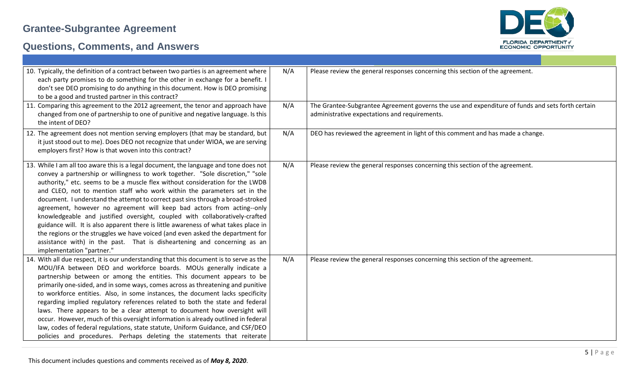

| 10. Typically, the definition of a contract between two parties is an agreement where<br>each party promises to do something for the other in exchange for a benefit. I<br>don't see DEO promising to do anything in this document. How is DEO promising<br>to be a good and trusted partner in this contract?                                                                                                                                                                                                                                                                                                                                                                                                                                                                                                                                                     | N/A | Please review the general responses concerning this section of the agreement.                                                                     |
|--------------------------------------------------------------------------------------------------------------------------------------------------------------------------------------------------------------------------------------------------------------------------------------------------------------------------------------------------------------------------------------------------------------------------------------------------------------------------------------------------------------------------------------------------------------------------------------------------------------------------------------------------------------------------------------------------------------------------------------------------------------------------------------------------------------------------------------------------------------------|-----|---------------------------------------------------------------------------------------------------------------------------------------------------|
| 11. Comparing this agreement to the 2012 agreement, the tenor and approach have<br>changed from one of partnership to one of punitive and negative language. Is this<br>the intent of DEO?                                                                                                                                                                                                                                                                                                                                                                                                                                                                                                                                                                                                                                                                         | N/A | The Grantee-Subgrantee Agreement governs the use and expenditure of funds and sets forth certain<br>administrative expectations and requirements. |
| 12. The agreement does not mention serving employers (that may be standard, but<br>it just stood out to me). Does DEO not recognize that under WIOA, we are serving<br>employers first? How is that woven into this contract?                                                                                                                                                                                                                                                                                                                                                                                                                                                                                                                                                                                                                                      | N/A | DEO has reviewed the agreement in light of this comment and has made a change.                                                                    |
| 13. While I am all too aware this is a legal document, the language and tone does not<br>convey a partnership or willingness to work together. "Sole discretion," "sole<br>authority," etc. seems to be a muscle flex without consideration for the LWDB<br>and CLEO, not to mention staff who work within the parameters set in the<br>document. I understand the attempt to correct past sins through a broad-stroked<br>agreement, however no agreement will keep bad actors from acting--only<br>knowledgeable and justified oversight, coupled with collaboratively-crafted<br>guidance will. It is also apparent there is little awareness of what takes place in<br>the regions or the struggles we have voiced (and even asked the department for<br>assistance with) in the past. That is disheartening and concerning as an<br>implementation "partner." | N/A | Please review the general responses concerning this section of the agreement.                                                                     |
| 14. With all due respect, it is our understanding that this document is to serve as the<br>MOU/IFA between DEO and workforce boards. MOUs generally indicate a<br>partnership between or among the entities. This document appears to be<br>primarily one-sided, and in some ways, comes across as threatening and punitive<br>to workforce entities. Also, in some instances, the document lacks specificity<br>regarding implied regulatory references related to both the state and federal<br>laws. There appears to be a clear attempt to document how oversight will<br>occur. However, much of this oversight information is already outlined in federal<br>law, codes of federal regulations, state statute, Uniform Guidance, and CSF/DEO<br>policies and procedures. Perhaps deleting the statements that reiterate                                      | N/A | Please review the general responses concerning this section of the agreement.                                                                     |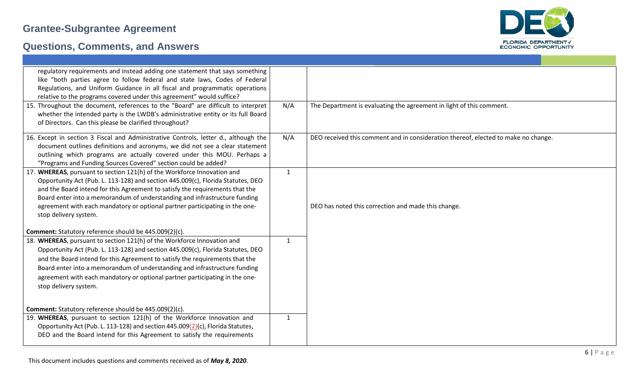

| regulatory requirements and instead adding one statement that says something<br>like "both parties agree to follow federal and state laws, Codes of Federal<br>Regulations, and Uniform Guidance in all fiscal and programmatic operations<br>relative to the programs covered under this agreement" would suffice?<br>15. Throughout the document, references to the "Board" are difficult to interpret<br>N/A<br>The Department is evaluating the agreement in light of this comment.<br>whether the intended party is the LWDB's administrative entity or its full Board<br>of Directors. Can this please be clarified throughout?<br>16. Except in section 3 Fiscal and Administrative Controls, letter d., although the<br>N/A<br>DEO received this comment and in consideration thereof, elected to make no change.<br>document outlines definitions and acronyms, we did not see a clear statement<br>outlining which programs are actually covered under this MOU. Perhaps a<br>"Programs and Funding Sources Covered" section could be added?<br>17. WHEREAS, pursuant to section 121(h) of the Workforce Innovation and<br>$\mathbf{1}$<br>Opportunity Act (Pub. L. 113-128) and section 445.009(c), Florida Statutes, DEO<br>and the Board intend for this Agreement to satisfy the requirements that the<br>Board enter into a memorandum of understanding and infrastructure funding |
|---------------------------------------------------------------------------------------------------------------------------------------------------------------------------------------------------------------------------------------------------------------------------------------------------------------------------------------------------------------------------------------------------------------------------------------------------------------------------------------------------------------------------------------------------------------------------------------------------------------------------------------------------------------------------------------------------------------------------------------------------------------------------------------------------------------------------------------------------------------------------------------------------------------------------------------------------------------------------------------------------------------------------------------------------------------------------------------------------------------------------------------------------------------------------------------------------------------------------------------------------------------------------------------------------------------------------------------------------------------------------------------------------|
|                                                                                                                                                                                                                                                                                                                                                                                                                                                                                                                                                                                                                                                                                                                                                                                                                                                                                                                                                                                                                                                                                                                                                                                                                                                                                                                                                                                                   |
|                                                                                                                                                                                                                                                                                                                                                                                                                                                                                                                                                                                                                                                                                                                                                                                                                                                                                                                                                                                                                                                                                                                                                                                                                                                                                                                                                                                                   |
|                                                                                                                                                                                                                                                                                                                                                                                                                                                                                                                                                                                                                                                                                                                                                                                                                                                                                                                                                                                                                                                                                                                                                                                                                                                                                                                                                                                                   |
|                                                                                                                                                                                                                                                                                                                                                                                                                                                                                                                                                                                                                                                                                                                                                                                                                                                                                                                                                                                                                                                                                                                                                                                                                                                                                                                                                                                                   |
|                                                                                                                                                                                                                                                                                                                                                                                                                                                                                                                                                                                                                                                                                                                                                                                                                                                                                                                                                                                                                                                                                                                                                                                                                                                                                                                                                                                                   |
|                                                                                                                                                                                                                                                                                                                                                                                                                                                                                                                                                                                                                                                                                                                                                                                                                                                                                                                                                                                                                                                                                                                                                                                                                                                                                                                                                                                                   |
|                                                                                                                                                                                                                                                                                                                                                                                                                                                                                                                                                                                                                                                                                                                                                                                                                                                                                                                                                                                                                                                                                                                                                                                                                                                                                                                                                                                                   |
|                                                                                                                                                                                                                                                                                                                                                                                                                                                                                                                                                                                                                                                                                                                                                                                                                                                                                                                                                                                                                                                                                                                                                                                                                                                                                                                                                                                                   |
|                                                                                                                                                                                                                                                                                                                                                                                                                                                                                                                                                                                                                                                                                                                                                                                                                                                                                                                                                                                                                                                                                                                                                                                                                                                                                                                                                                                                   |
|                                                                                                                                                                                                                                                                                                                                                                                                                                                                                                                                                                                                                                                                                                                                                                                                                                                                                                                                                                                                                                                                                                                                                                                                                                                                                                                                                                                                   |
|                                                                                                                                                                                                                                                                                                                                                                                                                                                                                                                                                                                                                                                                                                                                                                                                                                                                                                                                                                                                                                                                                                                                                                                                                                                                                                                                                                                                   |
|                                                                                                                                                                                                                                                                                                                                                                                                                                                                                                                                                                                                                                                                                                                                                                                                                                                                                                                                                                                                                                                                                                                                                                                                                                                                                                                                                                                                   |
|                                                                                                                                                                                                                                                                                                                                                                                                                                                                                                                                                                                                                                                                                                                                                                                                                                                                                                                                                                                                                                                                                                                                                                                                                                                                                                                                                                                                   |
|                                                                                                                                                                                                                                                                                                                                                                                                                                                                                                                                                                                                                                                                                                                                                                                                                                                                                                                                                                                                                                                                                                                                                                                                                                                                                                                                                                                                   |
|                                                                                                                                                                                                                                                                                                                                                                                                                                                                                                                                                                                                                                                                                                                                                                                                                                                                                                                                                                                                                                                                                                                                                                                                                                                                                                                                                                                                   |
|                                                                                                                                                                                                                                                                                                                                                                                                                                                                                                                                                                                                                                                                                                                                                                                                                                                                                                                                                                                                                                                                                                                                                                                                                                                                                                                                                                                                   |
| DEO has noted this correction and made this change.<br>agreement with each mandatory or optional partner participating in the one-                                                                                                                                                                                                                                                                                                                                                                                                                                                                                                                                                                                                                                                                                                                                                                                                                                                                                                                                                                                                                                                                                                                                                                                                                                                                |
| stop delivery system.                                                                                                                                                                                                                                                                                                                                                                                                                                                                                                                                                                                                                                                                                                                                                                                                                                                                                                                                                                                                                                                                                                                                                                                                                                                                                                                                                                             |
|                                                                                                                                                                                                                                                                                                                                                                                                                                                                                                                                                                                                                                                                                                                                                                                                                                                                                                                                                                                                                                                                                                                                                                                                                                                                                                                                                                                                   |
| <b>Comment:</b> Statutory reference should be 445.009(2)(c).<br>18. WHEREAS, pursuant to section 121(h) of the Workforce Innovation and<br>$\mathbf{1}$                                                                                                                                                                                                                                                                                                                                                                                                                                                                                                                                                                                                                                                                                                                                                                                                                                                                                                                                                                                                                                                                                                                                                                                                                                           |
|                                                                                                                                                                                                                                                                                                                                                                                                                                                                                                                                                                                                                                                                                                                                                                                                                                                                                                                                                                                                                                                                                                                                                                                                                                                                                                                                                                                                   |
| Opportunity Act (Pub. L. 113-128) and section 445.009(c), Florida Statutes, DEO                                                                                                                                                                                                                                                                                                                                                                                                                                                                                                                                                                                                                                                                                                                                                                                                                                                                                                                                                                                                                                                                                                                                                                                                                                                                                                                   |
| and the Board intend for this Agreement to satisfy the requirements that the                                                                                                                                                                                                                                                                                                                                                                                                                                                                                                                                                                                                                                                                                                                                                                                                                                                                                                                                                                                                                                                                                                                                                                                                                                                                                                                      |
| Board enter into a memorandum of understanding and infrastructure funding                                                                                                                                                                                                                                                                                                                                                                                                                                                                                                                                                                                                                                                                                                                                                                                                                                                                                                                                                                                                                                                                                                                                                                                                                                                                                                                         |
| agreement with each mandatory or optional partner participating in the one-                                                                                                                                                                                                                                                                                                                                                                                                                                                                                                                                                                                                                                                                                                                                                                                                                                                                                                                                                                                                                                                                                                                                                                                                                                                                                                                       |
| stop delivery system.                                                                                                                                                                                                                                                                                                                                                                                                                                                                                                                                                                                                                                                                                                                                                                                                                                                                                                                                                                                                                                                                                                                                                                                                                                                                                                                                                                             |
|                                                                                                                                                                                                                                                                                                                                                                                                                                                                                                                                                                                                                                                                                                                                                                                                                                                                                                                                                                                                                                                                                                                                                                                                                                                                                                                                                                                                   |
| Comment: Statutory reference should be 445.009(2)(c).                                                                                                                                                                                                                                                                                                                                                                                                                                                                                                                                                                                                                                                                                                                                                                                                                                                                                                                                                                                                                                                                                                                                                                                                                                                                                                                                             |
|                                                                                                                                                                                                                                                                                                                                                                                                                                                                                                                                                                                                                                                                                                                                                                                                                                                                                                                                                                                                                                                                                                                                                                                                                                                                                                                                                                                                   |
| 19. WHEREAS, pursuant to section 121(h) of the Workforce Innovation and<br>1<br>Opportunity Act (Pub. L. 113-128) and section 445.009(2)(c), Florida Statutes,                                                                                                                                                                                                                                                                                                                                                                                                                                                                                                                                                                                                                                                                                                                                                                                                                                                                                                                                                                                                                                                                                                                                                                                                                                    |
|                                                                                                                                                                                                                                                                                                                                                                                                                                                                                                                                                                                                                                                                                                                                                                                                                                                                                                                                                                                                                                                                                                                                                                                                                                                                                                                                                                                                   |
| DEO and the Board intend for this Agreement to satisfy the requirements                                                                                                                                                                                                                                                                                                                                                                                                                                                                                                                                                                                                                                                                                                                                                                                                                                                                                                                                                                                                                                                                                                                                                                                                                                                                                                                           |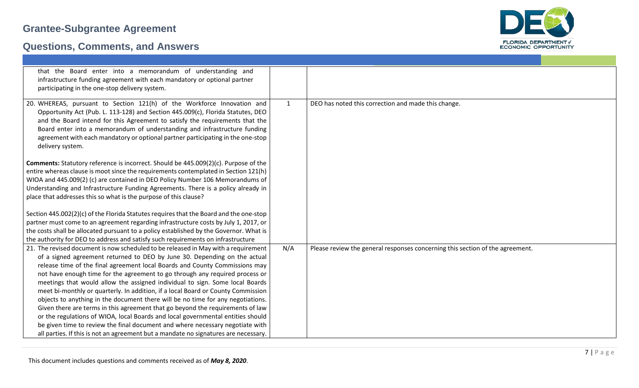

| that the Board enter into a memorandum of understanding and<br>infrastructure funding agreement with each mandatory or optional partner<br>participating in the one-stop delivery system.                                                                                                                                                                                                                                                                                                                                                                                                                                                                                                                                                                                                                                                                                                                                          |              |                                                                               |
|------------------------------------------------------------------------------------------------------------------------------------------------------------------------------------------------------------------------------------------------------------------------------------------------------------------------------------------------------------------------------------------------------------------------------------------------------------------------------------------------------------------------------------------------------------------------------------------------------------------------------------------------------------------------------------------------------------------------------------------------------------------------------------------------------------------------------------------------------------------------------------------------------------------------------------|--------------|-------------------------------------------------------------------------------|
| 20. WHEREAS, pursuant to Section 121(h) of the Workforce Innovation and<br>Opportunity Act (Pub. L. 113-128) and Section 445.009(c), Florida Statutes, DEO<br>and the Board intend for this Agreement to satisfy the requirements that the<br>Board enter into a memorandum of understanding and infrastructure funding<br>agreement with each mandatory or optional partner participating in the one-stop<br>delivery system.                                                                                                                                                                                                                                                                                                                                                                                                                                                                                                     | $\mathbf{1}$ | DEO has noted this correction and made this change.                           |
| <b>Comments:</b> Statutory reference is incorrect. Should be 445.009(2)(c). Purpose of the<br>entire whereas clause is moot since the requirements contemplated in Section 121(h)<br>WIOA and 445.009(2) (c) are contained in DEO Policy Number 106 Memorandums of<br>Understanding and Infrastructure Funding Agreements. There is a policy already in<br>place that addresses this so what is the purpose of this clause?                                                                                                                                                                                                                                                                                                                                                                                                                                                                                                        |              |                                                                               |
| Section 445.002(2)(c) of the Florida Statutes requires that the Board and the one-stop                                                                                                                                                                                                                                                                                                                                                                                                                                                                                                                                                                                                                                                                                                                                                                                                                                             |              |                                                                               |
| partner must come to an agreement regarding infrastructure costs by July 1, 2017, or                                                                                                                                                                                                                                                                                                                                                                                                                                                                                                                                                                                                                                                                                                                                                                                                                                               |              |                                                                               |
| the costs shall be allocated pursuant to a policy established by the Governor. What is                                                                                                                                                                                                                                                                                                                                                                                                                                                                                                                                                                                                                                                                                                                                                                                                                                             |              |                                                                               |
| the authority for DEO to address and satisfy such requirements on infrastructure                                                                                                                                                                                                                                                                                                                                                                                                                                                                                                                                                                                                                                                                                                                                                                                                                                                   |              |                                                                               |
| 21. The revised document is now scheduled to be released in May with a requirement<br>of a signed agreement returned to DEO by June 30. Depending on the actual<br>release time of the final agreement local Boards and County Commissions may<br>not have enough time for the agreement to go through any required process or<br>meetings that would allow the assigned individual to sign. Some local Boards<br>meet bi-monthly or quarterly. In addition, if a local Board or County Commission<br>objects to anything in the document there will be no time for any negotiations.<br>Given there are terms in this agreement that go beyond the requirements of law<br>or the regulations of WIOA, local Boards and local governmental entities should<br>be given time to review the final document and where necessary negotiate with<br>all parties. If this is not an agreement but a mandate no signatures are necessary. | N/A          | Please review the general responses concerning this section of the agreement. |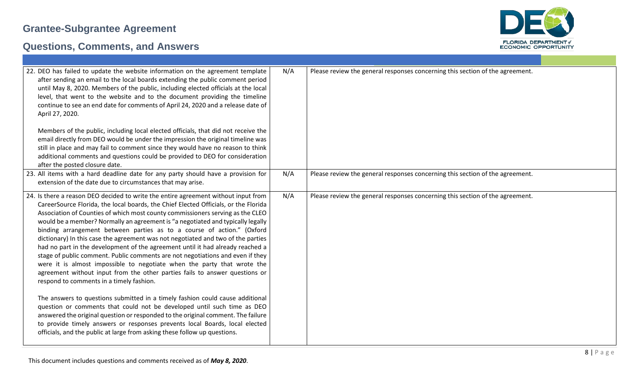

| 22. DEO has failed to update the website information on the agreement template<br>after sending an email to the local boards extending the public comment period<br>until May 8, 2020. Members of the public, including elected officials at the local<br>level, that went to the website and to the document providing the timeline<br>continue to see an end date for comments of April 24, 2020 and a release date of<br>April 27, 2020.<br>Members of the public, including local elected officials, that did not receive the<br>email directly from DEO would be under the impression the original timeline was<br>still in place and may fail to comment since they would have no reason to think<br>additional comments and questions could be provided to DEO for consideration<br>after the posted closure date.                                                                                                                                                                                                                                                                                                                                                                                                                                                                          | N/A | Please review the general responses concerning this section of the agreement. |
|----------------------------------------------------------------------------------------------------------------------------------------------------------------------------------------------------------------------------------------------------------------------------------------------------------------------------------------------------------------------------------------------------------------------------------------------------------------------------------------------------------------------------------------------------------------------------------------------------------------------------------------------------------------------------------------------------------------------------------------------------------------------------------------------------------------------------------------------------------------------------------------------------------------------------------------------------------------------------------------------------------------------------------------------------------------------------------------------------------------------------------------------------------------------------------------------------------------------------------------------------------------------------------------------------|-----|-------------------------------------------------------------------------------|
| 23. All items with a hard deadline date for any party should have a provision for<br>extension of the date due to circumstances that may arise.                                                                                                                                                                                                                                                                                                                                                                                                                                                                                                                                                                                                                                                                                                                                                                                                                                                                                                                                                                                                                                                                                                                                                    | N/A | Please review the general responses concerning this section of the agreement. |
| 24. Is there a reason DEO decided to write the entire agreement without input from<br>CareerSource Florida, the local boards, the Chief Elected Officials, or the Florida<br>Association of Counties of which most county commissioners serving as the CLEO<br>would be a member? Normally an agreement is "a negotiated and typically legally<br>binding arrangement between parties as to a course of action." (Oxford<br>dictionary) In this case the agreement was not negotiated and two of the parties<br>had no part in the development of the agreement until it had already reached a<br>stage of public comment. Public comments are not negotiations and even if they<br>were it is almost impossible to negotiate when the party that wrote the<br>agreement without input from the other parties fails to answer questions or<br>respond to comments in a timely fashion.<br>The answers to questions submitted in a timely fashion could cause additional<br>question or comments that could not be developed until such time as DEO<br>answered the original question or responded to the original comment. The failure<br>to provide timely answers or responses prevents local Boards, local elected<br>officials, and the public at large from asking these follow up questions. | N/A | Please review the general responses concerning this section of the agreement. |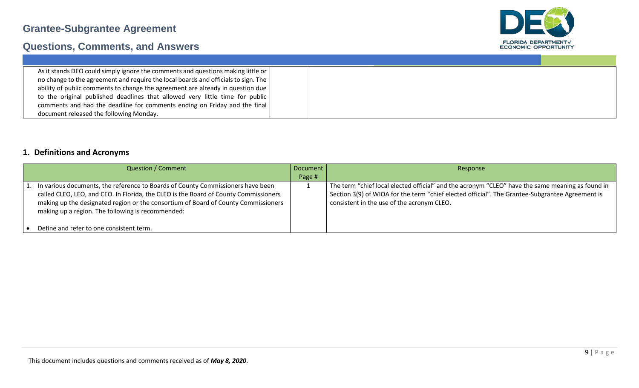

## **Questions, Comments, and Answers**

| As it stands DEO could simply ignore the comments and questions making little or       |  |
|----------------------------------------------------------------------------------------|--|
| no change to the agreement and require the local boards and officials to sign. The     |  |
| ability of public comments to change the agreement are already in question due $\vert$ |  |
| to the original published deadlines that allowed very little time for public           |  |
| comments and had the deadline for comments ending on Friday and the final              |  |
| document released the following Monday.                                                |  |

#### **1. Definitions and Acronyms**

| <b>Question / Comment</b>                                                            | Document | Response                                                                                         |
|--------------------------------------------------------------------------------------|----------|--------------------------------------------------------------------------------------------------|
|                                                                                      | Page #   |                                                                                                  |
| 1. In various documents, the reference to Boards of County Commissioners have been   |          | The term "chief local elected official" and the acronym "CLEO" have the same meaning as found in |
| called CLEO, LEO, and CEO. In Florida, the CLEO is the Board of County Commissioners |          | Section 3(9) of WIOA for the term "chief elected official". The Grantee-Subgrantee Agreement is  |
| making up the designated region or the consortium of Board of County Commissioners   |          | consistent in the use of the acronym CLEO.                                                       |
| making up a region. The following is recommended:                                    |          |                                                                                                  |
|                                                                                      |          |                                                                                                  |
| Define and refer to one consistent term.                                             |          |                                                                                                  |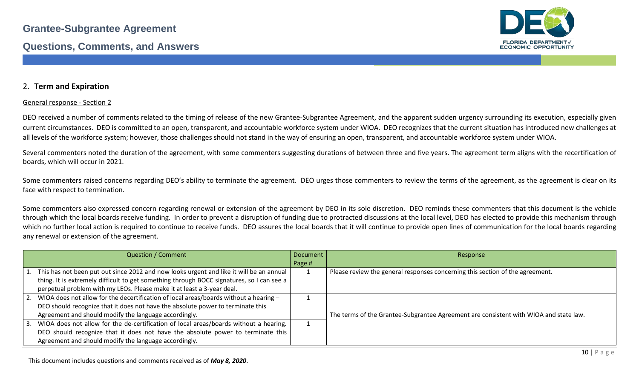

#### 2. **Term and Expiration**

#### General response - Section 2

DEO received a number of comments related to the timing of release of the new Grantee-Subgrantee Agreement, and the apparent sudden urgency surrounding its execution, especially given current circumstances. DEO is committed to an open, transparent, and accountable workforce system under WIOA. DEO recognizes that the current situation has introduced new challenges at all levels of the workforce system; however, those challenges should not stand in the way of ensuring an open, transparent, and accountable workforce system under WIOA.

Several commenters noted the duration of the agreement, with some commenters suggesting durations of between three and five years. The agreement term aligns with the recertification of boards, which will occur in 2021.

Some commenters raised concerns regarding DEO's ability to terminate the agreement. DEO urges those commenters to review the terms of the agreement, as the agreement is clear on its face with respect to termination.

Some commenters also expressed concern regarding renewal or extension of the agreement by DEO in its sole discretion. DEO reminds these commenters that this document is the vehicle through which the local boards receive funding. In order to prevent a disruption of funding due to protracted discussions at the local level, DEO has elected to provide this mechanism through which no further local action is required to continue to receive funds. DEO assures the local boards that it will continue to provide open lines of communication for the local boards regarding any renewal or extension of the agreement.

| <b>Question / Comment</b>                                                                  | Document | Response                                                                              |
|--------------------------------------------------------------------------------------------|----------|---------------------------------------------------------------------------------------|
|                                                                                            | Page #   |                                                                                       |
| 1. This has not been put out since 2012 and now looks urgent and like it will be an annual |          | Please review the general responses concerning this section of the agreement.         |
| thing. It is extremely difficult to get something through BOCC signatures, so I can see a  |          |                                                                                       |
| perpetual problem with my LEOs. Please make it at least a 3-year deal.                     |          |                                                                                       |
| 2. WIOA does not allow for the decertification of local areas/boards without a hearing -   |          |                                                                                       |
| DEO should recognize that it does not have the absolute power to terminate this            |          |                                                                                       |
| Agreement and should modify the language accordingly.                                      |          | The terms of the Grantee-Subgrantee Agreement are consistent with WIOA and state law. |
| 3. WIOA does not allow for the de-certification of local areas/boards without a hearing.   |          |                                                                                       |
| DEO should recognize that it does not have the absolute power to terminate this            |          |                                                                                       |
| Agreement and should modify the language accordingly.                                      |          |                                                                                       |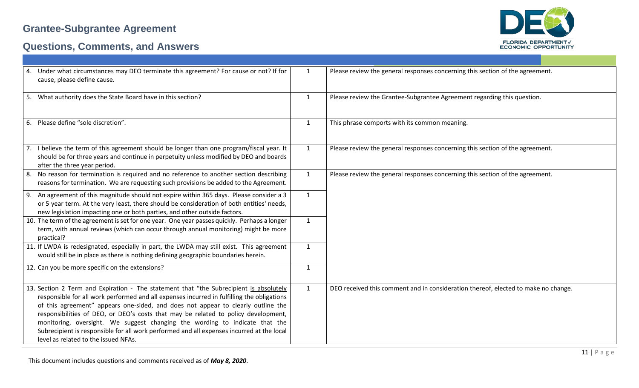



| 4. Under what circumstances may DEO terminate this agreement? For cause or not? If for<br>cause, please define cause.                                                                                                                                                                                                                                                                                                                                                                                                                                                              | $\mathbf{1}$ | Please review the general responses concerning this section of the agreement.      |
|------------------------------------------------------------------------------------------------------------------------------------------------------------------------------------------------------------------------------------------------------------------------------------------------------------------------------------------------------------------------------------------------------------------------------------------------------------------------------------------------------------------------------------------------------------------------------------|--------------|------------------------------------------------------------------------------------|
| 5. What authority does the State Board have in this section?                                                                                                                                                                                                                                                                                                                                                                                                                                                                                                                       | $\mathbf{1}$ | Please review the Grantee-Subgrantee Agreement regarding this question.            |
| 6. Please define "sole discretion".                                                                                                                                                                                                                                                                                                                                                                                                                                                                                                                                                | $\mathbf{1}$ | This phrase comports with its common meaning.                                      |
| 7. I believe the term of this agreement should be longer than one program/fiscal year. It<br>should be for three years and continue in perpetuity unless modified by DEO and boards<br>after the three year period.                                                                                                                                                                                                                                                                                                                                                                | $\mathbf{1}$ | Please review the general responses concerning this section of the agreement.      |
| 8. No reason for termination is required and no reference to another section describing<br>reasons for termination. We are requesting such provisions be added to the Agreement.                                                                                                                                                                                                                                                                                                                                                                                                   | $\mathbf{1}$ | Please review the general responses concerning this section of the agreement.      |
| 9. An agreement of this magnitude should not expire within 365 days. Please consider a 3<br>or 5 year term. At the very least, there should be consideration of both entities' needs,<br>new legislation impacting one or both parties, and other outside factors.                                                                                                                                                                                                                                                                                                                 | $\mathbf{1}$ |                                                                                    |
| 10. The term of the agreement is set for one year. One year passes quickly. Perhaps a longer<br>term, with annual reviews (which can occur through annual monitoring) might be more<br>practical?                                                                                                                                                                                                                                                                                                                                                                                  | $\mathbf{1}$ |                                                                                    |
| 11. If LWDA is redesignated, especially in part, the LWDA may still exist. This agreement<br>would still be in place as there is nothing defining geographic boundaries herein.                                                                                                                                                                                                                                                                                                                                                                                                    | $\mathbf{1}$ |                                                                                    |
| 12. Can you be more specific on the extensions?                                                                                                                                                                                                                                                                                                                                                                                                                                                                                                                                    | $\mathbf{1}$ |                                                                                    |
| 13. Section 2 Term and Expiration - The statement that "the Subrecipient is absolutely<br>responsible for all work performed and all expenses incurred in fulfilling the obligations<br>of this agreement" appears one-sided, and does not appear to clearly outline the<br>responsibilities of DEO, or DEO's costs that may be related to policy development,<br>monitoring, oversight. We suggest changing the wording to indicate that the<br>Subrecipient is responsible for all work performed and all expenses incurred at the local<br>level as related to the issued NFAs. | $\mathbf{1}$ | DEO received this comment and in consideration thereof, elected to make no change. |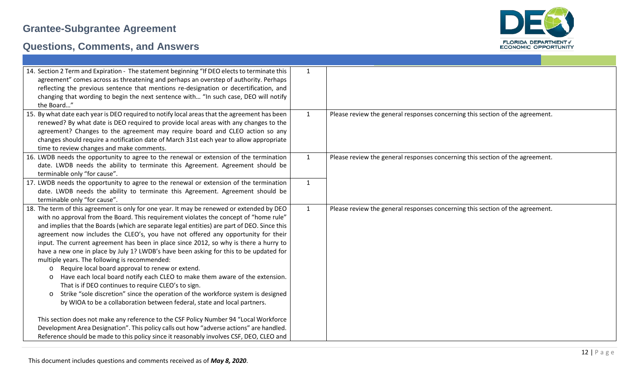

| 14. Section 2 Term and Expiration - The statement beginning "If DEO elects to terminate this<br>agreement" comes across as threatening and perhaps an overstep of authority. Perhaps<br>reflecting the previous sentence that mentions re-designation or decertification, and<br>changing that wording to begin the next sentence with "In such case, DEO will notify<br>the Board"                                                                                                                                                                                                                                                                                                                                                                                                                                                                                                                                                                                                                  | $\mathbf{1}$ |                                                                               |
|------------------------------------------------------------------------------------------------------------------------------------------------------------------------------------------------------------------------------------------------------------------------------------------------------------------------------------------------------------------------------------------------------------------------------------------------------------------------------------------------------------------------------------------------------------------------------------------------------------------------------------------------------------------------------------------------------------------------------------------------------------------------------------------------------------------------------------------------------------------------------------------------------------------------------------------------------------------------------------------------------|--------------|-------------------------------------------------------------------------------|
| 15. By what date each year is DEO required to notify local areas that the agreement has been<br>renewed? By what date is DEO required to provide local areas with any changes to the<br>agreement? Changes to the agreement may require board and CLEO action so any<br>changes should require a notification date of March 31st each year to allow appropriate<br>time to review changes and make comments.                                                                                                                                                                                                                                                                                                                                                                                                                                                                                                                                                                                         | $\mathbf{1}$ | Please review the general responses concerning this section of the agreement. |
| 16. LWDB needs the opportunity to agree to the renewal or extension of the termination<br>date. LWDB needs the ability to terminate this Agreement. Agreement should be<br>terminable only "for cause".                                                                                                                                                                                                                                                                                                                                                                                                                                                                                                                                                                                                                                                                                                                                                                                              | $\mathbf{1}$ | Please review the general responses concerning this section of the agreement. |
| 17. LWDB needs the opportunity to agree to the renewal or extension of the termination<br>date. LWDB needs the ability to terminate this Agreement. Agreement should be<br>terminable only "for cause".                                                                                                                                                                                                                                                                                                                                                                                                                                                                                                                                                                                                                                                                                                                                                                                              | $\mathbf{1}$ |                                                                               |
| 18. The term of this agreement is only for one year. It may be renewed or extended by DEO<br>with no approval from the Board. This requirement violates the concept of "home rule"<br>and implies that the Boards (which are separate legal entities) are part of DEO. Since this<br>agreement now includes the CLEO's, you have not offered any opportunity for their<br>input. The current agreement has been in place since 2012, so why is there a hurry to<br>have a new one in place by July 1? LWDB's have been asking for this to be updated for<br>multiple years. The following is recommended:<br>Require local board approval to renew or extend.<br>$\circ$<br>Have each local board notify each CLEO to make them aware of the extension.<br>$\circ$<br>That is if DEO continues to require CLEO's to sign.<br>Strike "sole discretion" since the operation of the workforce system is designed<br>$\circ$<br>by WIOA to be a collaboration between federal, state and local partners. | $\mathbf{1}$ | Please review the general responses concerning this section of the agreement. |
| This section does not make any reference to the CSF Policy Number 94 "Local Workforce<br>Development Area Designation". This policy calls out how "adverse actions" are handled.<br>Reference should be made to this policy since it reasonably involves CSF, DEO, CLEO and                                                                                                                                                                                                                                                                                                                                                                                                                                                                                                                                                                                                                                                                                                                          |              |                                                                               |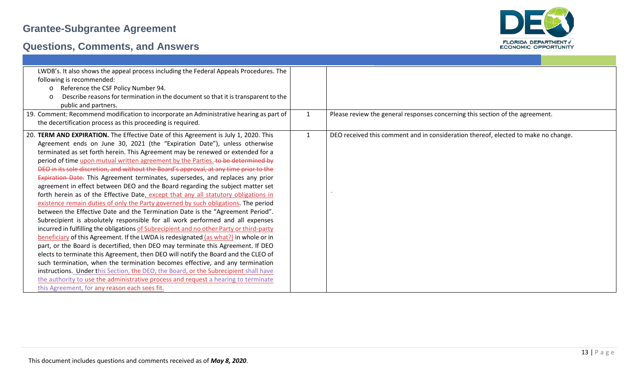

| LWDB's. It also shows the appeal process including the Federal Appeals Procedures. The<br>following is recommended: |              |                                                                                    |
|---------------------------------------------------------------------------------------------------------------------|--------------|------------------------------------------------------------------------------------|
| Reference the CSF Policy Number 94.<br>$\circ$                                                                      |              |                                                                                    |
| Describe reasons for termination in the document so that it is transparent to the<br>$\circ$                        |              |                                                                                    |
| public and partners.                                                                                                |              |                                                                                    |
| 19. Comment: Recommend modification to incorporate an Administrative hearing as part of                             | $\mathbf{1}$ | Please review the general responses concerning this section of the agreement.      |
| the decertification process as this proceeding is required.                                                         |              |                                                                                    |
|                                                                                                                     |              |                                                                                    |
| 20. TERM AND EXPIRATION. The Effective Date of this Agreement is July 1, 2020. This                                 | $\mathbf{1}$ | DEO received this comment and in consideration thereof, elected to make no change. |
| Agreement ends on June 30, 2021 (the "Expiration Date"), unless otherwise                                           |              |                                                                                    |
| terminated as set forth herein. This Agreement may be renewed or extended for a                                     |              |                                                                                    |
| period of time upon mutual written agreement by the Parties. to be determined by                                    |              |                                                                                    |
| DEO in its sole discretion, and without the Board's approval, at any time prior to the                              |              |                                                                                    |
| Expiration Date. This Agreement terminates, supersedes, and replaces any prior                                      |              |                                                                                    |
| agreement in effect between DEO and the Board regarding the subject matter set                                      |              |                                                                                    |
| forth herein as of the Effective Date, except that any all statutory obligations in                                 |              |                                                                                    |
| existence remain duties of only the Party governed by such obligations. The period                                  |              |                                                                                    |
| between the Effective Date and the Termination Date is the "Agreement Period".                                      |              |                                                                                    |
| Subrecipient is absolutely responsible for all work performed and all expenses                                      |              |                                                                                    |
| incurred in fulfilling the obligations of Subrecipient and no other Party or third-party                            |              |                                                                                    |
| beneficiary of this Agreement. If the LWDA is redesignated (as what?) in whole or in                                |              |                                                                                    |
| part, or the Board is decertified, then DEO may terminate this Agreement. If DEO                                    |              |                                                                                    |
| elects to terminate this Agreement, then DEO will notify the Board and the CLEO of                                  |              |                                                                                    |
| such termination, when the termination becomes effective, and any termination                                       |              |                                                                                    |
| instructions. Under this Section, the DEO, the Board, or the Subrecipient shall have                                |              |                                                                                    |
| the authority to use the administrative process and request a hearing to terminate                                  |              |                                                                                    |
| this Agreement, for any reason each sees fit.                                                                       |              |                                                                                    |
|                                                                                                                     |              |                                                                                    |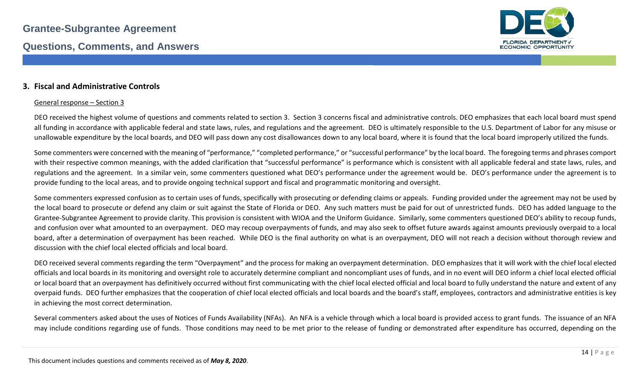

#### **3. Fiscal and Administrative Controls**

#### General response – Section 3

DEO received the highest volume of questions and comments related to section 3. Section 3 concerns fiscal and administrative controls. DEO emphasizes that each local board must spend all funding in accordance with applicable federal and state laws, rules, and regulations and the agreement. DEO is ultimately responsible to the U.S. Department of Labor for any misuse or unallowable expenditure by the local boards, and DEO will pass down any cost disallowances down to any local board, where it is found that the local board improperly utilized the funds.

Some commenters were concerned with the meaning of "performance," "completed performance," or "successful performance" by the local board. The foregoing terms and phrases comport with their respective common meanings, with the added clarification that "successful performance" is performance which is consistent with all applicable federal and state laws, rules, and regulations and the agreement. In a similar vein, some commenters questioned what DEO's performance under the agreement would be. DEO's performance under the agreement is to provide funding to the local areas, and to provide ongoing technical support and fiscal and programmatic monitoring and oversight.

Some commenters expressed confusion as to certain uses of funds, specifically with prosecuting or defending claims or appeals. Funding provided under the agreement may not be used by the local board to prosecute or defend any claim or suit against the State of Florida or DEO. Any such matters must be paid for out of unrestricted funds. DEO has added language to the Grantee-Subgrantee Agreement to provide clarity. This provision is consistent with WIOA and the Uniform Guidance. Similarly, some commenters questioned DEO's ability to recoup funds, and confusion over what amounted to an overpayment. DEO may recoup overpayments of funds, and may also seek to offset future awards against amounts previously overpaid to a local board, after a determination of overpayment has been reached. While DEO is the final authority on what is an overpayment, DEO will not reach a decision without thorough review and discussion with the chief local elected officials and local board.

DEO received several comments regarding the term "Overpayment" and the process for making an overpayment determination. DEO emphasizes that it will work with the chief local elected officials and local boards in its monitoring and oversight role to accurately determine compliant and noncompliant uses of funds, and in no event will DEO inform a chief local elected official or local board that an overpayment has definitively occurred without first communicating with the chief local elected official and local board to fully understand the nature and extent of any overpaid funds. DEO further emphasizes that the cooperation of chief local elected officials and local boards and the board's staff, employees, contractors and administrative entities is key in achieving the most correct determination.

Several commenters asked about the uses of Notices of Funds Availability (NFAs). An NFA is a vehicle through which a local board is provided access to grant funds. The issuance of an NFA may include conditions regarding use of funds. Those conditions may need to be met prior to the release of funding or demonstrated after expenditure has occurred, depending on the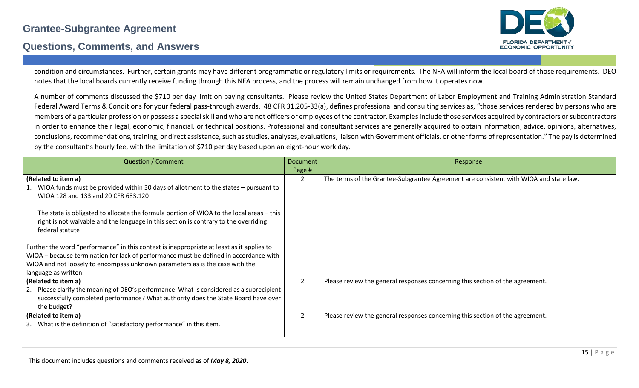#### **Questions, Comments, and Answers**



condition and circumstances. Further, certain grants may have different programmatic or regulatory limits or requirements. The NFA will inform the local board of those requirements. DEO notes that the local boards currently receive funding through this NFA process, and the process will remain unchanged from how it operates now.

A number of comments discussed the \$710 per day limit on paying consultants. Please review the United States Department of Labor Employment and Training Administration Standard Federal Award Terms & Conditions for your federal pass-through awards. 48 CFR 31.205-33(a), defines professional and consulting services as, "those services rendered by persons who are members of a particular profession or possess a special skill and who are not officers or employees of the contractor. Examples include those services acquired by contractors or subcontractors in order to enhance their legal, economic, financial, or technical positions. Professional and consultant services are generally acquired to obtain information, advice, opinions, alternatives, conclusions, recommendations, training, or direct assistance, such as studies, analyses, evaluations, liaison with Government officials, or other forms of representation." The pay is determined by the consultant's hourly fee, with the limitation of \$710 per day based upon an eight-hour work day.

| <b>Question / Comment</b>                                                                                                                                                                           | <b>Document</b> | Response                                                                              |
|-----------------------------------------------------------------------------------------------------------------------------------------------------------------------------------------------------|-----------------|---------------------------------------------------------------------------------------|
|                                                                                                                                                                                                     | Page #          |                                                                                       |
| (Related to item a)                                                                                                                                                                                 | 2               | The terms of the Grantee-Subgrantee Agreement are consistent with WIOA and state law. |
| WIOA funds must be provided within 30 days of allotment to the states - pursuant to<br>WIOA 128 and 133 and 20 CFR 683.120                                                                          |                 |                                                                                       |
| The state is obligated to allocate the formula portion of WIOA to the local areas - this<br>right is not waivable and the language in this section is contrary to the overriding<br>federal statute |                 |                                                                                       |
| Further the word "performance" in this context is inappropriate at least as it applies to                                                                                                           |                 |                                                                                       |
| WIOA - because termination for lack of performance must be defined in accordance with                                                                                                               |                 |                                                                                       |
| WIOA and not loosely to encompass unknown parameters as is the case with the                                                                                                                        |                 |                                                                                       |
| language as written.                                                                                                                                                                                |                 |                                                                                       |
| (Related to item a)                                                                                                                                                                                 | 2               | Please review the general responses concerning this section of the agreement.         |
| 2. Please clarify the meaning of DEO's performance. What is considered as a subrecipient<br>successfully completed performance? What authority does the State Board have over<br>the budget?        |                 |                                                                                       |
| (Related to item a)                                                                                                                                                                                 | 2               | Please review the general responses concerning this section of the agreement.         |
| 3. What is the definition of "satisfactory performance" in this item.                                                                                                                               |                 |                                                                                       |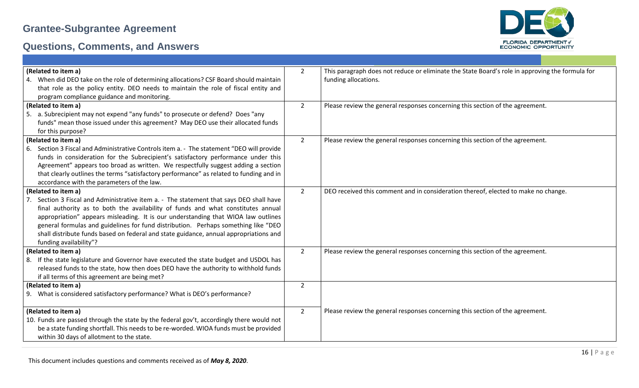

| (Related to item a)                                                                       | $\overline{2}$ | This paragraph does not reduce or eliminate the State Board's role in approving the formula for |
|-------------------------------------------------------------------------------------------|----------------|-------------------------------------------------------------------------------------------------|
| 4. When did DEO take on the role of determining allocations? CSF Board should maintain    |                | funding allocations.                                                                            |
| that role as the policy entity. DEO needs to maintain the role of fiscal entity and       |                |                                                                                                 |
| program compliance guidance and monitoring.                                               |                |                                                                                                 |
| (Related to item a)                                                                       | $\overline{2}$ | Please review the general responses concerning this section of the agreement.                   |
| 5. a. Subrecipient may not expend "any funds" to prosecute or defend? Does "any           |                |                                                                                                 |
| funds" mean those issued under this agreement? May DEO use their allocated funds          |                |                                                                                                 |
| for this purpose?                                                                         |                |                                                                                                 |
| (Related to item a)                                                                       | $\overline{2}$ | Please review the general responses concerning this section of the agreement.                   |
| 6. Section 3 Fiscal and Administrative Controls item a. - The statement "DEO will provide |                |                                                                                                 |
| funds in consideration for the Subrecipient's satisfactory performance under this         |                |                                                                                                 |
| Agreement" appears too broad as written. We respectfully suggest adding a section         |                |                                                                                                 |
| that clearly outlines the terms "satisfactory performance" as related to funding and in   |                |                                                                                                 |
| accordance with the parameters of the law.                                                |                |                                                                                                 |
| (Related to item a)                                                                       | $\overline{2}$ | DEO received this comment and in consideration thereof, elected to make no change.              |
| Section 3 Fiscal and Administrative item a. - The statement that says DEO shall have      |                |                                                                                                 |
| final authority as to both the availability of funds and what constitutes annual          |                |                                                                                                 |
| appropriation" appears misleading. It is our understanding that WIOA law outlines         |                |                                                                                                 |
| general formulas and guidelines for fund distribution. Perhaps something like "DEO        |                |                                                                                                 |
| shall distribute funds based on federal and state guidance, annual appropriations and     |                |                                                                                                 |
| funding availability"?                                                                    |                |                                                                                                 |
| (Related to item a)                                                                       | $\overline{2}$ | Please review the general responses concerning this section of the agreement.                   |
| 8. If the state legislature and Governor have executed the state budget and USDOL has     |                |                                                                                                 |
| released funds to the state, how then does DEO have the authority to withhold funds       |                |                                                                                                 |
| if all terms of this agreement are being met?                                             |                |                                                                                                 |
| (Related to item a)                                                                       | $\overline{2}$ |                                                                                                 |
| 9. What is considered satisfactory performance? What is DEO's performance?                |                |                                                                                                 |
|                                                                                           |                |                                                                                                 |
| (Related to item a)                                                                       | $\overline{2}$ | Please review the general responses concerning this section of the agreement.                   |
| 10. Funds are passed through the state by the federal gov't, accordingly there would not  |                |                                                                                                 |
| be a state funding shortfall. This needs to be re-worded. WIOA funds must be provided     |                |                                                                                                 |
| within 30 days of allotment to the state.                                                 |                |                                                                                                 |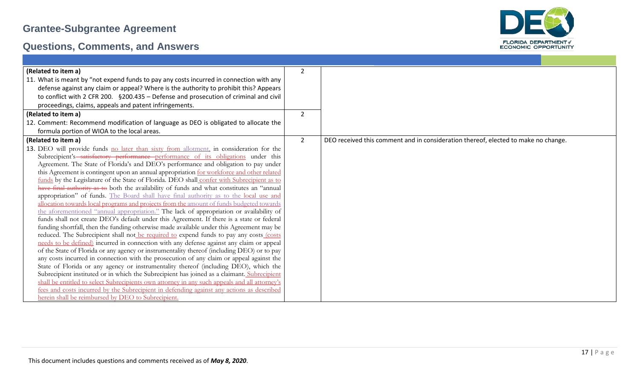

| (Related to item a)                                                                           | $\mathcal{P}$  |                                                                                    |
|-----------------------------------------------------------------------------------------------|----------------|------------------------------------------------------------------------------------|
| 11. What is meant by "not expend funds to pay any costs incurred in connection with any       |                |                                                                                    |
| defense against any claim or appeal? Where is the authority to prohibit this? Appears         |                |                                                                                    |
| to conflict with 2 CFR 200. §200.435 - Defense and prosecution of criminal and civil          |                |                                                                                    |
| proceedings, claims, appeals and patent infringements.                                        |                |                                                                                    |
| (Related to item a)                                                                           | 2              |                                                                                    |
| 12. Comment: Recommend modification of language as DEO is obligated to allocate the           |                |                                                                                    |
| formula portion of WIOA to the local areas.                                                   |                |                                                                                    |
| (Related to item a)                                                                           | $\overline{2}$ | DEO received this comment and in consideration thereof, elected to make no change. |
| 13. DEO will provide funds no later than sixty from allotment, in consideration for the       |                |                                                                                    |
| Subrecipient's-satisfactory performance performance of its obligations under this             |                |                                                                                    |
| Agreement. The State of Florida's and DEO's performance and obligation to pay under           |                |                                                                                    |
| this Agreement is contingent upon an annual appropriation for workforce and other related     |                |                                                                                    |
| funds by the Legislature of the State of Florida. DEO shall confer with Subrecipient as to    |                |                                                                                    |
| have final authority as to both the availability of funds and what constitutes an "annual     |                |                                                                                    |
| appropriation" of funds. The Board shall have final authority as to the local use and         |                |                                                                                    |
| allocation towards local programs and projects from the amount of funds budgeted towards      |                |                                                                                    |
| the aforementioned "annual appropriation." The lack of appropriation or availability of       |                |                                                                                    |
| funds shall not create DEO's default under this Agreement. If there is a state or federal     |                |                                                                                    |
| funding shortfall, then the funding otherwise made available under this Agreement may be      |                |                                                                                    |
| reduced. The Subrecipient shall not be required to expend funds to pay any costs (costs       |                |                                                                                    |
| needs to be defined) incurred in connection with any defense against any claim or appeal      |                |                                                                                    |
| of the State of Florida or any agency or instrumentality thereof (including DEO) or to pay    |                |                                                                                    |
| any costs incurred in connection with the prosecution of any claim or appeal against the      |                |                                                                                    |
| State of Florida or any agency or instrumentality thereof (including DEO), which the          |                |                                                                                    |
| Subrecipient instituted or in which the Subrecipient has joined as a claimant. Subrecipient   |                |                                                                                    |
| shall be entitled to select Subrecipients own attorney in any such appeals and all attorney's |                |                                                                                    |
| fees and costs incurred by the Subrecipient in defending against any actions as described     |                |                                                                                    |
| herein shall be reimbursed by DEO to Subrecipient.                                            |                |                                                                                    |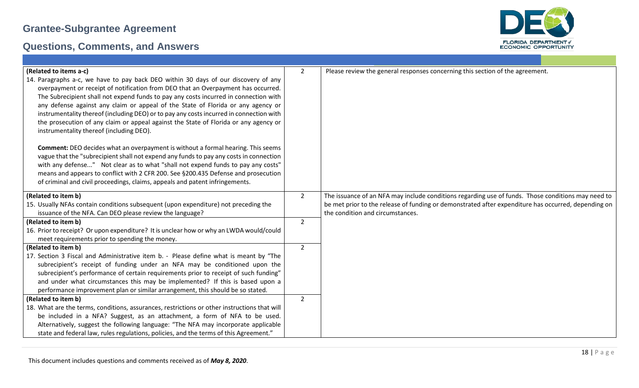

| (Related to items a-c)<br>14. Paragraphs a-c, we have to pay back DEO within 30 days of our discovery of any<br>overpayment or receipt of notification from DEO that an Overpayment has occurred.<br>The Subrecipient shall not expend funds to pay any costs incurred in connection with<br>any defense against any claim or appeal of the State of Florida or any agency or<br>instrumentality thereof (including DEO) or to pay any costs incurred in connection with<br>the prosecution of any claim or appeal against the State of Florida or any agency or<br>instrumentality thereof (including DEO).<br><b>Comment:</b> DEO decides what an overpayment is without a formal hearing. This seems<br>vague that the "subrecipient shall not expend any funds to pay any costs in connection<br>with any defense" Not clear as to what "shall not expend funds to pay any costs"<br>means and appears to conflict with 2 CFR 200. See §200.435 Defense and prosecution<br>of criminal and civil proceedings, claims, appeals and patent infringements. | $\overline{2}$ | Please review the general responses concerning this section of the agreement.                                                                                                                             |
|-------------------------------------------------------------------------------------------------------------------------------------------------------------------------------------------------------------------------------------------------------------------------------------------------------------------------------------------------------------------------------------------------------------------------------------------------------------------------------------------------------------------------------------------------------------------------------------------------------------------------------------------------------------------------------------------------------------------------------------------------------------------------------------------------------------------------------------------------------------------------------------------------------------------------------------------------------------------------------------------------------------------------------------------------------------|----------------|-----------------------------------------------------------------------------------------------------------------------------------------------------------------------------------------------------------|
| (Related to item b)<br>15. Usually NFAs contain conditions subsequent (upon expenditure) not preceding the                                                                                                                                                                                                                                                                                                                                                                                                                                                                                                                                                                                                                                                                                                                                                                                                                                                                                                                                                  | $\overline{2}$ | The issuance of an NFA may include conditions regarding use of funds. Those conditions may need to<br>be met prior to the release of funding or demonstrated after expenditure has occurred, depending on |
| issuance of the NFA. Can DEO please review the language?                                                                                                                                                                                                                                                                                                                                                                                                                                                                                                                                                                                                                                                                                                                                                                                                                                                                                                                                                                                                    |                | the condition and circumstances.                                                                                                                                                                          |
| (Related to item b)                                                                                                                                                                                                                                                                                                                                                                                                                                                                                                                                                                                                                                                                                                                                                                                                                                                                                                                                                                                                                                         | $2^{\circ}$    |                                                                                                                                                                                                           |
| 16. Prior to receipt? Or upon expenditure? It is unclear how or why an LWDA would/could<br>meet requirements prior to spending the money.                                                                                                                                                                                                                                                                                                                                                                                                                                                                                                                                                                                                                                                                                                                                                                                                                                                                                                                   |                |                                                                                                                                                                                                           |
| (Related to item b)                                                                                                                                                                                                                                                                                                                                                                                                                                                                                                                                                                                                                                                                                                                                                                                                                                                                                                                                                                                                                                         | $2^{\circ}$    |                                                                                                                                                                                                           |
| 17. Section 3 Fiscal and Administrative item b. - Please define what is meant by "The                                                                                                                                                                                                                                                                                                                                                                                                                                                                                                                                                                                                                                                                                                                                                                                                                                                                                                                                                                       |                |                                                                                                                                                                                                           |
| subrecipient's receipt of funding under an NFA may be conditioned upon the                                                                                                                                                                                                                                                                                                                                                                                                                                                                                                                                                                                                                                                                                                                                                                                                                                                                                                                                                                                  |                |                                                                                                                                                                                                           |
| subrecipient's performance of certain requirements prior to receipt of such funding"                                                                                                                                                                                                                                                                                                                                                                                                                                                                                                                                                                                                                                                                                                                                                                                                                                                                                                                                                                        |                |                                                                                                                                                                                                           |
| and under what circumstances this may be implemented? If this is based upon a                                                                                                                                                                                                                                                                                                                                                                                                                                                                                                                                                                                                                                                                                                                                                                                                                                                                                                                                                                               |                |                                                                                                                                                                                                           |
| performance improvement plan or similar arrangement, this should be so stated.                                                                                                                                                                                                                                                                                                                                                                                                                                                                                                                                                                                                                                                                                                                                                                                                                                                                                                                                                                              |                |                                                                                                                                                                                                           |
| (Related to item b)                                                                                                                                                                                                                                                                                                                                                                                                                                                                                                                                                                                                                                                                                                                                                                                                                                                                                                                                                                                                                                         | $2^{\circ}$    |                                                                                                                                                                                                           |
| 18. What are the terms, conditions, assurances, restrictions or other instructions that will<br>be included in a NFA? Suggest, as an attachment, a form of NFA to be used.                                                                                                                                                                                                                                                                                                                                                                                                                                                                                                                                                                                                                                                                                                                                                                                                                                                                                  |                |                                                                                                                                                                                                           |
| Alternatively, suggest the following language: "The NFA may incorporate applicable                                                                                                                                                                                                                                                                                                                                                                                                                                                                                                                                                                                                                                                                                                                                                                                                                                                                                                                                                                          |                |                                                                                                                                                                                                           |
| state and federal law, rules regulations, policies, and the terms of this Agreement."                                                                                                                                                                                                                                                                                                                                                                                                                                                                                                                                                                                                                                                                                                                                                                                                                                                                                                                                                                       |                |                                                                                                                                                                                                           |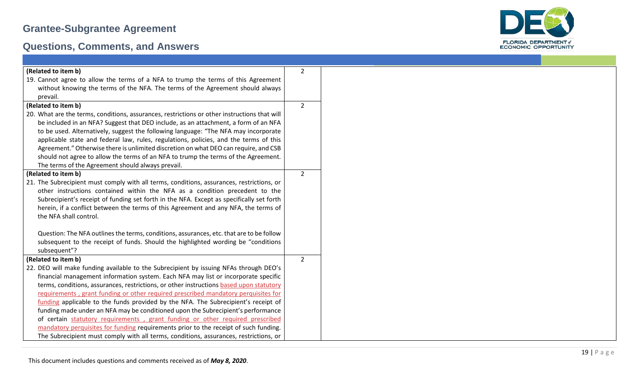

| (Related to item b)                                                                          | $\overline{2}$ |
|----------------------------------------------------------------------------------------------|----------------|
| 19. Cannot agree to allow the terms of a NFA to trump the terms of this Agreement            |                |
| without knowing the terms of the NFA. The terms of the Agreement should always               |                |
| prevail.                                                                                     |                |
| (Related to item b)                                                                          | $2^{\circ}$    |
| 20. What are the terms, conditions, assurances, restrictions or other instructions that will |                |
| be included in an NFA? Suggest that DEO include, as an attachment, a form of an NFA          |                |
| to be used. Alternatively, suggest the following language: "The NFA may incorporate          |                |
| applicable state and federal law, rules, regulations, policies, and the terms of this        |                |
| Agreement." Otherwise there is unlimited discretion on what DEO can require, and CSB         |                |
| should not agree to allow the terms of an NFA to trump the terms of the Agreement.           |                |
| The terms of the Agreement should always prevail.                                            |                |
| (Related to item b)                                                                          | $\overline{2}$ |
| 21. The Subrecipient must comply with all terms, conditions, assurances, restrictions, or    |                |
| other instructions contained within the NFA as a condition precedent to the                  |                |
| Subrecipient's receipt of funding set forth in the NFA. Except as specifically set forth     |                |
| herein, if a conflict between the terms of this Agreement and any NFA, the terms of          |                |
| the NFA shall control.                                                                       |                |
|                                                                                              |                |
| Question: The NFA outlines the terms, conditions, assurances, etc. that are to be follow     |                |
| subsequent to the receipt of funds. Should the highlighted wording be "conditions"           |                |
| subsequent"?                                                                                 |                |
| (Related to item b)                                                                          | $2^{\circ}$    |
| 22. DEO will make funding available to the Subrecipient by issuing NFAs through DEO's        |                |
| financial management information system. Each NFA may list or incorporate specific           |                |
| terms, conditions, assurances, restrictions, or other instructions based upon statutory      |                |
| requirements, grant funding or other required prescribed mandatory perquisites for           |                |
| funding applicable to the funds provided by the NFA. The Subrecipient's receipt of           |                |
| funding made under an NFA may be conditioned upon the Subrecipient's performance             |                |
| of certain statutory requirements, grant funding or other required prescribed                |                |
| mandatory perquisites for funding requirements prior to the receipt of such funding.         |                |
| The Subrecipient must comply with all terms, conditions, assurances, restrictions, or        |                |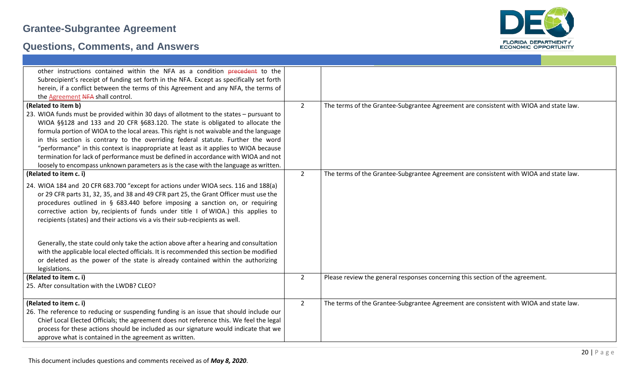

| other instructions contained within the NFA as a condition precedent to the<br>Subrecipient's receipt of funding set forth in the NFA. Except as specifically set forth<br>herein, if a conflict between the terms of this Agreement and any NFA, the terms of<br>the Agreement NFA shall control.                                                                                                                                 |                |                                                                                       |
|------------------------------------------------------------------------------------------------------------------------------------------------------------------------------------------------------------------------------------------------------------------------------------------------------------------------------------------------------------------------------------------------------------------------------------|----------------|---------------------------------------------------------------------------------------|
| (Related to item b)                                                                                                                                                                                                                                                                                                                                                                                                                | $\overline{2}$ | The terms of the Grantee-Subgrantee Agreement are consistent with WIOA and state law. |
| 23. WIOA funds must be provided within 30 days of allotment to the states - pursuant to<br>WIOA §§128 and 133 and 20 CFR §683.120. The state is obligated to allocate the                                                                                                                                                                                                                                                          |                |                                                                                       |
| formula portion of WIOA to the local areas. This right is not waivable and the language                                                                                                                                                                                                                                                                                                                                            |                |                                                                                       |
| in this section is contrary to the overriding federal statute. Further the word                                                                                                                                                                                                                                                                                                                                                    |                |                                                                                       |
| "performance" in this context is inappropriate at least as it applies to WIOA because<br>termination for lack of performance must be defined in accordance with WIOA and not                                                                                                                                                                                                                                                       |                |                                                                                       |
| loosely to encompass unknown parameters as is the case with the language as written.                                                                                                                                                                                                                                                                                                                                               |                |                                                                                       |
| (Related to item c. i)                                                                                                                                                                                                                                                                                                                                                                                                             | $\overline{2}$ | The terms of the Grantee-Subgrantee Agreement are consistent with WIOA and state law. |
| 24. WIOA 184 and 20 CFR 683.700 "except for actions under WIOA secs. 116 and 188(a)<br>or 29 CFR parts 31, 32, 35, and 38 and 49 CFR part 25, the Grant Officer must use the<br>procedures outlined in § 683.440 before imposing a sanction on, or requiring<br>corrective action by, recipients of funds under title I of WIOA.) this applies to<br>recipients (states) and their actions vis a vis their sub-recipients as well. |                |                                                                                       |
| Generally, the state could only take the action above after a hearing and consultation<br>with the applicable local elected officials. It is recommended this section be modified<br>or deleted as the power of the state is already contained within the authorizing<br>legislations.                                                                                                                                             |                |                                                                                       |
| (Related to item c. i)                                                                                                                                                                                                                                                                                                                                                                                                             | $\overline{2}$ | Please review the general responses concerning this section of the agreement.         |
| 25. After consultation with the LWDB? CLEO?                                                                                                                                                                                                                                                                                                                                                                                        |                |                                                                                       |
| (Related to item c. i)                                                                                                                                                                                                                                                                                                                                                                                                             | $\overline{2}$ | The terms of the Grantee-Subgrantee Agreement are consistent with WIOA and state law. |
| 26. The reference to reducing or suspending funding is an issue that should include our                                                                                                                                                                                                                                                                                                                                            |                |                                                                                       |
| Chief Local Elected Officials; the agreement does not reference this. We feel the legal<br>process for these actions should be included as our signature would indicate that we                                                                                                                                                                                                                                                    |                |                                                                                       |
| approve what is contained in the agreement as written.                                                                                                                                                                                                                                                                                                                                                                             |                |                                                                                       |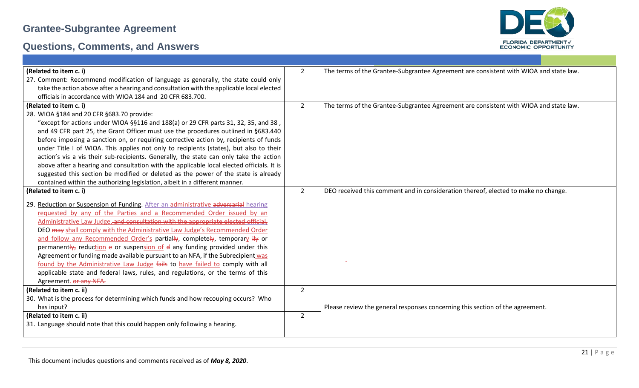

| (Related to item c. i)                                                                                                                                           | $\overline{2}$ | The terms of the Grantee-Subgrantee Agreement are consistent with WIOA and state law. |
|------------------------------------------------------------------------------------------------------------------------------------------------------------------|----------------|---------------------------------------------------------------------------------------|
| 27. Comment: Recommend modification of language as generally, the state could only                                                                               |                |                                                                                       |
| take the action above after a hearing and consultation with the applicable local elected                                                                         |                |                                                                                       |
| officials in accordance with WIOA 184 and 20 CFR 683.700.                                                                                                        |                |                                                                                       |
| (Related to item c. i)                                                                                                                                           | $\overline{2}$ | The terms of the Grantee-Subgrantee Agreement are consistent with WIOA and state law. |
| 28. WIOA §184 and 20 CFR §683.70 provide:                                                                                                                        |                |                                                                                       |
| "except for actions under WIOA $\S$ \$116 and 188(a) or 29 CFR parts 31, 32, 35, and 38,                                                                         |                |                                                                                       |
| and 49 CFR part 25, the Grant Officer must use the procedures outlined in §683.440                                                                               |                |                                                                                       |
| before imposing a sanction on, or requiring corrective action by, recipients of funds                                                                            |                |                                                                                       |
| under Title I of WIOA. This applies not only to recipients (states), but also to their                                                                           |                |                                                                                       |
| action's vis a vis their sub-recipients. Generally, the state can only take the action                                                                           |                |                                                                                       |
| above after a hearing and consultation with the applicable local elected officials. It is                                                                        |                |                                                                                       |
| suggested this section be modified or deleted as the power of the state is already                                                                               |                |                                                                                       |
| contained within the authorizing legislation, albeit in a different manner.                                                                                      |                |                                                                                       |
| (Related to item c. i)                                                                                                                                           | $\overline{2}$ | DEO received this comment and in consideration thereof, elected to make no change.    |
|                                                                                                                                                                  |                |                                                                                       |
| 29. Reduction or Suspension of Funding. After an administrative adversarial hearing                                                                              |                |                                                                                       |
| requested by any of the Parties and a Recommended Order issued by an                                                                                             |                |                                                                                       |
| Administrative Law Judge, and consultation with the appropriate elected official,                                                                                |                |                                                                                       |
| DEO may shall comply with the Administrative Law Judge's Recommended Order                                                                                       |                |                                                                                       |
| and follow any Recommended Order's partially, completely, temporary ily or                                                                                       |                |                                                                                       |
| permanently, reduction e or suspension of $d$ any funding provided under this                                                                                    |                |                                                                                       |
| Agreement or funding made available pursuant to an NFA, if the Subrecipient was                                                                                  |                |                                                                                       |
| found by the Administrative Law Judge fails to have failed to comply with all<br>applicable state and federal laws, rules, and regulations, or the terms of this |                |                                                                                       |
|                                                                                                                                                                  |                |                                                                                       |
| Agreement. or any NFA.                                                                                                                                           | $\overline{2}$ |                                                                                       |
| (Related to item c. ii)                                                                                                                                          |                |                                                                                       |
| 30. What is the process for determining which funds and how recouping occurs? Who                                                                                |                |                                                                                       |
| has input?                                                                                                                                                       |                | Please review the general responses concerning this section of the agreement.         |
| (Related to item c. ii)                                                                                                                                          | $\overline{2}$ |                                                                                       |
| 31. Language should note that this could happen only following a hearing.                                                                                        |                |                                                                                       |
|                                                                                                                                                                  |                |                                                                                       |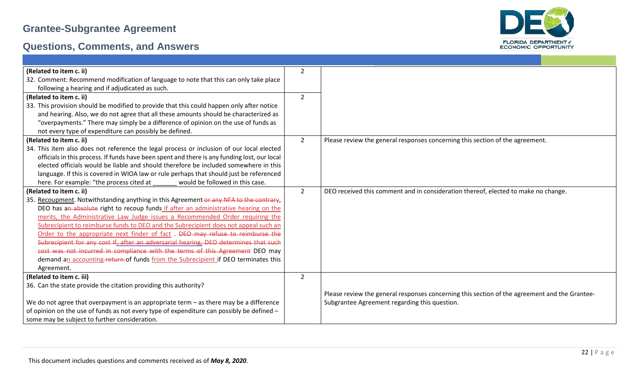

| (Related to item c. ii)                                                                      | $\overline{2}$ |                                                                                               |
|----------------------------------------------------------------------------------------------|----------------|-----------------------------------------------------------------------------------------------|
| 32. Comment: Recommend modification of language to note that this can only take place        |                |                                                                                               |
| following a hearing and if adjudicated as such.                                              |                |                                                                                               |
| (Related to item c. ii)                                                                      | $\overline{2}$ |                                                                                               |
| 33. This provision should be modified to provide that this could happen only after notice    |                |                                                                                               |
| and hearing. Also, we do not agree that all these amounts should be characterized as         |                |                                                                                               |
| "overpayments." There may simply be a difference of opinion on the use of funds as           |                |                                                                                               |
| not every type of expenditure can possibly be defined.                                       |                |                                                                                               |
| (Related to item c. ii)                                                                      | $\overline{2}$ | Please review the general responses concerning this section of the agreement.                 |
| 34. This item also does not reference the legal process or inclusion of our local elected    |                |                                                                                               |
| officials in this process. If funds have been spent and there is any funding lost, our local |                |                                                                                               |
| elected officials would be liable and should therefore be included somewhere in this         |                |                                                                                               |
| language. If this is covered in WIOA law or rule perhaps that should just be referenced      |                |                                                                                               |
| here. For example: "the process cited at<br>would be followed in this case.                  |                |                                                                                               |
| (Related to item c. ii)                                                                      | $\overline{2}$ | DEO received this comment and in consideration thereof, elected to make no change.            |
| 35. Recoupment. Notwithstanding anything in this Agreement-or any NFA to the contrary,       |                |                                                                                               |
| DEO has an absolute right to recoup funds if after an administrative hearing on the          |                |                                                                                               |
| merits, the Administrative Law Judge issues a Recommended Order requiring the                |                |                                                                                               |
| Subrecipient to reimburse funds to DEO and the Subrecipient does not appeal such an          |                |                                                                                               |
| Order to the appropriate next finder of fact. DEO may refuse to reimburse the                |                |                                                                                               |
| Subrecipient for any cost if, after an adversarial hearing, DEO determines that such         |                |                                                                                               |
| cost was not incurred in compliance with the terms of this Agreement DEO may                 |                |                                                                                               |
| demand an accounting-return of funds from the Subrecipient if DEO terminates this            |                |                                                                                               |
| Agreement.                                                                                   |                |                                                                                               |
| (Related to item c. iii)                                                                     | $\overline{2}$ |                                                                                               |
| 36. Can the state provide the citation providing this authority?                             |                |                                                                                               |
|                                                                                              |                | Please review the general responses concerning this section of the agreement and the Grantee- |
| We do not agree that overpayment is an appropriate term $-$ as there may be a difference     |                | Subgrantee Agreement regarding this question.                                                 |
| of opinion on the use of funds as not every type of expenditure can possibly be defined -    |                |                                                                                               |
| some may be subject to further consideration.                                                |                |                                                                                               |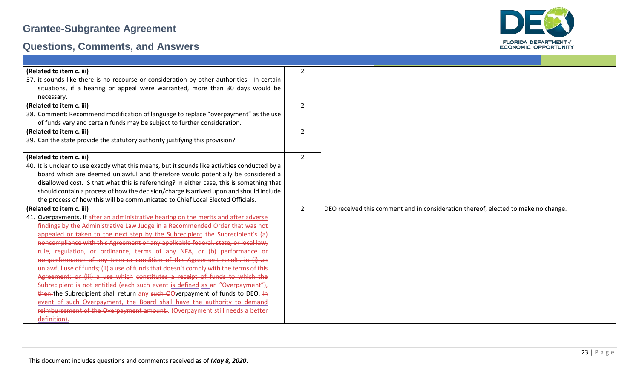

| (Related to item c. iii)                                                                       | $\overline{2}$ |                                                                                    |  |
|------------------------------------------------------------------------------------------------|----------------|------------------------------------------------------------------------------------|--|
| 37. it sounds like there is no recourse or consideration by other authorities. In certain      |                |                                                                                    |  |
| situations, if a hearing or appeal were warranted, more than 30 days would be                  |                |                                                                                    |  |
| necessary.                                                                                     |                |                                                                                    |  |
| (Related to item c. iii)                                                                       | $\overline{2}$ |                                                                                    |  |
| 38. Comment: Recommend modification of language to replace "overpayment" as the use            |                |                                                                                    |  |
| of funds vary and certain funds may be subject to further consideration.                       |                |                                                                                    |  |
| (Related to item c. iii)                                                                       | $\overline{2}$ |                                                                                    |  |
| 39. Can the state provide the statutory authority justifying this provision?                   |                |                                                                                    |  |
|                                                                                                |                |                                                                                    |  |
| (Related to item c. iii)                                                                       | $\overline{2}$ |                                                                                    |  |
| 40. It is unclear to use exactly what this means, but it sounds like activities conducted by a |                |                                                                                    |  |
| board which are deemed unlawful and therefore would potentially be considered a                |                |                                                                                    |  |
| disallowed cost. IS that what this is referencing? In either case, this is something that      |                |                                                                                    |  |
| should contain a process of how the decision/charge is arrived upon and should include         |                |                                                                                    |  |
| the process of how this will be communicated to Chief Local Elected Officials.                 |                |                                                                                    |  |
| (Related to item c. iii)                                                                       | $\overline{2}$ | DEO received this comment and in consideration thereof, elected to make no change. |  |
| 41. Overpayments. If after an administrative hearing on the merits and after adverse           |                |                                                                                    |  |
| findings by the Administrative Law Judge in a Recommended Order that was not                   |                |                                                                                    |  |
| appealed or taken to the next step by the Subrecipient the Subrecipient's (a)                  |                |                                                                                    |  |
| noncompliance with this Agreement or any applicable federal, state, or local law,              |                |                                                                                    |  |
| rule, regulation, or ordinance, terms of any NFA, or (b) performance or                        |                |                                                                                    |  |
| nonperformance of any term or condition of this Agreement results in (i) an                    |                |                                                                                    |  |
| unlawful use of funds; (ii) a use of funds that doesn't comply with the terms of this          |                |                                                                                    |  |
| Agreement; or (iii) a use which constitutes a receipt of funds to which the                    |                |                                                                                    |  |
| Subrecipient is not entitled (each such event is defined as an "Overpayment"),                 |                |                                                                                    |  |
| then the Subrecipient shall return any such OOverpayment of funds to DEO. In                   |                |                                                                                    |  |
| event of such Overpayment, the Board shall have the authority to demand                        |                |                                                                                    |  |
| reimbursement of the Overpayment amount (Overpayment still needs a better                      |                |                                                                                    |  |
| definition).                                                                                   |                |                                                                                    |  |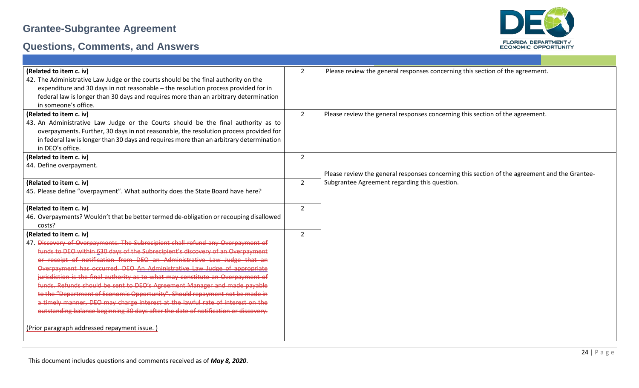

| (Related to item c. iv)<br>42. The Administrative Law Judge or the courts should be the final authority on the<br>expenditure and 30 days in not reasonable - the resolution process provided for in<br>federal law is longer than 30 days and requires more than an arbitrary determination<br>in someone's office. | $\overline{2}$ | Please review the general responses concerning this section of the agreement.                 |
|----------------------------------------------------------------------------------------------------------------------------------------------------------------------------------------------------------------------------------------------------------------------------------------------------------------------|----------------|-----------------------------------------------------------------------------------------------|
| (Related to item c. iv)<br>43. An Administrative Law Judge or the Courts should be the final authority as to<br>overpayments. Further, 30 days in not reasonable, the resolution process provided for<br>in federal law is longer than 30 days and requires more than an arbitrary determination<br>in DEO's office. | $\overline{2}$ | Please review the general responses concerning this section of the agreement.                 |
| (Related to item c. iv)                                                                                                                                                                                                                                                                                              | $\overline{2}$ |                                                                                               |
| 44. Define overpayment.                                                                                                                                                                                                                                                                                              |                |                                                                                               |
|                                                                                                                                                                                                                                                                                                                      |                | Please review the general responses concerning this section of the agreement and the Grantee- |
| (Related to item c. iv)                                                                                                                                                                                                                                                                                              | $\overline{2}$ | Subgrantee Agreement regarding this question.                                                 |
| 45. Please define "overpayment". What authority does the State Board have here?                                                                                                                                                                                                                                      |                |                                                                                               |
| (Related to item c. iv)                                                                                                                                                                                                                                                                                              | $\overline{2}$ |                                                                                               |
| 46. Overpayments? Wouldn't that be better termed de-obligation or recouping disallowed                                                                                                                                                                                                                               |                |                                                                                               |
|                                                                                                                                                                                                                                                                                                                      |                |                                                                                               |
| costs?                                                                                                                                                                                                                                                                                                               |                |                                                                                               |
| (Related to item c. iv)                                                                                                                                                                                                                                                                                              | $\overline{2}$ |                                                                                               |
| 47. Discovery of Overpayments. The Subrecipient shall refund any Overpayment of                                                                                                                                                                                                                                      |                |                                                                                               |
| funds to DEO within 630 days of the Subrecipient's discovery of an Overpayment                                                                                                                                                                                                                                       |                |                                                                                               |
| or receipt of notification from DEO an Administrative Law Judge that an                                                                                                                                                                                                                                              |                |                                                                                               |
| Overpayment has occurred. DEO An Administrative Law Judge of appropriate                                                                                                                                                                                                                                             |                |                                                                                               |
| jurisdiction is the final authority as to what may constitute an Overpayment of                                                                                                                                                                                                                                      |                |                                                                                               |
| funds. Refunds should be sent to DEO's Agreement Manager and made payable                                                                                                                                                                                                                                            |                |                                                                                               |
| to the "Department of Economic Opportunity". Should repayment not be made in                                                                                                                                                                                                                                         |                |                                                                                               |
| a timely manner, DEO may charge interest at the lawful rate of interest on the                                                                                                                                                                                                                                       |                |                                                                                               |
| outstanding balance beginning 30 days after the date of notification or discovery.                                                                                                                                                                                                                                   |                |                                                                                               |
| (Prior paragraph addressed repayment issue.)                                                                                                                                                                                                                                                                         |                |                                                                                               |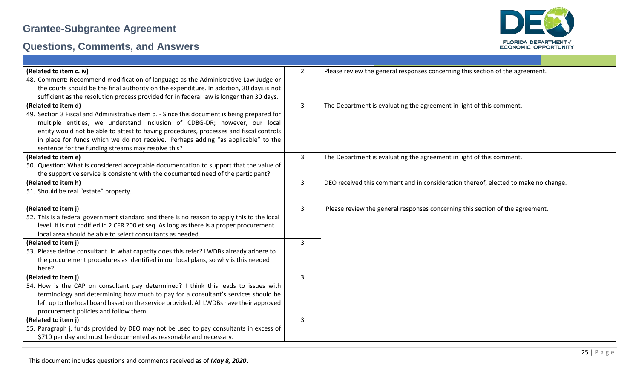

| (Related to item c. iv)                                                                                                                                                 | $2^{\circ}$  | Please review the general responses concerning this section of the agreement.      |
|-------------------------------------------------------------------------------------------------------------------------------------------------------------------------|--------------|------------------------------------------------------------------------------------|
| 48. Comment: Recommend modification of language as the Administrative Law Judge or                                                                                      |              |                                                                                    |
| the courts should be the final authority on the expenditure. In addition, 30 days is not                                                                                |              |                                                                                    |
| sufficient as the resolution process provided for in federal law is longer than 30 days.                                                                                |              |                                                                                    |
| (Related to item d)                                                                                                                                                     | $\mathbf{3}$ | The Department is evaluating the agreement in light of this comment.               |
| 49. Section 3 Fiscal and Administrative item d. - Since this document is being prepared for                                                                             |              |                                                                                    |
| multiple entities, we understand inclusion of CDBG-DR; however, our local                                                                                               |              |                                                                                    |
| entity would not be able to attest to having procedures, processes and fiscal controls                                                                                  |              |                                                                                    |
| in place for funds which we do not receive. Perhaps adding "as applicable" to the                                                                                       |              |                                                                                    |
| sentence for the funding streams may resolve this?                                                                                                                      |              |                                                                                    |
| (Related to item e)                                                                                                                                                     | 3            | The Department is evaluating the agreement in light of this comment.               |
| 50. Question: What is considered acceptable documentation to support that the value of                                                                                  |              |                                                                                    |
| the supportive service is consistent with the documented need of the participant?                                                                                       |              |                                                                                    |
| (Related to item h)                                                                                                                                                     | 3            | DEO received this comment and in consideration thereof, elected to make no change. |
| 51. Should be real "estate" property.                                                                                                                                   |              |                                                                                    |
|                                                                                                                                                                         |              |                                                                                    |
| (Related to item j)                                                                                                                                                     | $\mathbf{3}$ | Please review the general responses concerning this section of the agreement.      |
| 52. This is a federal government standard and there is no reason to apply this to the local                                                                             |              |                                                                                    |
| level. It is not codified in 2 CFR 200 et seq. As long as there is a proper procurement                                                                                 |              |                                                                                    |
| local area should be able to select consultants as needed.                                                                                                              |              |                                                                                    |
| (Related to item j)                                                                                                                                                     | 3            |                                                                                    |
| 53. Please define consultant. In what capacity does this refer? LWDBs already adhere to                                                                                 |              |                                                                                    |
| the procurement procedures as identified in our local plans, so why is this needed                                                                                      |              |                                                                                    |
| here?                                                                                                                                                                   |              |                                                                                    |
| (Related to item j)                                                                                                                                                     | 3            |                                                                                    |
| 54. How is the CAP on consultant pay determined? I think this leads to issues with<br>terminology and determining how much to pay for a consultant's services should be |              |                                                                                    |
|                                                                                                                                                                         |              |                                                                                    |
| left up to the local board based on the service provided. All LWDBs have their approved<br>procurement policies and follow them.                                        |              |                                                                                    |
| (Related to item j)                                                                                                                                                     | $\mathbf{3}$ |                                                                                    |
| 55. Paragraph j, funds provided by DEO may not be used to pay consultants in excess of                                                                                  |              |                                                                                    |
| \$710 per day and must be documented as reasonable and necessary.                                                                                                       |              |                                                                                    |
|                                                                                                                                                                         |              |                                                                                    |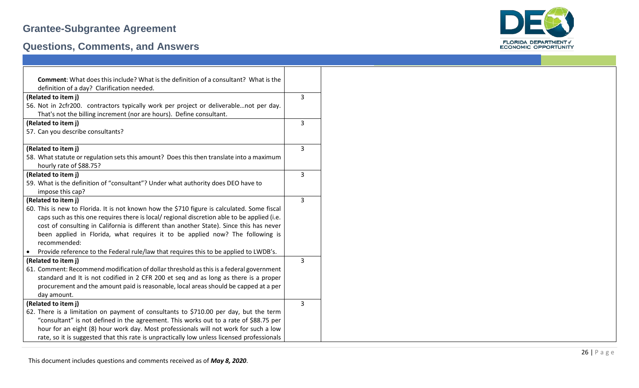

| <b>Comment:</b> What does this include? What is the definition of a consultant? What is the        |   |
|----------------------------------------------------------------------------------------------------|---|
| definition of a day? Clarification needed.                                                         |   |
| (Related to item j)                                                                                | 3 |
| 56. Not in 2cfr200. contractors typically work per project or deliverablenot per day.              |   |
| That's not the billing increment (nor are hours). Define consultant.                               |   |
| (Related to item j)                                                                                | 3 |
| 57. Can you describe consultants?                                                                  |   |
|                                                                                                    |   |
| (Related to item j)                                                                                | 3 |
| 58. What statute or regulation sets this amount? Does this then translate into a maximum           |   |
| hourly rate of \$88.75?                                                                            |   |
| (Related to item j)                                                                                | 3 |
| 59. What is the definition of "consultant"? Under what authority does DEO have to                  |   |
| impose this cap?                                                                                   |   |
| (Related to item j)                                                                                | 3 |
| 60. This is new to Florida. It is not known how the \$710 figure is calculated. Some fiscal        |   |
| caps such as this one requires there is local/ regional discretion able to be applied (i.e.        |   |
| cost of consulting in California is different than another State). Since this has never            |   |
| been applied in Florida, what requires it to be applied now? The following is                      |   |
| recommended:                                                                                       |   |
| Provide reference to the Federal rule/law that requires this to be applied to LWDB's.<br>$\bullet$ |   |
| (Related to item j)                                                                                | 3 |
| 61. Comment: Recommend modification of dollar threshold as this is a federal government            |   |
| standard and It is not codified in 2 CFR 200 et seq and as long as there is a proper               |   |
| procurement and the amount paid is reasonable, local areas should be capped at a per               |   |
| day amount.                                                                                        |   |
| (Related to item j)                                                                                | 3 |
| 62. There is a limitation on payment of consultants to \$710.00 per day, but the term              |   |
| "consultant" is not defined in the agreement. This works out to a rate of \$88.75 per              |   |
| hour for an eight (8) hour work day. Most professionals will not work for such a low               |   |
| rate, so it is suggested that this rate is unpractically low unless licensed professionals         |   |

| Comment: What does this include? What is the definition of a consultant? What is the        |                |
|---------------------------------------------------------------------------------------------|----------------|
| definition of a day? Clarification needed.                                                  |                |
| ated to item j)                                                                             | 3              |
| Not in 2cfr200. contractors typically work per project or deliverablenot per day.           |                |
| That's not the billing increment (nor are hours). Define consultant.                        |                |
| ated to item j)                                                                             | 3              |
| Can you describe consultants?                                                               |                |
|                                                                                             |                |
| ated to item j)                                                                             | 3              |
| What statute or regulation sets this amount? Does this then translate into a maximum        |                |
| nourly rate of \$88.75?                                                                     |                |
| ated to item j)                                                                             | 3              |
| What is the definition of "consultant"? Under what authority does DEO have to               |                |
| mpose this cap?                                                                             |                |
| ated to item j)                                                                             | $\overline{3}$ |
| This is new to Florida. It is not known how the \$710 figure is calculated. Some fiscal     |                |
| caps such as this one requires there is local/ regional discretion able to be applied (i.e. |                |
| cost of consulting in California is different than another State). Since this has never     |                |
| been applied in Florida, what requires it to be applied now? The following is               |                |
| recommended:                                                                                |                |
| Provide reference to the Federal rule/law that requires this to be applied to LWDB's.       |                |
| ated to item j)                                                                             | 3              |
| Comment: Recommend modification of dollar threshold as this is a federal government         |                |
| standard and It is not codified in 2 CFR 200 et seq and as long as there is a proper        |                |
| procurement and the amount paid is reasonable, local areas should be capped at a per        |                |
| day amount.                                                                                 |                |
| ated to item j)                                                                             | 3              |
| There is a limitation on payment of consultants to \$710.00 per day, but the term           |                |
| 'consultant" is not defined in the agreement. This works out to a rate of \$88.75 per       |                |
| nour for an eight (8) hour work day. Most professionals will not work for such a low        |                |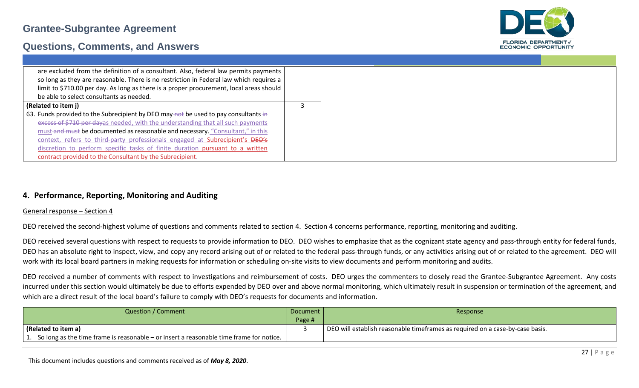

#### **Questions, Comments, and Answers**

| are excluded from the definition of a consultant. Also, federal law permits payments    |  |
|-----------------------------------------------------------------------------------------|--|
| so long as they are reasonable. There is no restriction in Federal law which requires a |  |
| limit to \$710.00 per day. As long as there is a proper procurement, local areas should |  |
| be able to select consultants as needed.                                                |  |
| (Related to item j)                                                                     |  |
| 63. Funds provided to the Subrecipient by DEO may-not be used to pay consultants in     |  |
| excess of \$710 per dayas needed, with the understanding that all such payments         |  |
| must-and-must be documented as reasonable and necessary. "Consultant," in this          |  |
| context, refers to third-party professionals engaged at Subrecipient's DEO's            |  |
| discretion to perform specific tasks of finite duration pursuant to a written           |  |
| contract provided to the Consultant by the Subrecipient.                                |  |

#### **4. Performance, Reporting, Monitoring and Auditing**

#### General response – Section 4

DEO received the second-highest volume of questions and comments related to section 4. Section 4 concerns performance, reporting, monitoring and auditing.

DEO received several questions with respect to requests to provide information to DEO. DEO wishes to emphasize that as the cognizant state agency and pass-through entity for federal funds, DEO has an absolute right to inspect, view, and copy any record arising out of or related to the federal pass-through funds, or any activities arising out of or related to the agreement. DEO will work with its local board partners in making requests for information or scheduling on-site visits to view documents and perform monitoring and audits.

DEO received a number of comments with respect to investigations and reimbursement of costs. DEO urges the commenters to closely read the Grantee-Subgrantee Agreement. Any costs incurred under this section would ultimately be due to efforts expended by DEO over and above normal monitoring, which ultimately result in suspension or termination of the agreement, and which are a direct result of the local board's failure to comply with DEO's requests for documents and information.

| Question / Comment                                                                         | Document | Response                                                                      |
|--------------------------------------------------------------------------------------------|----------|-------------------------------------------------------------------------------|
|                                                                                            | Page #   |                                                                               |
| (Related to item a)                                                                        |          | DEO will establish reasonable timeframes as required on a case-by-case basis. |
| 1. So long as the time frame is reasonable – or insert a reasonable time frame for notice. |          |                                                                               |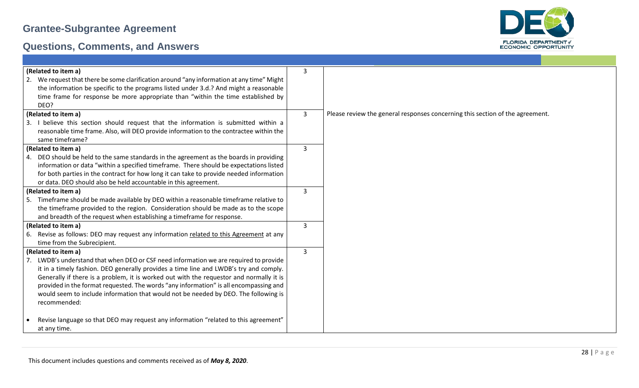

| (Related to item a)                                                                       | 3 |                                                                               |
|-------------------------------------------------------------------------------------------|---|-------------------------------------------------------------------------------|
| 2. We request that there be some clarification around "any information at any time" Might |   |                                                                               |
| the information be specific to the programs listed under 3.d.? And might a reasonable     |   |                                                                               |
| time frame for response be more appropriate than "within the time established by          |   |                                                                               |
| DEO?                                                                                      |   |                                                                               |
| (Related to item a)                                                                       | 3 | Please review the general responses concerning this section of the agreement. |
| 3. I believe this section should request that the information is submitted within a       |   |                                                                               |
| reasonable time frame. Also, will DEO provide information to the contractee within the    |   |                                                                               |
| same timeframe?                                                                           |   |                                                                               |
| (Related to item a)                                                                       | 3 |                                                                               |
| DEO should be held to the same standards in the agreement as the boards in providing      |   |                                                                               |
| information or data "within a specified timeframe. There should be expectations listed    |   |                                                                               |
| for both parties in the contract for how long it can take to provide needed information   |   |                                                                               |
| or data. DEO should also be held accountable in this agreement.                           |   |                                                                               |
| (Related to item a)                                                                       | 3 |                                                                               |
| Timeframe should be made available by DEO within a reasonable timeframe relative to       |   |                                                                               |
| the timeframe provided to the region. Consideration should be made as to the scope        |   |                                                                               |
| and breadth of the request when establishing a timeframe for response.                    |   |                                                                               |
| (Related to item a)                                                                       | 3 |                                                                               |
| 6. Revise as follows: DEO may request any information related to this Agreement at any    |   |                                                                               |
| time from the Subrecipient.                                                               |   |                                                                               |
| (Related to item a)                                                                       | 3 |                                                                               |
| LWDB's understand that when DEO or CSF need information we are required to provide        |   |                                                                               |
| it in a timely fashion. DEO generally provides a time line and LWDB's try and comply.     |   |                                                                               |
| Generally if there is a problem, it is worked out with the requestor and normally it is   |   |                                                                               |
| provided in the format requested. The words "any information" is all encompassing and     |   |                                                                               |
| would seem to include information that would not be needed by DEO. The following is       |   |                                                                               |
| recommended:                                                                              |   |                                                                               |
|                                                                                           |   |                                                                               |
| Revise language so that DEO may request any information "related to this agreement"       |   |                                                                               |
| at any time.                                                                              |   |                                                                               |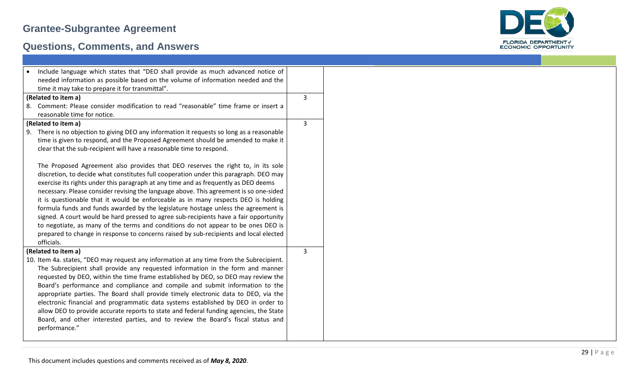

| Include language which states that "DEO shall provide as much advanced notice of           |   |
|--------------------------------------------------------------------------------------------|---|
| needed information as possible based on the volume of information needed and the           |   |
| time it may take to prepare it for transmittal".                                           |   |
| (Related to item a)                                                                        | 3 |
| 8. Comment: Please consider modification to read "reasonable" time frame or insert a       |   |
| reasonable time for notice.                                                                |   |
| (Related to item a)                                                                        | 3 |
| 9. There is no objection to giving DEO any information it requests so long as a reasonable |   |
| time is given to respond, and the Proposed Agreement should be amended to make it          |   |
|                                                                                            |   |
| clear that the sub-recipient will have a reasonable time to respond.                       |   |
|                                                                                            |   |
| The Proposed Agreement also provides that DEO reserves the right to, in its sole           |   |
| discretion, to decide what constitutes full cooperation under this paragraph. DEO may      |   |
| exercise its rights under this paragraph at any time and as frequently as DEO deems        |   |
| necessary. Please consider revising the language above. This agreement is so one-sided     |   |
| it is questionable that it would be enforceable as in many respects DEO is holding         |   |
| formula funds and funds awarded by the legislature hostage unless the agreement is         |   |
| signed. A court would be hard pressed to agree sub-recipients have a fair opportunity      |   |
| to negotiate, as many of the terms and conditions do not appear to be ones DEO is          |   |
| prepared to change in response to concerns raised by sub-recipients and local elected      |   |
| officials.                                                                                 |   |
| (Related to item a)                                                                        | 3 |
| 10. Item 4a. states, "DEO may request any information at any time from the Subrecipient.   |   |
| The Subrecipient shall provide any requested information in the form and manner            |   |
| requested by DEO, within the time frame established by DEO, so DEO may review the          |   |
| Board's performance and compliance and compile and submit information to the               |   |
| appropriate parties. The Board shall provide timely electronic data to DEO, via the        |   |
| electronic financial and programmatic data systems established by DEO in order to          |   |
| allow DEO to provide accurate reports to state and federal funding agencies, the State     |   |
| Board, and other interested parties, and to review the Board's fiscal status and           |   |
| performance."                                                                              |   |
|                                                                                            |   |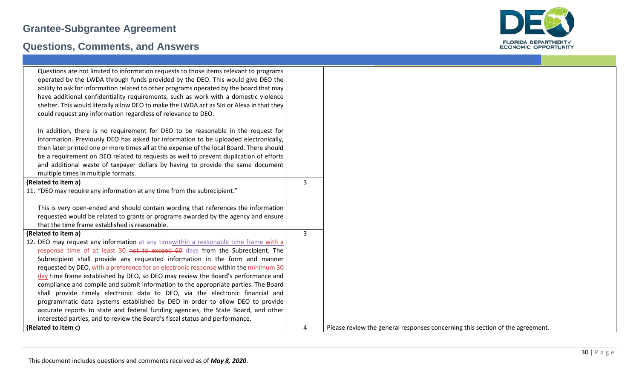

| Questions are not limited to information requests to those items relevant to programs<br>operated by the LWDA through funds provided by the DEO. This would give DEO the<br>ability to ask for information related to other programs operated by the board that may<br>have additional confidentiality requirements, such as work with a domestic violence<br>shelter. This would literally allow DEO to make the LWDA act as Siri or Alexa in that they<br>could request any information regardless of relevance to DEO. |   |                                                                               |
|---------------------------------------------------------------------------------------------------------------------------------------------------------------------------------------------------------------------------------------------------------------------------------------------------------------------------------------------------------------------------------------------------------------------------------------------------------------------------------------------------------------------------|---|-------------------------------------------------------------------------------|
| In addition, there is no requirement for DEO to be reasonable in the request for<br>information. Previously DEO has asked for information to be uploaded electronically,<br>then later printed one or more times all at the expense of the local Board. There should<br>be a requirement on DEO related to requests as well to prevent duplication of efforts<br>and additional waste of taxpayer dollars by having to provide the same document<br>multiple times in multiple formats.                                   |   |                                                                               |
| (Related to item a)                                                                                                                                                                                                                                                                                                                                                                                                                                                                                                       | 3 |                                                                               |
| 11. "DEO may require any information at any time from the subrecipient."                                                                                                                                                                                                                                                                                                                                                                                                                                                  |   |                                                                               |
| This is very open-ended and should contain wording that references the information                                                                                                                                                                                                                                                                                                                                                                                                                                        |   |                                                                               |
| requested would be related to grants or programs awarded by the agency and ensure                                                                                                                                                                                                                                                                                                                                                                                                                                         |   |                                                                               |
| that the time frame established is reasonable.                                                                                                                                                                                                                                                                                                                                                                                                                                                                            |   |                                                                               |
| (Related to item a)                                                                                                                                                                                                                                                                                                                                                                                                                                                                                                       | 3 |                                                                               |
| 12. DEO may request any information at any timewithin a reasonable time frame with a                                                                                                                                                                                                                                                                                                                                                                                                                                      |   |                                                                               |
| response time of at least 30 not to exceed 60 days from the Subrecipient. The                                                                                                                                                                                                                                                                                                                                                                                                                                             |   |                                                                               |
| Subrecipient shall provide any requested information in the form and manner                                                                                                                                                                                                                                                                                                                                                                                                                                               |   |                                                                               |
| requested by DEO, with a preference for an electronic response within the minimum 30                                                                                                                                                                                                                                                                                                                                                                                                                                      |   |                                                                               |
| day time frame established by DEO, so DEO may review the Board's performance and                                                                                                                                                                                                                                                                                                                                                                                                                                          |   |                                                                               |
| compliance and compile and submit information to the appropriate parties. The Board                                                                                                                                                                                                                                                                                                                                                                                                                                       |   |                                                                               |
| shall provide timely electronic data to DEO, via the electronic financial and                                                                                                                                                                                                                                                                                                                                                                                                                                             |   |                                                                               |
| programmatic data systems established by DEO in order to allow DEO to provide                                                                                                                                                                                                                                                                                                                                                                                                                                             |   |                                                                               |
| accurate reports to state and federal funding agencies, the State Board, and other                                                                                                                                                                                                                                                                                                                                                                                                                                        |   |                                                                               |
| interested parties, and to review the Board's fiscal status and performance.                                                                                                                                                                                                                                                                                                                                                                                                                                              |   |                                                                               |
| (Related to item c)                                                                                                                                                                                                                                                                                                                                                                                                                                                                                                       | 4 | Please review the general responses concerning this section of the agreement. |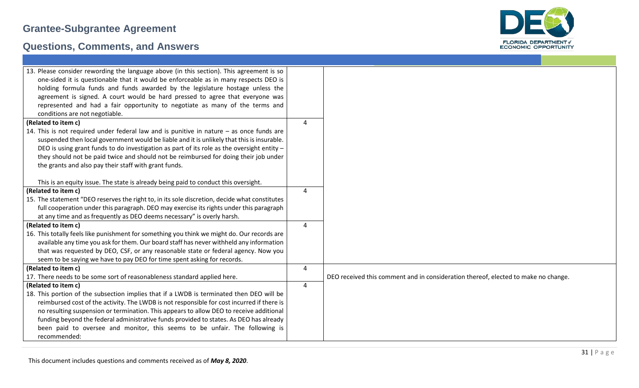

| 13. Please consider rewording the language above (in this section). This agreement is so<br>one-sided it is questionable that it would be enforceable as in many respects DEO is<br>holding formula funds and funds awarded by the legislature hostage unless the<br>agreement is signed. A court would be hard pressed to agree that everyone was<br>represented and had a fair opportunity to negotiate as many of the terms and<br>conditions are not negotiable. |   |                                                                                    |
|----------------------------------------------------------------------------------------------------------------------------------------------------------------------------------------------------------------------------------------------------------------------------------------------------------------------------------------------------------------------------------------------------------------------------------------------------------------------|---|------------------------------------------------------------------------------------|
| (Related to item c)                                                                                                                                                                                                                                                                                                                                                                                                                                                  | 4 |                                                                                    |
| 14. This is not required under federal law and is punitive in nature $-$ as once funds are<br>suspended then local government would be liable and it is unlikely that this is insurable.<br>DEO is using grant funds to do investigation as part of its role as the oversight entity -<br>they should not be paid twice and should not be reimbursed for doing their job under<br>the grants and also pay their staff with grant funds.                              |   |                                                                                    |
| This is an equity issue. The state is already being paid to conduct this oversight.                                                                                                                                                                                                                                                                                                                                                                                  |   |                                                                                    |
| (Related to item c)                                                                                                                                                                                                                                                                                                                                                                                                                                                  | 4 |                                                                                    |
| 15. The statement "DEO reserves the right to, in its sole discretion, decide what constitutes                                                                                                                                                                                                                                                                                                                                                                        |   |                                                                                    |
| full cooperation under this paragraph. DEO may exercise its rights under this paragraph                                                                                                                                                                                                                                                                                                                                                                              |   |                                                                                    |
| at any time and as frequently as DEO deems necessary" is overly harsh.                                                                                                                                                                                                                                                                                                                                                                                               |   |                                                                                    |
| (Related to item c)                                                                                                                                                                                                                                                                                                                                                                                                                                                  | 4 |                                                                                    |
| 16. This totally feels like punishment for something you think we might do. Our records are                                                                                                                                                                                                                                                                                                                                                                          |   |                                                                                    |
| available any time you ask for them. Our board staff has never withheld any information                                                                                                                                                                                                                                                                                                                                                                              |   |                                                                                    |
| that was requested by DEO, CSF, or any reasonable state or federal agency. Now you                                                                                                                                                                                                                                                                                                                                                                                   |   |                                                                                    |
| seem to be saying we have to pay DEO for time spent asking for records.                                                                                                                                                                                                                                                                                                                                                                                              |   |                                                                                    |
| (Related to item c)                                                                                                                                                                                                                                                                                                                                                                                                                                                  | 4 |                                                                                    |
| 17. There needs to be some sort of reasonableness standard applied here.                                                                                                                                                                                                                                                                                                                                                                                             |   | DEO received this comment and in consideration thereof, elected to make no change. |
| (Related to item c)                                                                                                                                                                                                                                                                                                                                                                                                                                                  | 4 |                                                                                    |
| 18. This portion of the subsection implies that if a LWDB is terminated then DEO will be                                                                                                                                                                                                                                                                                                                                                                             |   |                                                                                    |
| reimbursed cost of the activity. The LWDB is not responsible for cost incurred if there is                                                                                                                                                                                                                                                                                                                                                                           |   |                                                                                    |
| no resulting suspension or termination. This appears to allow DEO to receive additional                                                                                                                                                                                                                                                                                                                                                                              |   |                                                                                    |
| funding beyond the federal administrative funds provided to states. As DEO has already                                                                                                                                                                                                                                                                                                                                                                               |   |                                                                                    |
| been paid to oversee and monitor, this seems to be unfair. The following is                                                                                                                                                                                                                                                                                                                                                                                          |   |                                                                                    |
| recommended:                                                                                                                                                                                                                                                                                                                                                                                                                                                         |   |                                                                                    |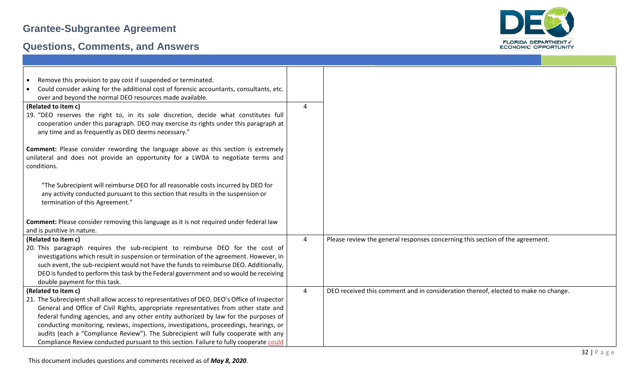

| Remove this provision to pay cost if suspended or terminated.<br>$\bullet$                                                                                                                                                                                                                                                                                                                    |                |                                                                                    |
|-----------------------------------------------------------------------------------------------------------------------------------------------------------------------------------------------------------------------------------------------------------------------------------------------------------------------------------------------------------------------------------------------|----------------|------------------------------------------------------------------------------------|
| Could consider asking for the additional cost of forensic accountants, consultants, etc.                                                                                                                                                                                                                                                                                                      |                |                                                                                    |
| over and beyond the normal DEO resources made available.                                                                                                                                                                                                                                                                                                                                      |                |                                                                                    |
| (Related to item c)                                                                                                                                                                                                                                                                                                                                                                           | 4              |                                                                                    |
| 19. "DEO reserves the right to, in its sole discretion, decide what constitutes full<br>cooperation under this paragraph. DEO may exercise its rights under this paragraph at<br>any time and as frequently as DEO deems necessary."                                                                                                                                                          |                |                                                                                    |
| Comment: Please consider rewording the language above as this section is extremely                                                                                                                                                                                                                                                                                                            |                |                                                                                    |
| unilateral and does not provide an opportunity for a LWDA to negotiate terms and<br>conditions.                                                                                                                                                                                                                                                                                               |                |                                                                                    |
| "The Subrecipient will reimburse DEO for all reasonable costs incurred by DEO for<br>any activity conducted pursuant to this section that results in the suspension or<br>termination of this Agreement."                                                                                                                                                                                     |                |                                                                                    |
| Comment: Please consider removing this language as it is not required under federal law                                                                                                                                                                                                                                                                                                       |                |                                                                                    |
| and is punitive in nature.                                                                                                                                                                                                                                                                                                                                                                    |                |                                                                                    |
| (Related to item c)                                                                                                                                                                                                                                                                                                                                                                           | $\overline{4}$ | Please review the general responses concerning this section of the agreement.      |
| 20. This paragraph requires the sub-recipient to reimburse DEO for the cost of<br>investigations which result in suspension or termination of the agreement. However, in<br>such event, the sub-recipient would not have the funds to reimburse DEO. Additionally,<br>DEO is funded to perform this task by the Federal government and so would be receiving<br>double payment for this task. |                |                                                                                    |
| (Related to item c)                                                                                                                                                                                                                                                                                                                                                                           | 4              | DEO received this comment and in consideration thereof, elected to make no change. |
| 21. The Subrecipient shall allow access to representatives of DEO, DEO's Office of Inspector<br>General and Office of Civil Rights, appropriate representatives from other state and<br>federal funding agencies, and any other entity authorized by law for the purposes of<br>conducting monitoring, reviews, inspections, investigations, proceedings, hearings, or                        |                |                                                                                    |
| audits (each a "Compliance Review"). The Subrecipient will fully cooperate with any<br>Compliance Review conducted pursuant to this section. Failure to fully cooperate could                                                                                                                                                                                                                 |                |                                                                                    |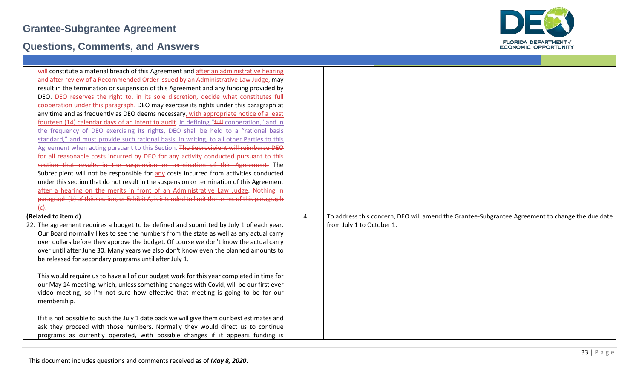

| will constitute a material breach of this Agreement and after an administrative hearing                                                                          |   |                                                                                                 |
|------------------------------------------------------------------------------------------------------------------------------------------------------------------|---|-------------------------------------------------------------------------------------------------|
| and after review of a Recommended Order issued by an Administrative Law Judge, may                                                                               |   |                                                                                                 |
| result in the termination or suspension of this Agreement and any funding provided by                                                                            |   |                                                                                                 |
| DEO. <del>DEO reserves the right to, in its sole discretion, decide what constitutes full</del>                                                                  |   |                                                                                                 |
| cooperation under this paragraph. DEO may exercise its rights under this paragraph at                                                                            |   |                                                                                                 |
| any time and as frequently as DEO deems necessary, with appropriate notice of a least                                                                            |   |                                                                                                 |
| fourteen (14) calendar days of an intent to audit. In defining "full cooperation," and in                                                                        |   |                                                                                                 |
| the frequency of DEO exercising its rights, DEO shall be held to a "rational basis                                                                               |   |                                                                                                 |
| standard," and must provide such rational basis, in writing, to all other Parties to this                                                                        |   |                                                                                                 |
| Agreement when acting pursuant to this Section. The Subrecipient will reimburse DEO                                                                              |   |                                                                                                 |
| for all reasonable costs incurred by DEO for any activity conducted pursuant to this                                                                             |   |                                                                                                 |
| section that results in the suspension or termination of this Agreement. The                                                                                     |   |                                                                                                 |
| Subrecipient will not be responsible for any costs incurred from activities conducted                                                                            |   |                                                                                                 |
| under this section that do not result in the suspension or termination of this Agreement                                                                         |   |                                                                                                 |
| after a hearing on the merits in front of an Administrative Law Judge. Nothing in                                                                                |   |                                                                                                 |
| paragraph (b) of this section, or Exhibit A, is intended to limit the terms of this paragraph                                                                    |   |                                                                                                 |
| $\left\{ \epsilon \right\}$ .                                                                                                                                    |   |                                                                                                 |
| (Related to item d)                                                                                                                                              | 4 | To address this concern, DEO will amend the Grantee-Subgrantee Agreement to change the due date |
|                                                                                                                                                                  |   |                                                                                                 |
| 22. The agreement requires a budget to be defined and submitted by July 1 of each year.                                                                          |   | from July 1 to October 1.                                                                       |
| Our Board normally likes to see the numbers from the state as well as any actual carry                                                                           |   |                                                                                                 |
| over dollars before they approve the budget. Of course we don't know the actual carry                                                                            |   |                                                                                                 |
| over until after June 30. Many years we also don't know even the planned amounts to                                                                              |   |                                                                                                 |
| be released for secondary programs until after July 1.                                                                                                           |   |                                                                                                 |
|                                                                                                                                                                  |   |                                                                                                 |
| This would require us to have all of our budget work for this year completed in time for                                                                         |   |                                                                                                 |
| our May 14 meeting, which, unless something changes with Covid, will be our first ever                                                                           |   |                                                                                                 |
| video meeting, so I'm not sure how effective that meeting is going to be for our                                                                                 |   |                                                                                                 |
| membership.                                                                                                                                                      |   |                                                                                                 |
|                                                                                                                                                                  |   |                                                                                                 |
| If it is not possible to push the July 1 date back we will give them our best estimates and                                                                      |   |                                                                                                 |
| ask they proceed with those numbers. Normally they would direct us to continue<br>programs as currently operated, with possible changes if it appears funding is |   |                                                                                                 |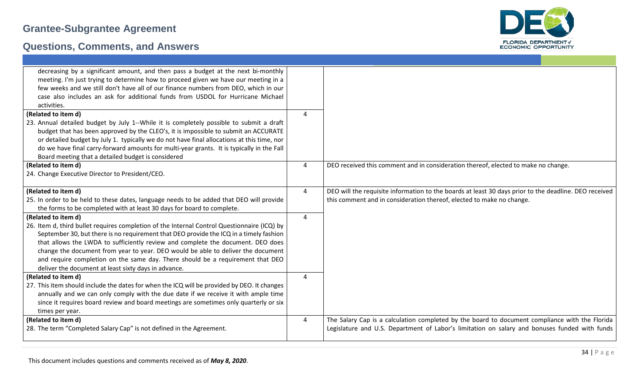

| decreasing by a significant amount, and then pass a budget at the next bi-monthly<br>meeting. I'm just trying to determine how to proceed given we have our meeting in a |                |                                                                                                       |
|--------------------------------------------------------------------------------------------------------------------------------------------------------------------------|----------------|-------------------------------------------------------------------------------------------------------|
| few weeks and we still don't have all of our finance numbers from DEO, which in our                                                                                      |                |                                                                                                       |
| case also includes an ask for additional funds from USDOL for Hurricane Michael                                                                                          |                |                                                                                                       |
| activities.                                                                                                                                                              |                |                                                                                                       |
| (Related to item d)                                                                                                                                                      | 4              |                                                                                                       |
| 23. Annual detailed budget by July 1--While it is completely possible to submit a draft                                                                                  |                |                                                                                                       |
| budget that has been approved by the CLEO's, it is impossible to submit an ACCURATE                                                                                      |                |                                                                                                       |
| or detailed budget by July 1. typically we do not have final allocations at this time, nor                                                                               |                |                                                                                                       |
| do we have final carry-forward amounts for multi-year grants. It is typically in the Fall                                                                                |                |                                                                                                       |
| Board meeting that a detailed budget is considered                                                                                                                       |                |                                                                                                       |
| (Related to item d)                                                                                                                                                      | 4              | DEO received this comment and in consideration thereof, elected to make no change.                    |
| 24. Change Executive Director to President/CEO.                                                                                                                          |                |                                                                                                       |
|                                                                                                                                                                          |                |                                                                                                       |
| (Related to item d)                                                                                                                                                      | 4              | DEO will the requisite information to the boards at least 30 days prior to the deadline. DEO received |
| 25. In order to be held to these dates, language needs to be added that DEO will provide                                                                                 |                | this comment and in consideration thereof, elected to make no change.                                 |
| the forms to be completed with at least 30 days for board to complete.                                                                                                   |                |                                                                                                       |
| (Related to item d)                                                                                                                                                      | 4              |                                                                                                       |
| 26. Item d, third bullet requires completion of the Internal Control Questionnaire (ICQ) by                                                                              |                |                                                                                                       |
| September 30, but there is no requirement that DEO provide the ICQ in a timely fashion                                                                                   |                |                                                                                                       |
| that allows the LWDA to sufficiently review and complete the document. DEO does                                                                                          |                |                                                                                                       |
| change the document from year to year. DEO would be able to deliver the document                                                                                         |                |                                                                                                       |
| and require completion on the same day. There should be a requirement that DEO                                                                                           |                |                                                                                                       |
| deliver the document at least sixty days in advance.                                                                                                                     |                |                                                                                                       |
| (Related to item d)                                                                                                                                                      | 4              |                                                                                                       |
| 27. This item should include the dates for when the ICQ will be provided by DEO. It changes                                                                              |                |                                                                                                       |
| annually and we can only comply with the due date if we receive it with ample time                                                                                       |                |                                                                                                       |
| since it requires board review and board meetings are sometimes only quarterly or six                                                                                    |                |                                                                                                       |
| times per year.                                                                                                                                                          |                |                                                                                                       |
| (Related to item d)                                                                                                                                                      | $\overline{4}$ | The Salary Cap is a calculation completed by the board to document compliance with the Florida        |
| 28. The term "Completed Salary Cap" is not defined in the Agreement.                                                                                                     |                | Legislature and U.S. Department of Labor's limitation on salary and bonuses funded with funds         |
|                                                                                                                                                                          |                |                                                                                                       |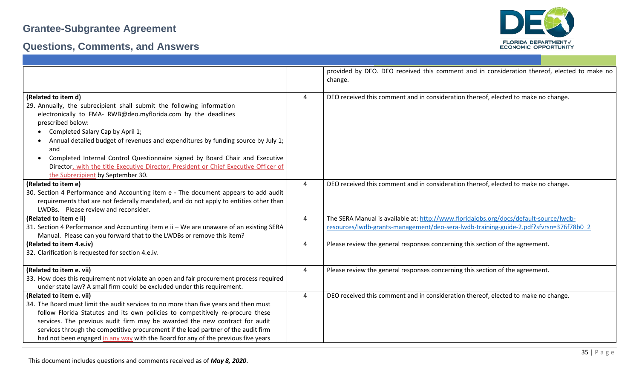



|                                                                                           |                | provided by DEO. DEO received this comment and in consideration thereof, elected to make no |
|-------------------------------------------------------------------------------------------|----------------|---------------------------------------------------------------------------------------------|
|                                                                                           |                | change.                                                                                     |
|                                                                                           |                |                                                                                             |
| (Related to item d)                                                                       | 4              | DEO received this comment and in consideration thereof, elected to make no change.          |
| 29. Annually, the subrecipient shall submit the following information                     |                |                                                                                             |
| electronically to FMA- RWB@deo.myflorida.com by the deadlines                             |                |                                                                                             |
| prescribed below:                                                                         |                |                                                                                             |
| Completed Salary Cap by April 1;                                                          |                |                                                                                             |
| Annual detailed budget of revenues and expenditures by funding source by July 1;          |                |                                                                                             |
| and                                                                                       |                |                                                                                             |
| Completed Internal Control Questionnaire signed by Board Chair and Executive<br>$\bullet$ |                |                                                                                             |
| Director, with the title Executive Director, President or Chief Executive Officer of      |                |                                                                                             |
| the Subrecipient by September 30.                                                         |                |                                                                                             |
| (Related to item e)                                                                       | 4              | DEO received this comment and in consideration thereof, elected to make no change.          |
| 30. Section 4 Performance and Accounting item e - The document appears to add audit       |                |                                                                                             |
| requirements that are not federally mandated, and do not apply to entities other than     |                |                                                                                             |
| LWDBs. Please review and reconsider.                                                      |                |                                                                                             |
| (Related to item e ii)                                                                    | $\overline{4}$ | The SERA Manual is available at: http://www.floridajobs.org/docs/default-source/lwdb-       |
| 31. Section 4 Performance and Accounting item e ii - We are unaware of an existing SERA   |                | resources/lwdb-grants-management/deo-sera-lwdb-training-guide-2.pdf?sfvrsn=376f78b0_2       |
| Manual. Please can you forward that to the LWDBs or remove this item?                     |                |                                                                                             |
| (Related to item 4.e.iv)                                                                  | $\overline{4}$ | Please review the general responses concerning this section of the agreement.               |
| 32. Clarification is requested for section 4.e.iv.                                        |                |                                                                                             |
|                                                                                           |                |                                                                                             |
| (Related to item e. vii)                                                                  | $\overline{4}$ | Please review the general responses concerning this section of the agreement.               |
| 33. How does this requirement not violate an open and fair procurement process required   |                |                                                                                             |
| under state law? A small firm could be excluded under this requirement.                   |                |                                                                                             |
| (Related to item e. vii)                                                                  | $\overline{4}$ | DEO received this comment and in consideration thereof, elected to make no change.          |
| 34. The Board must limit the audit services to no more than five years and then must      |                |                                                                                             |
| follow Florida Statutes and its own policies to competitively re-procure these            |                |                                                                                             |
| services. The previous audit firm may be awarded the new contract for audit               |                |                                                                                             |
| services through the competitive procurement if the lead partner of the audit firm        |                |                                                                                             |
| had not been engaged in any way with the Board for any of the previous five years         |                |                                                                                             |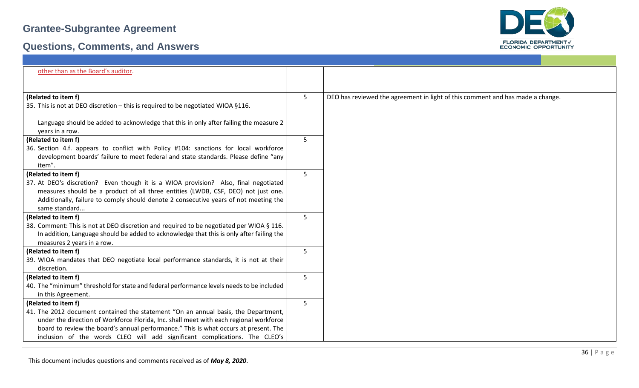

| other than as the Board's auditor.                                                        |   |                                                                                |
|-------------------------------------------------------------------------------------------|---|--------------------------------------------------------------------------------|
| (Related to item f)                                                                       | 5 | DEO has reviewed the agreement in light of this comment and has made a change. |
| 35. This is not at DEO discretion - this is required to be negotiated WIOA §116.          |   |                                                                                |
|                                                                                           |   |                                                                                |
| Language should be added to acknowledge that this in only after failing the measure 2     |   |                                                                                |
| years in a row.                                                                           |   |                                                                                |
| (Related to item f)                                                                       | 5 |                                                                                |
| 36. Section 4.f. appears to conflict with Policy #104: sanctions for local workforce      |   |                                                                                |
| development boards' failure to meet federal and state standards. Please define "any       |   |                                                                                |
| item".                                                                                    |   |                                                                                |
| (Related to item f)                                                                       | 5 |                                                                                |
| 37. At DEO's discretion? Even though it is a WIOA provision? Also, final negotiated       |   |                                                                                |
| measures should be a product of all three entities (LWDB, CSF, DEO) not just one.         |   |                                                                                |
| Additionally, failure to comply should denote 2 consecutive years of not meeting the      |   |                                                                                |
| same standard                                                                             |   |                                                                                |
| (Related to item f)                                                                       | 5 |                                                                                |
| 38. Comment: This is not at DEO discretion and required to be negotiated per WIOA § 116.  |   |                                                                                |
| In addition, Language should be added to acknowledge that this is only after failing the  |   |                                                                                |
| measures 2 years in a row.                                                                |   |                                                                                |
| (Related to item f)                                                                       | 5 |                                                                                |
| 39. WIOA mandates that DEO negotiate local performance standards, it is not at their      |   |                                                                                |
| discretion.                                                                               |   |                                                                                |
| (Related to item f)                                                                       | 5 |                                                                                |
| 40. The "minimum" threshold for state and federal performance levels needs to be included |   |                                                                                |
| in this Agreement.                                                                        |   |                                                                                |
| (Related to item f)                                                                       | 5 |                                                                                |
| 41. The 2012 document contained the statement "On an annual basis, the Department,        |   |                                                                                |
| under the direction of Workforce Florida, Inc. shall meet with each regional workforce    |   |                                                                                |
| board to review the board's annual performance." This is what occurs at present. The      |   |                                                                                |
| inclusion of the words CLEO will add significant complications. The CLEO's                |   |                                                                                |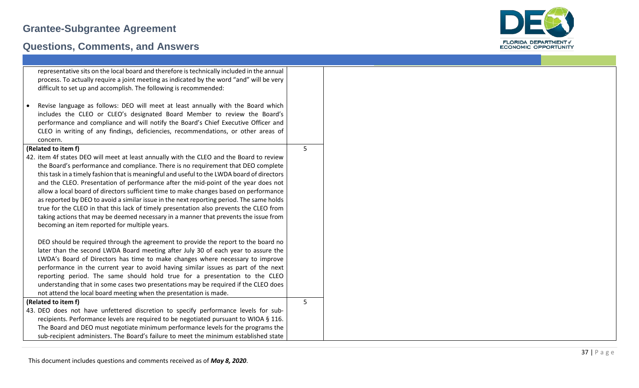

| representative sits on the local board and therefore is technically included in the annual |   |
|--------------------------------------------------------------------------------------------|---|
| process. To actually require a joint meeting as indicated by the word "and" will be very   |   |
| difficult to set up and accomplish. The following is recommended:                          |   |
|                                                                                            |   |
| Revise language as follows: DEO will meet at least annually with the Board which           |   |
| includes the CLEO or CLEO's designated Board Member to review the Board's                  |   |
| performance and compliance and will notify the Board's Chief Executive Officer and         |   |
| CLEO in writing of any findings, deficiencies, recommendations, or other areas of          |   |
| concern.                                                                                   |   |
| (Related to item f)                                                                        | 5 |
| 42. item 4f states DEO will meet at least annually with the CLEO and the Board to review   |   |
| the Board's performance and compliance. There is no requirement that DEO complete          |   |
| this task in a timely fashion that is meaningful and useful to the LWDA board of directors |   |
| and the CLEO. Presentation of performance after the mid-point of the year does not         |   |
| allow a local board of directors sufficient time to make changes based on performance      |   |
| as reported by DEO to avoid a similar issue in the next reporting period. The same holds   |   |
| true for the CLEO in that this lack of timely presentation also prevents the CLEO from     |   |
| taking actions that may be deemed necessary in a manner that prevents the issue from       |   |
| becoming an item reported for multiple years.                                              |   |
|                                                                                            |   |
| DEO should be required through the agreement to provide the report to the board no         |   |
| later than the second LWDA Board meeting after July 30 of each year to assure the          |   |
| LWDA's Board of Directors has time to make changes where necessary to improve              |   |
| performance in the current year to avoid having similar issues as part of the next         |   |
| reporting period. The same should hold true for a presentation to the CLEO                 |   |
| understanding that in some cases two presentations may be required if the CLEO does        |   |
| not attend the local board meeting when the presentation is made.                          |   |
| (Related to item f)                                                                        | 5 |
| 43. DEO does not have unfettered discretion to specify performance levels for sub-         |   |
| recipients. Performance levels are required to be negotiated pursuant to WIOA § 116.       |   |
| The Board and DEO must negotiate minimum performance levels for the programs the           |   |
| sub-recipient administers. The Board's failure to meet the minimum established state       |   |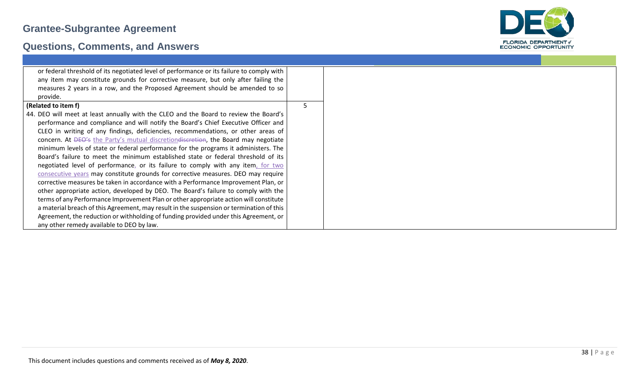

| or federal threshold of its negotiated level of performance or its failure to comply with |  |
|-------------------------------------------------------------------------------------------|--|
| any item may constitute grounds for corrective measure, but only after failing the        |  |
| measures 2 years in a row, and the Proposed Agreement should be amended to so             |  |
| provide.                                                                                  |  |
| (Related to item f)                                                                       |  |
| 44. DEO will meet at least annually with the CLEO and the Board to review the Board's     |  |
| performance and compliance and will notify the Board's Chief Executive Officer and        |  |
|                                                                                           |  |
| CLEO in writing of any findings, deficiencies, recommendations, or other areas of         |  |
| concern. At DEO's the Party's mutual discretiondiscretion, the Board may negotiate        |  |
| minimum levels of state or federal performance for the programs it administers. The       |  |
| Board's failure to meet the minimum established state or federal threshold of its         |  |
| negotiated level of performance, or its failure to comply with any item, for two          |  |
| consecutive years may constitute grounds for corrective measures. DEO may require         |  |
| corrective measures be taken in accordance with a Performance Improvement Plan, or        |  |
| other appropriate action, developed by DEO. The Board's failure to comply with the        |  |
| terms of any Performance Improvement Plan or other appropriate action will constitute     |  |
| a material breach of this Agreement, may result in the suspension or termination of this  |  |
| Agreement, the reduction or withholding of funding provided under this Agreement, or      |  |
| any other remedy available to DEO by law.                                                 |  |
|                                                                                           |  |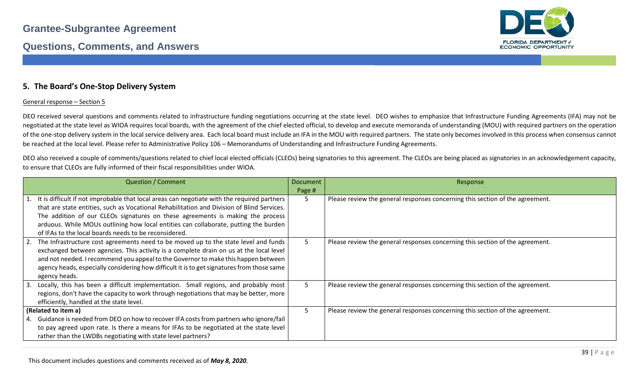

#### **5. The Board's One-Stop Delivery System**

#### General response – Section 5

DEO received several questions and comments related to infrastructure funding negotiations occurring at the state level. DEO wishes to emphasize that Infrastructure Funding Agreements (IFA) may not be negotiated at the state level as WIOA requires local boards, with the agreement of the chief elected official, to develop and execute memoranda of understanding (MOU) with required partners on the operation of the one-stop delivery system in the local service delivery area. Each local board must include an IFA in the MOU with required partners. The state only becomes involved in this process when consensus cannot be reached at the local level. Please refer to Administrative Policy 106 – Memorandums of Understanding and Infrastructure Funding Agreements.

DEO also received a couple of comments/questions related to chief local elected officials (CLEOs) being signatories to this agreement. The CLEOs are being placed as signatories in an acknowledgement capacity, to ensure that CLEOs are fully informed of their fiscal responsibilities under WIOA.

| <b>Question / Comment</b>                                                                                                                                                                                                                                                                                                                                                                                                       | <b>Document</b><br>Page # | Response                                                                      |
|---------------------------------------------------------------------------------------------------------------------------------------------------------------------------------------------------------------------------------------------------------------------------------------------------------------------------------------------------------------------------------------------------------------------------------|---------------------------|-------------------------------------------------------------------------------|
| 1. It is difficult if not improbable that local areas can negotiate with the required partners<br>that are state entities, such as Vocational Rehabilitation and Division of Blind Services.<br>The addition of our CLEOs signatures on these agreements is making the process<br>arduous. While MOUs outlining how local entities can collaborate, putting the burden<br>of IFAs to the local boards needs to be reconsidered. | 5.                        | Please review the general responses concerning this section of the agreement. |
| 2. The Infrastructure cost agreements need to be moved up to the state level and funds<br>exchanged between agencies. This activity is a complete drain on us at the local level<br>and not needed. I recommend you appeal to the Governor to make this happen between<br>agency heads, especially considering how difficult it is to get signatures from those same<br>agency heads.                                           | 5                         | Please review the general responses concerning this section of the agreement. |
| 3. Locally, this has been a difficult implementation. Small regions, and probably most<br>regions, don't have the capacity to work through negotiations that may be better, more<br>efficiently, handled at the state level.                                                                                                                                                                                                    | 5.                        | Please review the general responses concerning this section of the agreement. |
| (Related to item a)<br>4. Guidance is needed from DEO on how to recover IFA costs from partners who ignore/fail<br>to pay agreed upon rate. Is there a means for IFAs to be negotiated at the state level<br>rather than the LWDBs negotiating with state level partners?                                                                                                                                                       | 5                         | Please review the general responses concerning this section of the agreement. |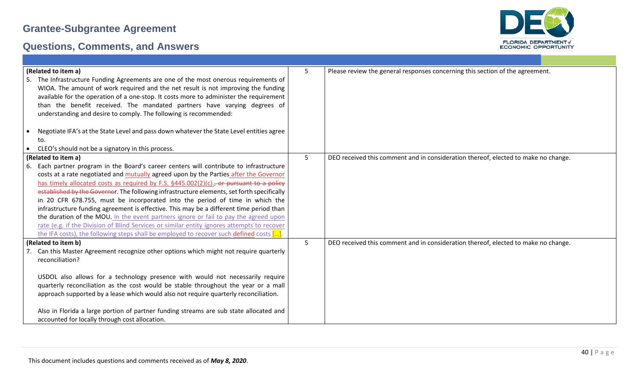

| (Related to item a)                                                                                   | 5              | Please review the general responses concerning this section of the agreement.      |
|-------------------------------------------------------------------------------------------------------|----------------|------------------------------------------------------------------------------------|
| The Infrastructure Funding Agreements are one of the most onerous requirements of<br>5.               |                |                                                                                    |
| WIOA. The amount of work required and the net result is not improving the funding                     |                |                                                                                    |
| available for the operation of a one-stop. It costs more to administer the requirement                |                |                                                                                    |
| than the benefit received. The mandated partners have varying degrees of                              |                |                                                                                    |
| understanding and desire to comply. The following is recommended:                                     |                |                                                                                    |
|                                                                                                       |                |                                                                                    |
| Negotiate IFA's at the State Level and pass down whatever the State Level entities agree<br>$\bullet$ |                |                                                                                    |
| to.                                                                                                   |                |                                                                                    |
| CLEO's should not be a signatory in this process.<br>$\bullet$                                        |                |                                                                                    |
| (Related to item a)                                                                                   | 5              | DEO received this comment and in consideration thereof, elected to make no change. |
| Each partner program in the Board's career centers will contribute to infrastructure<br>6.            |                |                                                                                    |
| costs at a rate negotiated and mutually agreed upon by the Parties after the Governor                 |                |                                                                                    |
| has timely allocated costs as required by F.S. §445.002(2)(c)., or pursuant to a policy               |                |                                                                                    |
| established by the Governor. The following infrastructure elements, set forth specifically            |                |                                                                                    |
| in 20 CFR 678.755, must be incorporated into the period of time in which the                          |                |                                                                                    |
| infrastructure funding agreement is effective. This may be a different time period than               |                |                                                                                    |
| the duration of the MOU. In the event partners ignore or fail to pay the agreed upon                  |                |                                                                                    |
| rate (e.g. if the Division of Blind Services or similar entity ignores attempts to recover            |                |                                                                                    |
| the IFA costs), the following steps shall be employed to recover such defined costs $[\dots]$ .       |                |                                                                                    |
| (Related to item b)                                                                                   | 5 <sup>1</sup> | DEO received this comment and in consideration thereof, elected to make no change. |
| Can this Master Agreement recognize other options which might not require quarterly                   |                |                                                                                    |
| reconciliation?                                                                                       |                |                                                                                    |
|                                                                                                       |                |                                                                                    |
| USDOL also allows for a technology presence with would not necessarily require                        |                |                                                                                    |
| quarterly reconciliation as the cost would be stable throughout the year or a mall                    |                |                                                                                    |
| approach supported by a lease which would also not require quarterly reconciliation.                  |                |                                                                                    |
|                                                                                                       |                |                                                                                    |
| Also in Florida a large portion of partner funding streams are sub state allocated and                |                |                                                                                    |
| accounted for locally through cost allocation.                                                        |                |                                                                                    |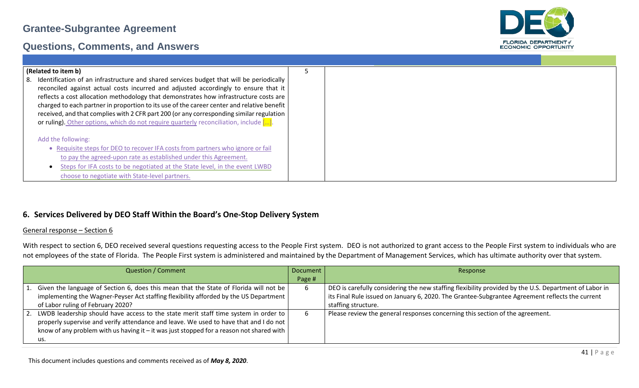#### **Questions, Comments, and Answers**



#### **6. Services Delivered by DEO Staff Within the Board's One-Stop Delivery System**

#### General response – Section 6

With respect to section 6, DEO received several questions requesting access to the People First system. DEO is not authorized to grant access to the People First system to individuals who are not employees of the state of Florida. The People First system is administered and maintained by the Department of Management Services, which has ultimate authority over that system.

| <b>Question / Comment</b>                                                                                                                                                                 | Document | Response                                                                                              |
|-------------------------------------------------------------------------------------------------------------------------------------------------------------------------------------------|----------|-------------------------------------------------------------------------------------------------------|
|                                                                                                                                                                                           | Page #   |                                                                                                       |
| Given the language of Section 6, does this mean that the State of Florida will not be $\vert$                                                                                             |          | DEO is carefully considering the new staffing flexibility provided by the U.S. Department of Labor in |
| implementing the Wagner-Peyser Act staffing flexibility afforded by the US Department                                                                                                     |          | its Final Rule issued on January 6, 2020. The Grantee-Subgrantee Agreement reflects the current       |
| of Labor ruling of February 2020?                                                                                                                                                         |          | staffing structure.                                                                                   |
| 2. LWDB leadership should have access to the state merit staff time system in order to  <br>properly supervise and verify attendance and leave. We used to have that and I do not $\vert$ |          | Please review the general responses concerning this section of the agreement.                         |
| know of any problem with us having it – it was just stopped for a reason not shared with $\vert$<br>us.                                                                                   |          |                                                                                                       |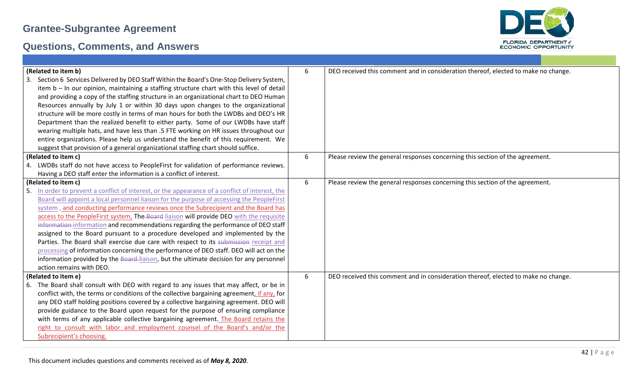

| (Related to item b)<br>Section 6 Services Delivered by DEO Staff Within the Board's One-Stop Delivery System,<br>item b - In our opinion, maintaining a staffing structure chart with this level of detail<br>and providing a copy of the staffing structure in an organizational chart to DEO Human<br>Resources annually by July 1 or within 30 days upon changes to the organizational<br>structure will be more costly in terms of man hours for both the LWDBs and DEO's HR<br>Department than the realized benefit to either party. Some of our LWDBs have staff<br>wearing multiple hats, and have less than .5 FTE working on HR issues throughout our                                                                                                                                                                                                                           | 6 | DEO received this comment and in consideration thereof, elected to make no change. |
|------------------------------------------------------------------------------------------------------------------------------------------------------------------------------------------------------------------------------------------------------------------------------------------------------------------------------------------------------------------------------------------------------------------------------------------------------------------------------------------------------------------------------------------------------------------------------------------------------------------------------------------------------------------------------------------------------------------------------------------------------------------------------------------------------------------------------------------------------------------------------------------|---|------------------------------------------------------------------------------------|
| entire organizations. Please help us understand the benefit of this requirement. We<br>suggest that provision of a general organizational staffing chart should suffice.                                                                                                                                                                                                                                                                                                                                                                                                                                                                                                                                                                                                                                                                                                                 |   |                                                                                    |
| (Related to item c)<br>4. LWDBs staff do not have access to PeopleFirst for validation of performance reviews.<br>Having a DEO staff enter the information is a conflict of interest.                                                                                                                                                                                                                                                                                                                                                                                                                                                                                                                                                                                                                                                                                                    | 6 | Please review the general responses concerning this section of the agreement.      |
| (Related to item c)<br>In order to prevent a conflict of interest, or the appearance of a conflict of interest, the<br>.5<br>Board will appoint a local personnel liaison for the purpose of accessing the PeopleFirst<br>system, and conducting performance reviews once the Subrecipient and the Board has<br>access to the PeopleFirst system, The Board liaison will provide DEO with the requisite<br>information information and recommendations regarding the performance of DEO staff<br>assigned to the Board pursuant to a procedure developed and implemented by the<br>Parties. The Board shall exercise due care with respect to its submission receipt and<br>processing of information concerning the performance of DEO staff. DEO will act on the<br>information provided by the Board-liaison, but the ultimate decision for any personnel<br>action remains with DEO. | 6 | Please review the general responses concerning this section of the agreement.      |
| (Related to item e)<br>The Board shall consult with DEO with regard to any issues that may affect, or be in<br>6.<br>conflict with, the terms or conditions of the collective bargaining agreement, if any, for<br>any DEO staff holding positions covered by a collective bargaining agreement. DEO will<br>provide guidance to the Board upon request for the purpose of ensuring compliance<br>with terms of any applicable collective bargaining agreement. The Board retains the<br>right to consult with labor and employment counsel of the Board's and/or the<br>Subrecipient's choosing.                                                                                                                                                                                                                                                                                        | 6 | DEO received this comment and in consideration thereof, elected to make no change. |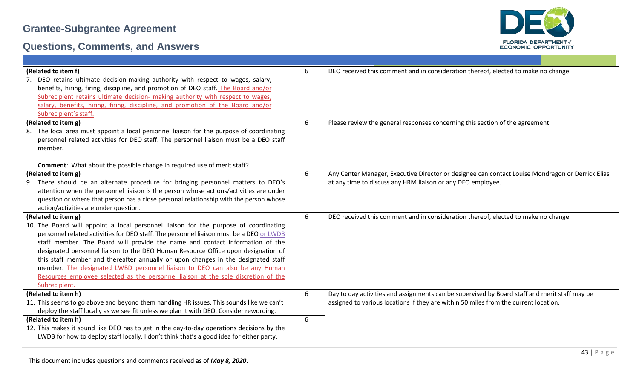

| (Related to item f)                                                                         | 6 | DEO received this comment and in consideration thereof, elected to make no change.               |
|---------------------------------------------------------------------------------------------|---|--------------------------------------------------------------------------------------------------|
| DEO retains ultimate decision-making authority with respect to wages, salary,               |   |                                                                                                  |
| benefits, hiring, firing, discipline, and promotion of DEO staff. The Board and/or          |   |                                                                                                  |
| Subrecipient retains ultimate decision- making authority with respect to wages,             |   |                                                                                                  |
| salary, benefits, hiring, firing, discipline, and promotion of the Board and/or             |   |                                                                                                  |
| Subrecipient's staff.                                                                       |   |                                                                                                  |
| (Related to item g)                                                                         | 6 | Please review the general responses concerning this section of the agreement.                    |
| The local area must appoint a local personnel liaison for the purpose of coordinating<br>8. |   |                                                                                                  |
| personnel related activities for DEO staff. The personnel liaison must be a DEO staff       |   |                                                                                                  |
| member.                                                                                     |   |                                                                                                  |
|                                                                                             |   |                                                                                                  |
| Comment: What about the possible change in required use of merit staff?                     |   |                                                                                                  |
| (Related to item g)                                                                         | 6 | Any Center Manager, Executive Director or designee can contact Louise Mondragon or Derrick Elias |
| There should be an alternate procedure for bringing personnel matters to DEO's<br>9.        |   | at any time to discuss any HRM liaison or any DEO employee.                                      |
| attention when the personnel liaison is the person whose actions/activities are under       |   |                                                                                                  |
| question or where that person has a close personal relationship with the person whose       |   |                                                                                                  |
| action/activities are under question.                                                       |   |                                                                                                  |
| (Related to item g)                                                                         |   | DEO received this comment and in consideration thereof, elected to make no change.               |
| 10. The Board will appoint a local personnel liaison for the purpose of coordinating        |   |                                                                                                  |
| personnel related activities for DEO staff. The personnel liaison must be a DEO or LWDB     |   |                                                                                                  |
| staff member. The Board will provide the name and contact information of the                |   |                                                                                                  |
| designated personnel liaison to the DEO Human Resource Office upon designation of           |   |                                                                                                  |
| this staff member and thereafter annually or upon changes in the designated staff           |   |                                                                                                  |
| member. The designated LWBD personnel liaison to DEO can also be any Human                  |   |                                                                                                  |
| Resources employee selected as the personnel liaison at the sole discretion of the          |   |                                                                                                  |
| Subrecipient.                                                                               |   |                                                                                                  |
| (Related to item h)                                                                         | 6 | Day to day activities and assignments can be supervised by Board staff and merit staff may be    |
| 11. This seems to go above and beyond them handling HR issues. This sounds like we can't    |   | assigned to various locations if they are within 50 miles from the current location.             |
| deploy the staff locally as we see fit unless we plan it with DEO. Consider rewording.      |   |                                                                                                  |
| (Related to item h)                                                                         |   |                                                                                                  |
| 12. This makes it sound like DEO has to get in the day-to-day operations decisions by the   |   |                                                                                                  |
| LWDB for how to deploy staff locally. I don't think that's a good idea for either party.    |   |                                                                                                  |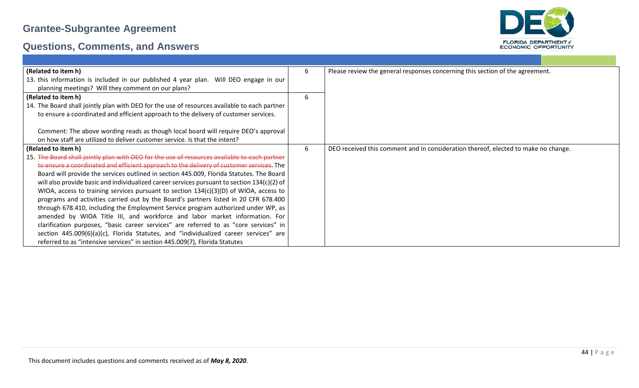

| (Related to item h)                                                                           | 6 | Please review the general responses concerning this section of the agreement.      |
|-----------------------------------------------------------------------------------------------|---|------------------------------------------------------------------------------------|
| 13. this information is included in our published 4 year plan. Will DEO engage in our         |   |                                                                                    |
| planning meetings? Will they comment on our plans?                                            |   |                                                                                    |
| (Related to item h)                                                                           | 6 |                                                                                    |
| 14. The Board shall jointly plan with DEO for the use of resources available to each partner  |   |                                                                                    |
| to ensure a coordinated and efficient approach to the delivery of customer services.          |   |                                                                                    |
|                                                                                               |   |                                                                                    |
| Comment: The above wording reads as though local board will require DEO's approval            |   |                                                                                    |
| on how staff are utilized to deliver customer service. Is that the intent?                    |   |                                                                                    |
| (Related to item h)                                                                           | 6 | DEO received this comment and in consideration thereof, elected to make no change. |
| 15. The Board shall jointly plan with DEO for the use of resources available to each partner  |   |                                                                                    |
| to ensure a coordinated and efficient approach to the delivery of customer services. The      |   |                                                                                    |
| Board will provide the services outlined in section 445.009, Florida Statutes. The Board      |   |                                                                                    |
| will also provide basic and individualized career services pursuant to section $134(c)(2)$ of |   |                                                                                    |
| WIOA, access to training services pursuant to section $134(c)(3)(D)$ of WIOA, access to       |   |                                                                                    |
| programs and activities carried out by the Board's partners listed in 20 CFR 678.400          |   |                                                                                    |
| through 678.410, including the Employment Service program authorized under WP, as             |   |                                                                                    |
| amended by WIOA Title III, and workforce and labor market information. For                    |   |                                                                                    |
| clarification purposes, "basic career services" are referred to as "core services" in         |   |                                                                                    |
| section 445.009(6)(a)(c), Florida Statutes, and "individualized career services" are          |   |                                                                                    |
| referred to as "intensive services" in section 445.009(7), Florida Statutes                   |   |                                                                                    |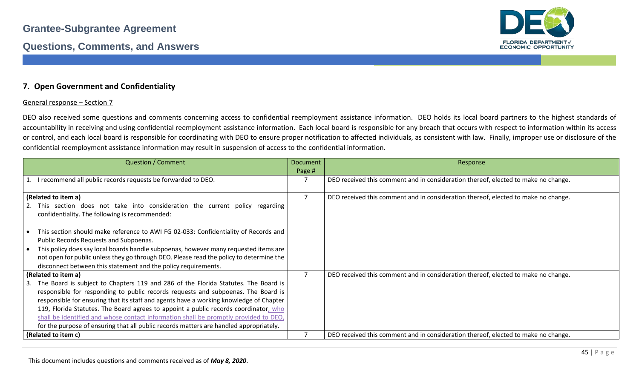

#### **7. Open Government and Confidentiality**

#### General response – Section 7

DEO also received some questions and comments concerning access to confidential reemployment assistance information. DEO holds its local board partners to the highest standards of accountability in receiving and using confidential reemployment assistance information. Each local board is responsible for any breach that occurs with respect to information within its access or control, and each local board is responsible for coordinating with DEO to ensure proper notification to affected individuals, as consistent with law. Finally, improper use or disclosure of the confidential reemployment assistance information may result in suspension of access to the confidential information.

| <b>Question / Comment</b>                                                               | <b>Document</b> | Response                                                                           |
|-----------------------------------------------------------------------------------------|-----------------|------------------------------------------------------------------------------------|
|                                                                                         | Page #          |                                                                                    |
| 1. I recommend all public records requests be forwarded to DEO.                         |                 | DEO received this comment and in consideration thereof, elected to make no change. |
|                                                                                         |                 |                                                                                    |
| (Related to item a)                                                                     | 7               | DEO received this comment and in consideration thereof, elected to make no change. |
| 2. This section does not take into consideration the current policy regarding           |                 |                                                                                    |
| confidentiality. The following is recommended:                                          |                 |                                                                                    |
| This section should make reference to AWI FG 02-033: Confidentiality of Records and     |                 |                                                                                    |
| Public Records Requests and Subpoenas.                                                  |                 |                                                                                    |
| This policy does say local boards handle subpoenas, however many requested items are    |                 |                                                                                    |
|                                                                                         |                 |                                                                                    |
| not open for public unless they go through DEO. Please read the policy to determine the |                 |                                                                                    |
| disconnect between this statement and the policy requirements.                          |                 |                                                                                    |
| (Related to item a)                                                                     | $\overline{7}$  | DEO received this comment and in consideration thereof, elected to make no change. |
| 3. The Board is subject to Chapters 119 and 286 of the Florida Statutes. The Board is   |                 |                                                                                    |
| responsible for responding to public records requests and subpoenas. The Board is       |                 |                                                                                    |
| responsible for ensuring that its staff and agents have a working knowledge of Chapter  |                 |                                                                                    |
| 119, Florida Statutes. The Board agrees to appoint a public records coordinator, who    |                 |                                                                                    |
| shall be identified and whose contact information shall be promptly provided to DEO,    |                 |                                                                                    |
| for the purpose of ensuring that all public records matters are handled appropriately.  |                 |                                                                                    |
| (Related to item c)                                                                     |                 | DEO received this comment and in consideration thereof, elected to make no change. |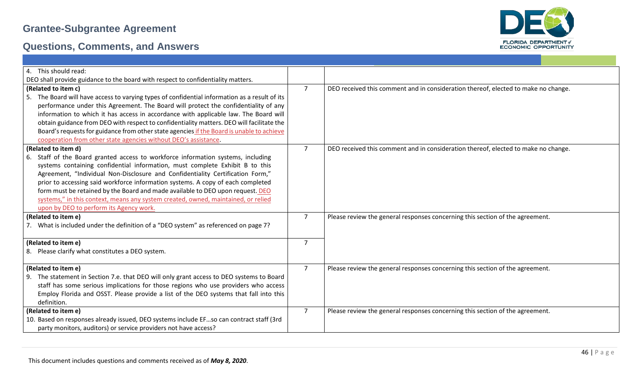

| 4. This should read:                                                                          |                |                                                                                    |
|-----------------------------------------------------------------------------------------------|----------------|------------------------------------------------------------------------------------|
| DEO shall provide guidance to the board with respect to confidentiality matters.              |                |                                                                                    |
| (Related to item c)                                                                           | $\overline{7}$ | DEO received this comment and in consideration thereof, elected to make no change. |
| 5. The Board will have access to varying types of confidential information as a result of its |                |                                                                                    |
| performance under this Agreement. The Board will protect the confidentiality of any           |                |                                                                                    |
| information to which it has access in accordance with applicable law. The Board will          |                |                                                                                    |
| obtain guidance from DEO with respect to confidentiality matters. DEO will facilitate the     |                |                                                                                    |
| Board's requests for guidance from other state agencies if the Board is unable to achieve     |                |                                                                                    |
| cooperation from other state agencies without DEO's assistance.                               |                |                                                                                    |
| (Related to item d)                                                                           | $\overline{7}$ | DEO received this comment and in consideration thereof, elected to make no change. |
| 6. Staff of the Board granted access to workforce information systems, including              |                |                                                                                    |
| systems containing confidential information, must complete Exhibit B to this                  |                |                                                                                    |
| Agreement, "Individual Non-Disclosure and Confidentiality Certification Form,"                |                |                                                                                    |
| prior to accessing said workforce information systems. A copy of each completed               |                |                                                                                    |
| form must be retained by the Board and made available to DEO upon request. DEO                |                |                                                                                    |
| systems," in this context, means any system created, owned, maintained, or relied             |                |                                                                                    |
| upon by DEO to perform its Agency work.                                                       |                |                                                                                    |
| (Related to item e)                                                                           | $\overline{7}$ | Please review the general responses concerning this section of the agreement.      |
| 7. What is included under the definition of a "DEO system" as referenced on page 7?           |                |                                                                                    |
|                                                                                               |                |                                                                                    |
| (Related to item e)                                                                           | $\overline{7}$ |                                                                                    |
| 8. Please clarify what constitutes a DEO system.                                              |                |                                                                                    |
|                                                                                               |                |                                                                                    |
| (Related to item e)                                                                           | $\overline{7}$ | Please review the general responses concerning this section of the agreement.      |
| 9. The statement in Section 7.e. that DEO will only grant access to DEO systems to Board      |                |                                                                                    |
| staff has some serious implications for those regions who use providers who access            |                |                                                                                    |
| Employ Florida and OSST. Please provide a list of the DEO systems that fall into this         |                |                                                                                    |
| definition.                                                                                   |                |                                                                                    |
| (Related to item e)                                                                           | $\overline{7}$ | Please review the general responses concerning this section of the agreement.      |
| 10. Based on responses already issued, DEO systems include EFso can contract staff (3rd       |                |                                                                                    |
| party monitors, auditors) or service providers not have access?                               |                |                                                                                    |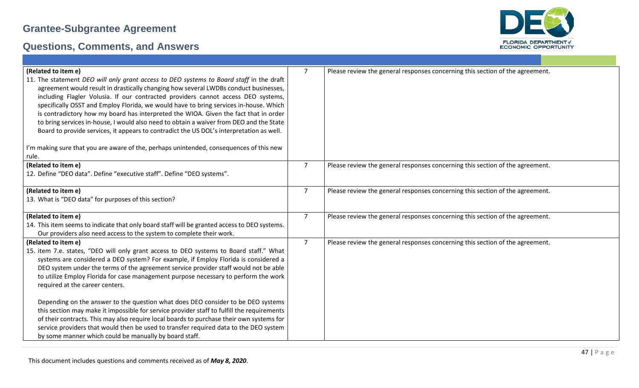

| (Related to item e)                                                                                                                                                             | $\overline{7}$ | Please review the general responses concerning this section of the agreement. |
|---------------------------------------------------------------------------------------------------------------------------------------------------------------------------------|----------------|-------------------------------------------------------------------------------|
| 11. The statement DEO will only grant access to DEO systems to Board staff in the draft                                                                                         |                |                                                                               |
| agreement would result in drastically changing how several LWDBs conduct businesses,                                                                                            |                |                                                                               |
| including Flagler Volusia. If our contracted providers cannot access DEO systems,                                                                                               |                |                                                                               |
| specifically OSST and Employ Florida, we would have to bring services in-house. Which                                                                                           |                |                                                                               |
| is contradictory how my board has interpreted the WIOA. Given the fact that in order<br>to bring services in-house, I would also need to obtain a waiver from DEO and the State |                |                                                                               |
| Board to provide services, it appears to contradict the US DOL's interpretation as well.                                                                                        |                |                                                                               |
|                                                                                                                                                                                 |                |                                                                               |
| I'm making sure that you are aware of the, perhaps unintended, consequences of this new                                                                                         |                |                                                                               |
| rule.                                                                                                                                                                           |                |                                                                               |
| (Related to item e)                                                                                                                                                             | $\overline{7}$ | Please review the general responses concerning this section of the agreement. |
| 12. Define "DEO data". Define "executive staff". Define "DEO systems".                                                                                                          |                |                                                                               |
|                                                                                                                                                                                 |                |                                                                               |
| (Related to item e)                                                                                                                                                             | $\overline{7}$ | Please review the general responses concerning this section of the agreement. |
| 13. What is "DEO data" for purposes of this section?                                                                                                                            |                |                                                                               |
| (Related to item e)                                                                                                                                                             | $\overline{7}$ | Please review the general responses concerning this section of the agreement. |
| 14. This item seems to indicate that only board staff will be granted access to DEO systems.                                                                                    |                |                                                                               |
| Our providers also need access to the system to complete their work.                                                                                                            |                |                                                                               |
| (Related to item e)                                                                                                                                                             | $\overline{7}$ | Please review the general responses concerning this section of the agreement. |
| 15. item 7.e. states, "DEO will only grant access to DEO systems to Board staff." What                                                                                          |                |                                                                               |
| systems are considered a DEO system? For example, if Employ Florida is considered a                                                                                             |                |                                                                               |
| DEO system under the terms of the agreement service provider staff would not be able                                                                                            |                |                                                                               |
| to utilize Employ Florida for case management purpose necessary to perform the work                                                                                             |                |                                                                               |
| required at the career centers.                                                                                                                                                 |                |                                                                               |
| Depending on the answer to the question what does DEO consider to be DEO systems                                                                                                |                |                                                                               |
| this section may make it impossible for service provider staff to fulfill the requirements                                                                                      |                |                                                                               |
| of their contracts. This may also require local boards to purchase their own systems for                                                                                        |                |                                                                               |
| service providers that would then be used to transfer required data to the DEO system                                                                                           |                |                                                                               |
| by some manner which could be manually by board staff.                                                                                                                          |                |                                                                               |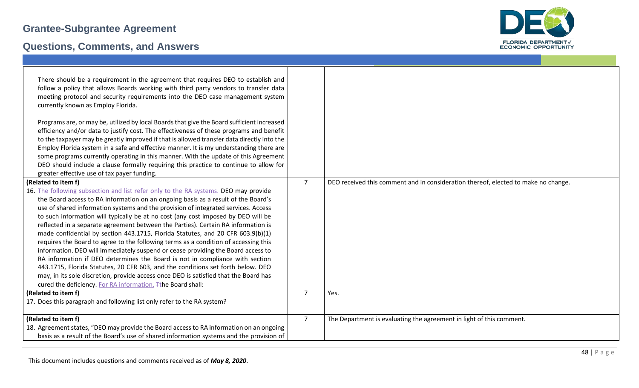

| There should be a requirement in the agreement that requires DEO to establish and<br>follow a policy that allows Boards working with third party vendors to transfer data<br>meeting protocol and security requirements into the DEO case management system<br>currently known as Employ Florida.<br>Programs are, or may be, utilized by local Boards that give the Board sufficient increased<br>efficiency and/or data to justify cost. The effectiveness of these programs and benefit<br>to the taxpayer may be greatly improved if that is allowed transfer data directly into the<br>Employ Florida system in a safe and effective manner. It is my understanding there are<br>some programs currently operating in this manner. With the update of this Agreement<br>DEO should include a clause formally requiring this practice to continue to allow for<br>greater effective use of tax payer funding.                                                                                                                                       |                |                                                                                    |
|---------------------------------------------------------------------------------------------------------------------------------------------------------------------------------------------------------------------------------------------------------------------------------------------------------------------------------------------------------------------------------------------------------------------------------------------------------------------------------------------------------------------------------------------------------------------------------------------------------------------------------------------------------------------------------------------------------------------------------------------------------------------------------------------------------------------------------------------------------------------------------------------------------------------------------------------------------------------------------------------------------------------------------------------------------|----------------|------------------------------------------------------------------------------------|
| (Related to item f)<br>16. The following subsection and list refer only to the RA systems. DEO may provide<br>the Board access to RA information on an ongoing basis as a result of the Board's<br>use of shared information systems and the provision of integrated services. Access<br>to such information will typically be at no cost (any cost imposed by DEO will be<br>reflected in a separate agreement between the Parties). Certain RA information is<br>made confidential by section 443.1715, Florida Statutes, and 20 CFR 603.9(b)(1)<br>requires the Board to agree to the following terms as a condition of accessing this<br>information. DEO will immediately suspend or cease providing the Board access to<br>RA information if DEO determines the Board is not in compliance with section<br>443.1715, Florida Statutes, 20 CFR 603, and the conditions set forth below. DEO<br>may, in its sole discretion, provide access once DEO is satisfied that the Board has<br>cured the deficiency. For RA information, Tthe Board shall: | $\overline{7}$ | DEO received this comment and in consideration thereof, elected to make no change. |
| (Related to item f)<br>17. Does this paragraph and following list only refer to the RA system?                                                                                                                                                                                                                                                                                                                                                                                                                                                                                                                                                                                                                                                                                                                                                                                                                                                                                                                                                          | $\overline{7}$ | Yes.                                                                               |
| (Related to item f)<br>18. Agreement states, "DEO may provide the Board access to RA information on an ongoing<br>basis as a result of the Board's use of shared information systems and the provision of                                                                                                                                                                                                                                                                                                                                                                                                                                                                                                                                                                                                                                                                                                                                                                                                                                               | $\overline{7}$ | The Department is evaluating the agreement in light of this comment.               |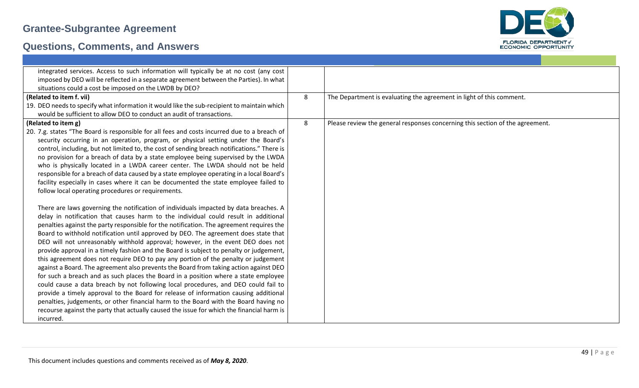

| integrated services. Access to such information will typically be at no cost (any cost                                                                                                                                                                                                                                                                                                                                                                                                                                                                                                                                                                                                                                                                                                                                                                                              |   |                                                                               |
|-------------------------------------------------------------------------------------------------------------------------------------------------------------------------------------------------------------------------------------------------------------------------------------------------------------------------------------------------------------------------------------------------------------------------------------------------------------------------------------------------------------------------------------------------------------------------------------------------------------------------------------------------------------------------------------------------------------------------------------------------------------------------------------------------------------------------------------------------------------------------------------|---|-------------------------------------------------------------------------------|
| imposed by DEO will be reflected in a separate agreement between the Parties). In what                                                                                                                                                                                                                                                                                                                                                                                                                                                                                                                                                                                                                                                                                                                                                                                              |   |                                                                               |
| situations could a cost be imposed on the LWDB by DEO?                                                                                                                                                                                                                                                                                                                                                                                                                                                                                                                                                                                                                                                                                                                                                                                                                              |   |                                                                               |
| (Related to item f. vii)                                                                                                                                                                                                                                                                                                                                                                                                                                                                                                                                                                                                                                                                                                                                                                                                                                                            | 8 | The Department is evaluating the agreement in light of this comment.          |
| 19. DEO needs to specify what information it would like the sub-recipient to maintain which<br>would be sufficient to allow DEO to conduct an audit of transactions.                                                                                                                                                                                                                                                                                                                                                                                                                                                                                                                                                                                                                                                                                                                |   |                                                                               |
| (Related to item g)                                                                                                                                                                                                                                                                                                                                                                                                                                                                                                                                                                                                                                                                                                                                                                                                                                                                 | 8 | Please review the general responses concerning this section of the agreement. |
| 20. 7.g. states "The Board is responsible for all fees and costs incurred due to a breach of<br>security occurring in an operation, program, or physical setting under the Board's<br>control, including, but not limited to, the cost of sending breach notifications." There is<br>no provision for a breach of data by a state employee being supervised by the LWDA<br>who is physically located in a LWDA career center. The LWDA should not be held<br>responsible for a breach of data caused by a state employee operating in a local Board's<br>facility especially in cases where it can be documented the state employee failed to<br>follow local operating procedures or requirements.<br>There are laws governing the notification of individuals impacted by data breaches. A<br>delay in notification that causes harm to the individual could result in additional |   |                                                                               |
| penalties against the party responsible for the notification. The agreement requires the<br>Board to withhold notification until approved by DEO. The agreement does state that<br>DEO will not unreasonably withhold approval; however, in the event DEO does not<br>provide approval in a timely fashion and the Board is subject to penalty or judgement,<br>this agreement does not require DEO to pay any portion of the penalty or judgement<br>against a Board. The agreement also prevents the Board from taking action against DEO                                                                                                                                                                                                                                                                                                                                         |   |                                                                               |
| for such a breach and as such places the Board in a position where a state employee<br>could cause a data breach by not following local procedures, and DEO could fail to<br>provide a timely approval to the Board for release of information causing additional<br>penalties, judgements, or other financial harm to the Board with the Board having no<br>recourse against the party that actually caused the issue for which the financial harm is<br>incurred.                                                                                                                                                                                                                                                                                                                                                                                                                 |   |                                                                               |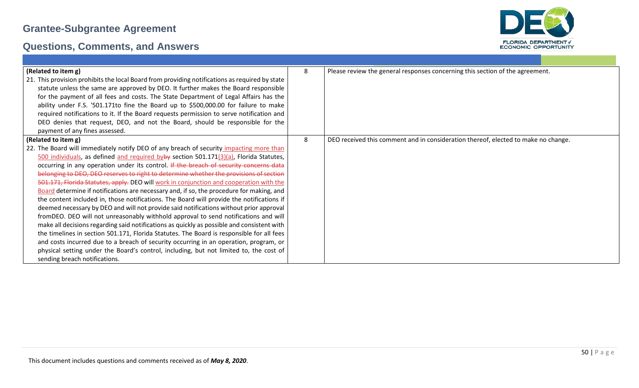

| (Related to item g)                                                                            | 8 | Please review the general responses concerning this section of the agreement.      |
|------------------------------------------------------------------------------------------------|---|------------------------------------------------------------------------------------|
| 21. This provision prohibits the local Board from providing notifications as required by state |   |                                                                                    |
| statute unless the same are approved by DEO. It further makes the Board responsible            |   |                                                                                    |
| for the payment of all fees and costs. The State Department of Legal Affairs has the           |   |                                                                                    |
| ability under F.S. '501.171to fine the Board up to \$500,000.00 for failure to make            |   |                                                                                    |
| required notifications to it. If the Board requests permission to serve notification and       |   |                                                                                    |
| DEO denies that request, DEO, and not the Board, should be responsible for the                 |   |                                                                                    |
| payment of any fines assessed.                                                                 |   |                                                                                    |
| (Related to item g)                                                                            | 8 | DEO received this comment and in consideration thereof, elected to make no change. |
| 22. The Board will immediately notify DEO of any breach of security impacting more than        |   |                                                                                    |
| 500 individuals, as defined and required byby section 501.171 $(3)(a)$ , Florida Statutes,     |   |                                                                                    |
| occurring in any operation under its control. If the breach of security concerns data          |   |                                                                                    |
| belonging to DEO, DEO reserves to right to determine whether the provisions of section         |   |                                                                                    |
| 501.171, Florida Statutes, apply. DEO will work in conjunction and cooperation with the        |   |                                                                                    |
| Board determine if notifications are necessary and, if so, the procedure for making, and       |   |                                                                                    |
| the content included in, those notifications. The Board will provide the notifications if      |   |                                                                                    |
| deemed necessary by DEO and will not provide said notifications without prior approval         |   |                                                                                    |
| fromDEO. DEO will not unreasonably withhold approval to send notifications and will            |   |                                                                                    |
| make all decisions regarding said notifications as quickly as possible and consistent with     |   |                                                                                    |
| the timelines in section 501.171, Florida Statutes. The Board is responsible for all fees      |   |                                                                                    |
| and costs incurred due to a breach of security occurring in an operation, program, or          |   |                                                                                    |
| physical setting under the Board's control, including, but not limited to, the cost of         |   |                                                                                    |
| sending breach notifications.                                                                  |   |                                                                                    |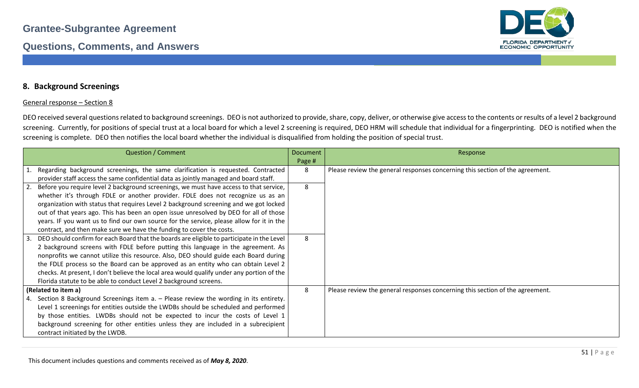

#### **8. Background Screenings**

#### General response – Section 8

DEO received several questions related to background screenings. DEO is not authorized to provide, share, copy, deliver, or otherwise give access to the contents or results of a level 2 background screening. Currently, for positions of special trust at a local board for which a level 2 screening is required, DEO HRM will schedule that individual for a fingerprinting. DEO is notified when the screening is complete. DEO then notifies the local board whether the individual is disqualified from holding the position of special trust.

| <b>Question / Comment</b>                                                                                                                                                                                                                                                                                                                                                                                                                                                                                                                                                                             | <b>Document</b><br>Page # | Response                                                                      |
|-------------------------------------------------------------------------------------------------------------------------------------------------------------------------------------------------------------------------------------------------------------------------------------------------------------------------------------------------------------------------------------------------------------------------------------------------------------------------------------------------------------------------------------------------------------------------------------------------------|---------------------------|-------------------------------------------------------------------------------|
| 1. Regarding background screenings, the same clarification is requested. Contracted<br>provider staff access the same confidential data as jointly managed and board staff.                                                                                                                                                                                                                                                                                                                                                                                                                           | 8                         | Please review the general responses concerning this section of the agreement. |
| Before you require level 2 background screenings, we must have access to that service,<br>whether it's through FDLE or another provider. FDLE does not recognize us as an<br>organization with status that requires Level 2 background screening and we got locked<br>out of that years ago. This has been an open issue unresolved by DEO for all of those<br>years. IF you want us to find our own source for the service, please allow for it in the                                                                                                                                               | 8                         |                                                                               |
| contract, and then make sure we have the funding to cover the costs.<br>DEO should confirm for each Board that the boards are eligible to participate in the Level<br>2 background screens with FDLE before putting this language in the agreement. As<br>nonprofits we cannot utilize this resource. Also, DEO should guide each Board during<br>the FDLE process so the Board can be approved as an entity who can obtain Level 2<br>checks. At present, I don't believe the local area would qualify under any portion of the<br>Florida statute to be able to conduct Level 2 background screens. | 8                         |                                                                               |
| (Related to item a)<br>4. Section 8 Background Screenings item a. - Please review the wording in its entirety.<br>Level 1 screenings for entities outside the LWDBs should be scheduled and performed<br>by those entities. LWDBs should not be expected to incur the costs of Level 1<br>background screening for other entities unless they are included in a subrecipient<br>contract initiated by the LWDB.                                                                                                                                                                                       | 8                         | Please review the general responses concerning this section of the agreement. |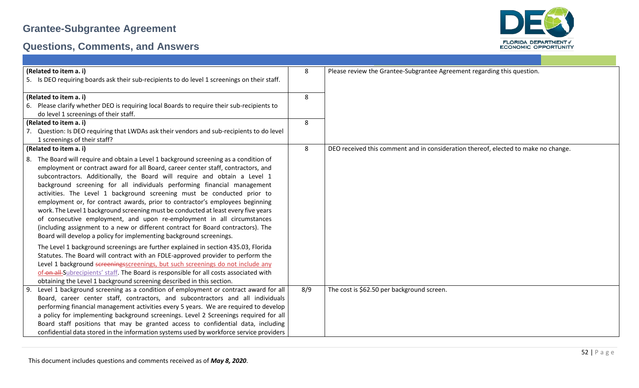

| (Related to item a. i)                                                                       | 8   | Please review the Grantee-Subgrantee Agreement regarding this question.            |
|----------------------------------------------------------------------------------------------|-----|------------------------------------------------------------------------------------|
| 5. Is DEO requiring boards ask their sub-recipients to do level 1 screenings on their staff. |     |                                                                                    |
| (Related to item a. i)                                                                       | 8   |                                                                                    |
| 6. Please clarify whether DEO is requiring local Boards to require their sub-recipients to   |     |                                                                                    |
| do level 1 screenings of their staff.                                                        |     |                                                                                    |
| (Related to item a. i)                                                                       | 8   |                                                                                    |
| 7. Question: Is DEO requiring that LWDAs ask their vendors and sub-recipients to do level    |     |                                                                                    |
| 1 screenings of their staff?                                                                 |     |                                                                                    |
| (Related to item a. i)                                                                       | 8   | DEO received this comment and in consideration thereof, elected to make no change. |
| 8. The Board will require and obtain a Level 1 background screening as a condition of        |     |                                                                                    |
| employment or contract award for all Board, career center staff, contractors, and            |     |                                                                                    |
| subcontractors. Additionally, the Board will require and obtain a Level 1                    |     |                                                                                    |
| background screening for all individuals performing financial management                     |     |                                                                                    |
| activities. The Level 1 background screening must be conducted prior to                      |     |                                                                                    |
| employment or, for contract awards, prior to contractor's employees beginning                |     |                                                                                    |
| work. The Level 1 background screening must be conducted at least every five years           |     |                                                                                    |
| of consecutive employment, and upon re-employment in all circumstances                       |     |                                                                                    |
| (including assignment to a new or different contract for Board contractors). The             |     |                                                                                    |
| Board will develop a policy for implementing background screenings.                          |     |                                                                                    |
| The Level 1 background screenings are further explained in section 435.03, Florida           |     |                                                                                    |
| Statutes. The Board will contract with an FDLE-approved provider to perform the              |     |                                                                                    |
| Level 1 background screeningsscreenings, but such screenings do not include any              |     |                                                                                    |
| of-on-all-Subrecipients' staff. The Board is responsible for all costs associated with       |     |                                                                                    |
| obtaining the Level 1 background screening described in this section.                        |     |                                                                                    |
| Level 1 background screening as a condition of employment or contract award for all<br>9.    | 8/9 | The cost is \$62.50 per background screen.                                         |
| Board, career center staff, contractors, and subcontractors and all individuals              |     |                                                                                    |
| performing financial management activities every 5 years. We are required to develop         |     |                                                                                    |
| a policy for implementing background screenings. Level 2 Screenings required for all         |     |                                                                                    |
| Board staff positions that may be granted access to confidential data, including             |     |                                                                                    |
| confidential data stored in the information systems used by workforce service providers      |     |                                                                                    |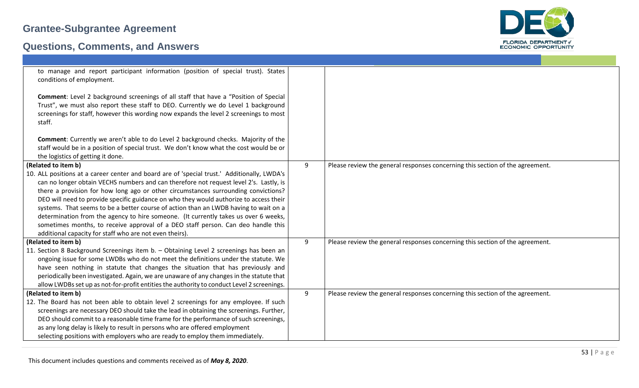

| to manage and report participant information (position of special trust). States<br>conditions of employment.<br>Comment: Level 2 background screenings of all staff that have a "Position of Special<br>Trust", we must also report these staff to DEO. Currently we do Level 1 background<br>screenings for staff, however this wording now expands the level 2 screenings to most<br>staff.                                                                                                                                                                                                                                                                                                                             |   |                                                                               |
|----------------------------------------------------------------------------------------------------------------------------------------------------------------------------------------------------------------------------------------------------------------------------------------------------------------------------------------------------------------------------------------------------------------------------------------------------------------------------------------------------------------------------------------------------------------------------------------------------------------------------------------------------------------------------------------------------------------------------|---|-------------------------------------------------------------------------------|
| <b>Comment:</b> Currently we aren't able to do Level 2 background checks. Majority of the<br>staff would be in a position of special trust. We don't know what the cost would be or<br>the logistics of getting it done.                                                                                                                                                                                                                                                                                                                                                                                                                                                                                                   |   |                                                                               |
| (Related to item b)<br>10. ALL positions at a career center and board are of 'special trust.' Additionally, LWDA's<br>can no longer obtain VECHS numbers and can therefore not request level 2's. Lastly, is<br>there a provision for how long ago or other circumstances surrounding convictions?<br>DEO will need to provide specific guidance on who they would authorize to access their<br>systems. That seems to be a better course of action than an LWDB having to wait on a<br>determination from the agency to hire someone. (It currently takes us over 6 weeks,<br>sometimes months, to receive approval of a DEO staff person. Can deo handle this<br>additional capacity for staff who are not even theirs). | 9 | Please review the general responses concerning this section of the agreement. |
| (Related to item b)<br>11. Section 8 Background Screenings item b. - Obtaining Level 2 screenings has been an<br>ongoing issue for some LWDBs who do not meet the definitions under the statute. We<br>have seen nothing in statute that changes the situation that has previously and<br>periodically been investigated. Again, we are unaware of any changes in the statute that<br>allow LWDBs set up as not-for-profit entities the authority to conduct Level 2 screenings.                                                                                                                                                                                                                                           | 9 | Please review the general responses concerning this section of the agreement. |
| (Related to item b)<br>12. The Board has not been able to obtain level 2 screenings for any employee. If such<br>screenings are necessary DEO should take the lead in obtaining the screenings. Further,<br>DEO should commit to a reasonable time frame for the performance of such screenings,<br>as any long delay is likely to result in persons who are offered employment<br>selecting positions with employers who are ready to employ them immediately.                                                                                                                                                                                                                                                            | 9 | Please review the general responses concerning this section of the agreement. |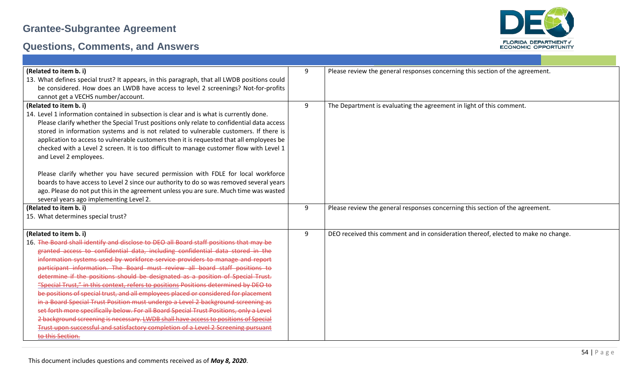

| (Related to item b. i)                                                                                                                                                              | 9 | Please review the general responses concerning this section of the agreement.      |
|-------------------------------------------------------------------------------------------------------------------------------------------------------------------------------------|---|------------------------------------------------------------------------------------|
| 13. What defines special trust? It appears, in this paragraph, that all LWDB positions could                                                                                        |   |                                                                                    |
| be considered. How does an LWDB have access to level 2 screenings? Not-for-profits                                                                                                  |   |                                                                                    |
| cannot get a VECHS number/account.                                                                                                                                                  | 9 |                                                                                    |
| (Related to item b. i)<br>14. Level 1 information contained in subsection is clear and is what is currently done.                                                                   |   | The Department is evaluating the agreement in light of this comment.               |
|                                                                                                                                                                                     |   |                                                                                    |
| Please clarify whether the Special Trust positions only relate to confidential data access<br>stored in information systems and is not related to vulnerable customers. If there is |   |                                                                                    |
| application to access to vulnerable customers then it is requested that all employees be                                                                                            |   |                                                                                    |
| checked with a Level 2 screen. It is too difficult to manage customer flow with Level 1                                                                                             |   |                                                                                    |
| and Level 2 employees.                                                                                                                                                              |   |                                                                                    |
|                                                                                                                                                                                     |   |                                                                                    |
| Please clarify whether you have secured permission with FDLE for local workforce                                                                                                    |   |                                                                                    |
| boards to have access to Level 2 since our authority to do so was removed several years                                                                                             |   |                                                                                    |
| ago. Please do not put this in the agreement unless you are sure. Much time was wasted                                                                                              |   |                                                                                    |
| several years ago implementing Level 2.                                                                                                                                             |   |                                                                                    |
| (Related to item b. i)                                                                                                                                                              | 9 | Please review the general responses concerning this section of the agreement.      |
| 15. What determines special trust?                                                                                                                                                  |   |                                                                                    |
|                                                                                                                                                                                     |   |                                                                                    |
| (Related to item b. i)                                                                                                                                                              | 9 | DEO received this comment and in consideration thereof, elected to make no change. |
| 16. The Board shall identify and disclose to DEO all Board staff positions that may be                                                                                              |   |                                                                                    |
| granted access to confidential data, including confidential data stored in the                                                                                                      |   |                                                                                    |
| information systems used by workforce service providers to manage and report                                                                                                        |   |                                                                                    |
| participant information. The Board must review all board staff positions to                                                                                                         |   |                                                                                    |
| determine if the positions should be designated as a position of Special Trust.                                                                                                     |   |                                                                                    |
| "Special Trust," in this context, refers to positions Positions determined by DEO to                                                                                                |   |                                                                                    |
| be positions of special trust, and all employees placed or considered for placement                                                                                                 |   |                                                                                    |
| in a Board Special Trust Position must undergo a Level 2 background screening as                                                                                                    |   |                                                                                    |
| set forth more specifically below. For all Board Special Trust Positions, only a Level                                                                                              |   |                                                                                    |
| 2 background screening is necessary. LWDB shall have access to positions of Special                                                                                                 |   |                                                                                    |
| Trust upon successful and satisfactory completion of a Level 2 Screening pursuant                                                                                                   |   |                                                                                    |
| to this Section.                                                                                                                                                                    |   |                                                                                    |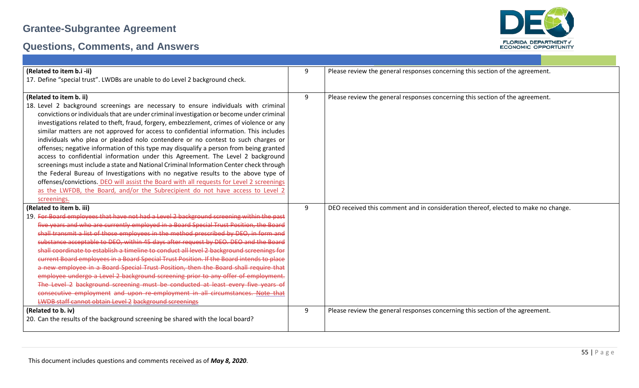

| (Related to item b.i -ii)                                                                 | 9 | Please review the general responses concerning this section of the agreement.      |
|-------------------------------------------------------------------------------------------|---|------------------------------------------------------------------------------------|
| 17. Define "special trust". LWDBs are unable to do Level 2 background check.              |   |                                                                                    |
|                                                                                           |   |                                                                                    |
| (Related to item b. ii)                                                                   | 9 | Please review the general responses concerning this section of the agreement.      |
| 18. Level 2 background screenings are necessary to ensure individuals with criminal       |   |                                                                                    |
| convictions or individuals that are under criminal investigation or become under criminal |   |                                                                                    |
| investigations related to theft, fraud, forgery, embezzlement, crimes of violence or any  |   |                                                                                    |
| similar matters are not approved for access to confidential information. This includes    |   |                                                                                    |
| individuals who plea or pleaded nolo contendere or no contest to such charges or          |   |                                                                                    |
| offenses; negative information of this type may disqualify a person from being granted    |   |                                                                                    |
| access to confidential information under this Agreement. The Level 2 background           |   |                                                                                    |
| screenings must include a state and National Criminal Information Center check through    |   |                                                                                    |
| the Federal Bureau of Investigations with no negative results to the above type of        |   |                                                                                    |
| offenses/convictions. DEO will assist the Board with all requests for Level 2 screenings  |   |                                                                                    |
| as the LWFDB, the Board, and/or the Subrecipient do not have access to Level 2            |   |                                                                                    |
| screenings.                                                                               |   |                                                                                    |
| (Related to item b. iii)                                                                  | 9 | DEO received this comment and in consideration thereof, elected to make no change. |
| 19. For Board employees that have not had a Level 2 background screening within the past  |   |                                                                                    |
| five years and who are currently employed in a Board Special Trust Position, the Board    |   |                                                                                    |
| shall transmit a list of those employees in the method prescribed by DEO, in form and     |   |                                                                                    |
| substance acceptable to DEO, within 45 days after request by DEO. DEO and the Board       |   |                                                                                    |
| shall coordinate to establish a timeline to conduct all level 2 background screenings for |   |                                                                                    |
| current Board employees in a Board Special Trust Position. If the Board intends to place  |   |                                                                                    |
| a new employee in a Board Special Trust Position, then the Board shall require that       |   |                                                                                    |
| employee undergo a Level 2 background screening prior to any offer of employment.         |   |                                                                                    |
|                                                                                           |   |                                                                                    |
| The Level 2 background screening must be conducted at least every five years of           |   |                                                                                    |
| consecutive employment and upon re-employment in all circumstances. Note that             |   |                                                                                    |
| <b>LWDB staff cannot obtain Level 2 background screenings</b>                             |   |                                                                                    |
| (Related to b. iv)                                                                        | 9 | Please review the general responses concerning this section of the agreement.      |
| 20. Can the results of the background screening be shared with the local board?           |   |                                                                                    |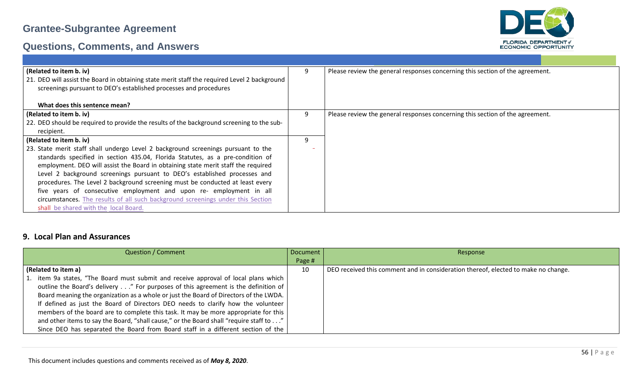



| (Related to item b. iv)                                                                      | 9 | Please review the general responses concerning this section of the agreement. |
|----------------------------------------------------------------------------------------------|---|-------------------------------------------------------------------------------|
| 21. DEO will assist the Board in obtaining state merit staff the required Level 2 background |   |                                                                               |
| screenings pursuant to DEO's established processes and procedures                            |   |                                                                               |
|                                                                                              |   |                                                                               |
|                                                                                              |   |                                                                               |
| What does this sentence mean?                                                                |   |                                                                               |
| (Related to item b. iv)                                                                      | 9 | Please review the general responses concerning this section of the agreement. |
| 22. DEO should be required to provide the results of the background screening to the sub-    |   |                                                                               |
| recipient.                                                                                   |   |                                                                               |
| (Related to item b. iv)                                                                      | 9 |                                                                               |
|                                                                                              |   |                                                                               |
| 23. State merit staff shall undergo Level 2 background screenings pursuant to the            |   |                                                                               |
| standards specified in section 435.04, Florida Statutes, as a pre-condition of               |   |                                                                               |
| employment. DEO will assist the Board in obtaining state merit staff the required            |   |                                                                               |
| Level 2 background screenings pursuant to DEO's established processes and                    |   |                                                                               |
| procedures. The Level 2 background screening must be conducted at least every                |   |                                                                               |
| five years of consecutive employment and upon re- employment in all                          |   |                                                                               |
|                                                                                              |   |                                                                               |
| circumstances. The results of all such background screenings under this Section              |   |                                                                               |
| shall be shared with the local Board.                                                        |   |                                                                               |

#### **9. Local Plan and Assurances**

| <b>Question / Comment</b>                                                              | Document | Response                                                                           |
|----------------------------------------------------------------------------------------|----------|------------------------------------------------------------------------------------|
|                                                                                        | Page #   |                                                                                    |
| (Related to item a)                                                                    | 10       | DEO received this comment and in consideration thereof, elected to make no change. |
| 1. item 9a states, "The Board must submit and receive approval of local plans which    |          |                                                                                    |
| outline the Board's delivery" For purposes of this agreement is the definition of      |          |                                                                                    |
| Board meaning the organization as a whole or just the Board of Directors of the LWDA.  |          |                                                                                    |
| If defined as just the Board of Directors DEO needs to clarify how the volunteer       |          |                                                                                    |
| members of the board are to complete this task. It may be more appropriate for this    |          |                                                                                    |
| and other items to say the Board, "shall cause," or the Board shall "require staff to" |          |                                                                                    |
| Since DEO has separated the Board from Board staff in a different section of the       |          |                                                                                    |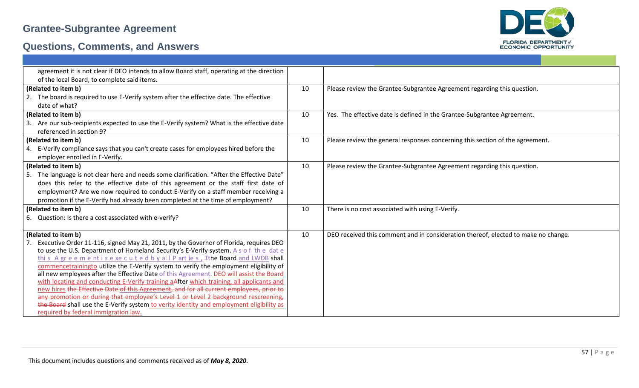

| agreement it is not clear if DEO intends to allow Board staff, operating at the direction     |    |                                                                                    |
|-----------------------------------------------------------------------------------------------|----|------------------------------------------------------------------------------------|
| of the local Board, to complete said items.                                                   |    |                                                                                    |
| (Related to item b)                                                                           | 10 | Please review the Grantee-Subgrantee Agreement regarding this question.            |
| 2. The board is required to use E-Verify system after the effective date. The effective       |    |                                                                                    |
| date of what?                                                                                 |    |                                                                                    |
| (Related to item b)                                                                           | 10 | Yes. The effective date is defined in the Grantee-Subgrantee Agreement.            |
| 3. Are our sub-recipients expected to use the E-Verify system? What is the effective date     |    |                                                                                    |
| referenced in section 9?                                                                      |    |                                                                                    |
| (Related to item b)                                                                           | 10 | Please review the general responses concerning this section of the agreement.      |
| 4. E-Verify compliance says that you can't create cases for employees hired before the        |    |                                                                                    |
| employer enrolled in E-Verify.                                                                |    |                                                                                    |
| (Related to item b)                                                                           | 10 | Please review the Grantee-Subgrantee Agreement regarding this question.            |
| The language is not clear here and needs some clarification. "After the Effective Date"<br>5. |    |                                                                                    |
| does this refer to the effective date of this agreement or the staff first date of            |    |                                                                                    |
| employment? Are we now required to conduct E-Verify on a staff member receiving a             |    |                                                                                    |
| promotion if the E-Verify had already been completed at the time of employment?               |    |                                                                                    |
| (Related to item b)                                                                           | 10 | There is no cost associated with using E-Verify.                                   |
| 6. Question: Is there a cost associated with e-verify?                                        |    |                                                                                    |
|                                                                                               |    |                                                                                    |
| (Related to item b)                                                                           | 10 | DEO received this comment and in consideration thereof, elected to make no change. |
| Executive Order 11-116, signed May 21, 2011, by the Governor of Florida, requires DEO         |    |                                                                                    |
| to use the U.S. Department of Homeland Security's E-Verify system. A s o f the date           |    |                                                                                    |
| this A greement is executed by all P arties, Tthe Board and LWDB shall                        |    |                                                                                    |
| commencetrainingto utilize the E-Verify system to verify the employment eligibility of        |    |                                                                                    |
| all new employees after the Effective Date of this Agreement. DEO will assist the Board       |    |                                                                                    |
| with locating and conducting E-Verify training aAfter which training, all applicants and      |    |                                                                                    |
| new hires the Effective Date of this Agreement, and for all current employees, prior to       |    |                                                                                    |
| any promotion or during that employee's Level 1 or Level 2 background rescreening,            |    |                                                                                    |
| the Board shall use the E-Verify system to verity identity and employment eligibility as      |    |                                                                                    |
| required by federal immigration law.                                                          |    |                                                                                    |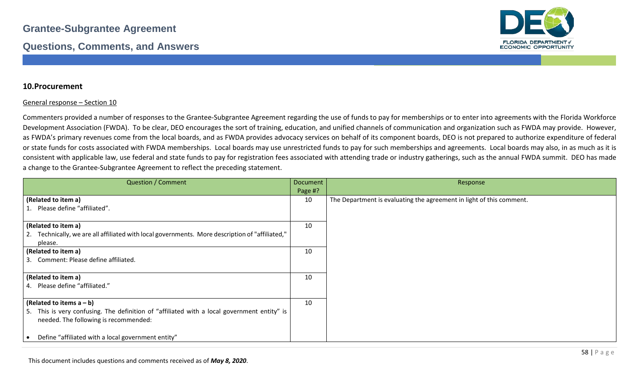

#### **10.Procurement**

#### General response – Section 10

Commenters provided a number of responses to the Grantee-Subgrantee Agreement regarding the use of funds to pay for memberships or to enter into agreements with the Florida Workforce Development Association (FWDA). To be clear, DEO encourages the sort of training, education, and unified channels of communication and organization such as FWDA may provide. However, as FWDA's primary revenues come from the local boards, and as FWDA provides advocacy services on behalf of its component boards, DEO is not prepared to authorize expenditure of federal or state funds for costs associated with FWDA memberships. Local boards may use unrestricted funds to pay for such memberships and agreements. Local boards may also, in as much as it is consistent with applicable law, use federal and state funds to pay for registration fees associated with attending trade or industry gatherings, such as the annual FWDA summit. DEO has made a change to the Grantee-Subgrantee Agreement to reflect the preceding statement.

| <b>Question / Comment</b>                                                                                                            | Document<br>Page #? | Response                                                             |
|--------------------------------------------------------------------------------------------------------------------------------------|---------------------|----------------------------------------------------------------------|
| (Related to item a)                                                                                                                  | 10                  | The Department is evaluating the agreement in light of this comment. |
| 1. Please define "affiliated".                                                                                                       |                     |                                                                      |
| (Related to item a)                                                                                                                  | 10                  |                                                                      |
| 2. Technically, we are all affiliated with local governments. More description of "affiliated,"<br>please.                           |                     |                                                                      |
| (Related to item a)                                                                                                                  | 10                  |                                                                      |
| 3. Comment: Please define affiliated.                                                                                                |                     |                                                                      |
| (Related to item a)                                                                                                                  | 10                  |                                                                      |
| 4. Please define "affiliated."                                                                                                       |                     |                                                                      |
| (Related to items $a - b$ )                                                                                                          | 10                  |                                                                      |
| 5. This is very confusing. The definition of "affiliated with a local government entity" is<br>needed. The following is recommended: |                     |                                                                      |
| Define "affiliated with a local government entity"                                                                                   |                     |                                                                      |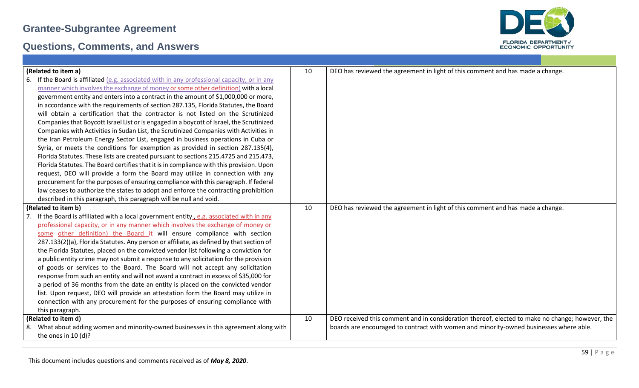

| (Related to item a)                                                                              | 10 | DEO has reviewed the agreement in light of this comment and has made a change.                  |
|--------------------------------------------------------------------------------------------------|----|-------------------------------------------------------------------------------------------------|
| If the Board is affiliated $(e.g.$ associated with in any professional capacity, or in any<br>6. |    |                                                                                                 |
| manner which involves the exchange of money or some other definition) with a local               |    |                                                                                                 |
| government entity and enters into a contract in the amount of \$1,000,000 or more,               |    |                                                                                                 |
| in accordance with the requirements of section 287.135, Florida Statutes, the Board              |    |                                                                                                 |
| will obtain a certification that the contractor is not listed on the Scrutinized                 |    |                                                                                                 |
| Companies that Boycott Israel List or is engaged in a boycott of Israel, the Scrutinized         |    |                                                                                                 |
| Companies with Activities in Sudan List, the Scrutinized Companies with Activities in            |    |                                                                                                 |
| the Iran Petroleum Energy Sector List, engaged in business operations in Cuba or                 |    |                                                                                                 |
| Syria, or meets the conditions for exemption as provided in section 287.135(4),                  |    |                                                                                                 |
| Florida Statutes. These lists are created pursuant to sections 215.4725 and 215.473,             |    |                                                                                                 |
| Florida Statutes. The Board certifies that it is in compliance with this provision. Upon         |    |                                                                                                 |
| request, DEO will provide a form the Board may utilize in connection with any                    |    |                                                                                                 |
| procurement for the purposes of ensuring compliance with this paragraph. If federal              |    |                                                                                                 |
| law ceases to authorize the states to adopt and enforce the contracting prohibition              |    |                                                                                                 |
| described in this paragraph, this paragraph will be null and void.                               |    |                                                                                                 |
| (Related to item b)                                                                              | 10 | DEO has reviewed the agreement in light of this comment and has made a change.                  |
| 7. If the Board is affiliated with a local government entity, e.g. associated with in any        |    |                                                                                                 |
| professional capacity, or in any manner which involves the exchange of money or                  |    |                                                                                                 |
| some other definition) the Board it will ensure compliance with section                          |    |                                                                                                 |
| 287.133(2)(a), Florida Statutes. Any person or affiliate, as defined by that section of          |    |                                                                                                 |
| the Florida Statutes, placed on the convicted vendor list following a conviction for             |    |                                                                                                 |
| a public entity crime may not submit a response to any solicitation for the provision            |    |                                                                                                 |
| of goods or services to the Board. The Board will not accept any solicitation                    |    |                                                                                                 |
| response from such an entity and will not award a contract in excess of \$35,000 for             |    |                                                                                                 |
| a period of 36 months from the date an entity is placed on the convicted vendor                  |    |                                                                                                 |
| list. Upon request, DEO will provide an attestation form the Board may utilize in                |    |                                                                                                 |
| connection with any procurement for the purposes of ensuring compliance with                     |    |                                                                                                 |
| this paragraph.                                                                                  |    |                                                                                                 |
| (Related to item d)                                                                              | 10 | DEO received this comment and in consideration thereof, elected to make no change; however, the |
| What about adding women and minority-owned businesses in this agreement along with<br>8.         |    | boards are encouraged to contract with women and minority-owned businesses where able.          |
| the ones in $10(d)$ ?                                                                            |    |                                                                                                 |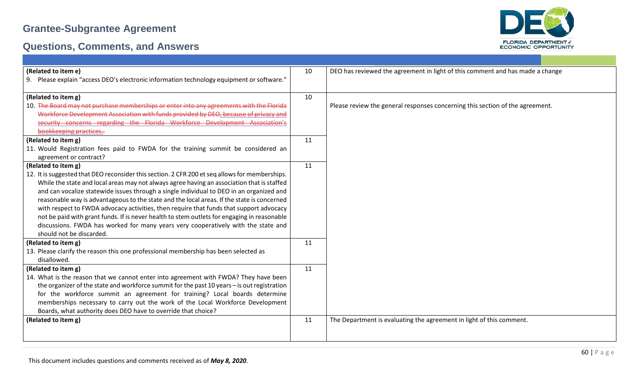

| (Related to item e)                                                                            | 10 | DEO has reviewed the agreement in light of this comment and has made a change |
|------------------------------------------------------------------------------------------------|----|-------------------------------------------------------------------------------|
| 9. Please explain "access DEO's electronic information technology equipment or software."      |    |                                                                               |
|                                                                                                |    |                                                                               |
| (Related to item g)                                                                            | 10 |                                                                               |
| 10. The Board may not purchase memberships or enter into any agreements with the Florida       |    | Please review the general responses concerning this section of the agreement. |
| Workforce Development Association with funds provided by DEO, because of privacy and           |    |                                                                               |
| security concerns regarding the Florida Workforce Development Association's                    |    |                                                                               |
| bookkeeping practices                                                                          |    |                                                                               |
| (Related to item g)                                                                            | 11 |                                                                               |
| 11. Would Registration fees paid to FWDA for the training summit be considered an              |    |                                                                               |
| agreement or contract?                                                                         |    |                                                                               |
| (Related to item g)                                                                            | 11 |                                                                               |
| 12. It is suggested that DEO reconsider this section. 2 CFR 200 et seq allows for memberships. |    |                                                                               |
| While the state and local areas may not always agree having an association that is staffed     |    |                                                                               |
| and can vocalize statewide issues through a single individual to DEO in an organized and       |    |                                                                               |
| reasonable way is advantageous to the state and the local areas. If the state is concerned     |    |                                                                               |
| with respect to FWDA advocacy activities, then require that funds that support advocacy        |    |                                                                               |
| not be paid with grant funds. If is never health to stem outlets for engaging in reasonable    |    |                                                                               |
| discussions. FWDA has worked for many years very cooperatively with the state and              |    |                                                                               |
| should not be discarded.                                                                       |    |                                                                               |
| (Related to item g)                                                                            | 11 |                                                                               |
| 13. Please clarify the reason this one professional membership has been selected as            |    |                                                                               |
| disallowed.                                                                                    |    |                                                                               |
| (Related to item g)                                                                            | 11 |                                                                               |
| 14. What is the reason that we cannot enter into agreement with FWDA? They have been           |    |                                                                               |
| the organizer of the state and workforce summit for the past 10 years - is out registration    |    |                                                                               |
|                                                                                                |    |                                                                               |
| for the workforce summit an agreement for training? Local boards determine                     |    |                                                                               |
| memberships necessary to carry out the work of the Local Workforce Development                 |    |                                                                               |
| Boards, what authority does DEO have to override that choice?                                  |    |                                                                               |
| (Related to item g)                                                                            | 11 | The Department is evaluating the agreement in light of this comment.          |
|                                                                                                |    |                                                                               |
|                                                                                                |    |                                                                               |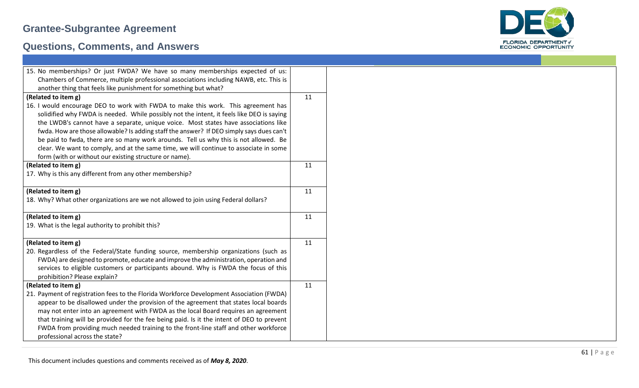

| 15. No memberships? Or just FWDA? We have so many memberships expected of us:             |    |  |  |  |  |
|-------------------------------------------------------------------------------------------|----|--|--|--|--|
| Chambers of Commerce, multiple professional associations including NAWB, etc. This is     |    |  |  |  |  |
| another thing that feels like punishment for something but what?                          |    |  |  |  |  |
| (Related to item g)                                                                       | 11 |  |  |  |  |
| 16. I would encourage DEO to work with FWDA to make this work. This agreement has         |    |  |  |  |  |
| solidified why FWDA is needed. While possibly not the intent, it feels like DEO is saying |    |  |  |  |  |
| the LWDB's cannot have a separate, unique voice. Most states have associations like       |    |  |  |  |  |
| fwda. How are those allowable? Is adding staff the answer? If DEO simply says dues can't  |    |  |  |  |  |
| be paid to fwda, there are so many work arounds. Tell us why this is not allowed. Be      |    |  |  |  |  |
| clear. We want to comply, and at the same time, we will continue to associate in some     |    |  |  |  |  |
| form (with or without our existing structure or name).                                    |    |  |  |  |  |
| (Related to item g)                                                                       | 11 |  |  |  |  |
| 17. Why is this any different from any other membership?                                  |    |  |  |  |  |
| (Related to item g)                                                                       | 11 |  |  |  |  |
| 18. Why? What other organizations are we not allowed to join using Federal dollars?       |    |  |  |  |  |
| (Related to item g)                                                                       | 11 |  |  |  |  |
| 19. What is the legal authority to prohibit this?                                         |    |  |  |  |  |
| (Related to item g)                                                                       | 11 |  |  |  |  |
| 20. Regardless of the Federal/State funding source, membership organizations (such as     |    |  |  |  |  |
| FWDA) are designed to promote, educate and improve the administration, operation and      |    |  |  |  |  |
| services to eligible customers or participants abound. Why is FWDA the focus of this      |    |  |  |  |  |
| prohibition? Please explain?                                                              |    |  |  |  |  |
| (Related to item g)                                                                       | 11 |  |  |  |  |
| 21. Payment of registration fees to the Florida Workforce Development Association (FWDA)  |    |  |  |  |  |
| appear to be disallowed under the provision of the agreement that states local boards     |    |  |  |  |  |
| may not enter into an agreement with FWDA as the local Board requires an agreement        |    |  |  |  |  |
| that training will be provided for the fee being paid. Is it the intent of DEO to prevent |    |  |  |  |  |
| FWDA from providing much needed training to the front-line staff and other workforce      |    |  |  |  |  |
| professional across the state?                                                            |    |  |  |  |  |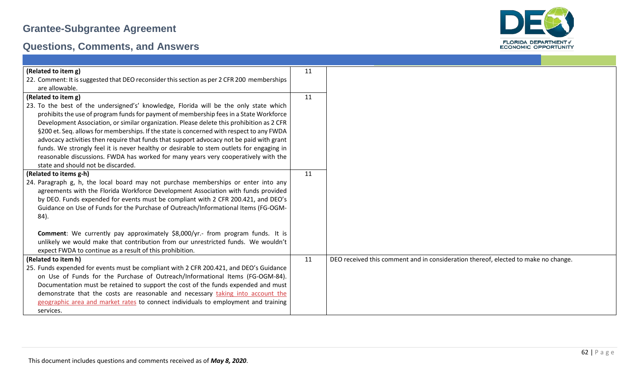

| (Related to item g)                                                                        | 11 |                                                                                    |
|--------------------------------------------------------------------------------------------|----|------------------------------------------------------------------------------------|
| 22. Comment: It is suggested that DEO reconsider this section as per 2 CFR 200 memberships |    |                                                                                    |
| are allowable.                                                                             |    |                                                                                    |
| (Related to item g)                                                                        | 11 |                                                                                    |
| 23. To the best of the undersigned's' knowledge, Florida will be the only state which      |    |                                                                                    |
| prohibits the use of program funds for payment of membership fees in a State Workforce     |    |                                                                                    |
| Development Association, or similar organization. Please delete this prohibition as 2 CFR  |    |                                                                                    |
| §200 et. Seq. allows for memberships. If the state is concerned with respect to any FWDA   |    |                                                                                    |
| advocacy activities then require that funds that support advocacy not be paid with grant   |    |                                                                                    |
| funds. We strongly feel it is never healthy or desirable to stem outlets for engaging in   |    |                                                                                    |
| reasonable discussions. FWDA has worked for many years very cooperatively with the         |    |                                                                                    |
| state and should not be discarded.                                                         |    |                                                                                    |
| (Related to items g-h)                                                                     | 11 |                                                                                    |
| 24. Paragraph g, h, the local board may not purchase memberships or enter into any         |    |                                                                                    |
| agreements with the Florida Workforce Development Association with funds provided          |    |                                                                                    |
| by DEO. Funds expended for events must be compliant with 2 CFR 200.421, and DEO's          |    |                                                                                    |
| Guidance on Use of Funds for the Purchase of Outreach/Informational Items (FG-OGM-         |    |                                                                                    |
| 84).                                                                                       |    |                                                                                    |
|                                                                                            |    |                                                                                    |
| Comment: We currently pay approximately \$8,000/yr.- from program funds. It is             |    |                                                                                    |
| unlikely we would make that contribution from our unrestricted funds. We wouldn't          |    |                                                                                    |
| expect FWDA to continue as a result of this prohibition.                                   |    |                                                                                    |
| (Related to item h)                                                                        | 11 | DEO received this comment and in consideration thereof, elected to make no change. |
| 25. Funds expended for events must be compliant with 2 CFR 200.421, and DEO's Guidance     |    |                                                                                    |
| on Use of Funds for the Purchase of Outreach/Informational Items (FG-OGM-84).              |    |                                                                                    |
| Documentation must be retained to support the cost of the funds expended and must          |    |                                                                                    |
| demonstrate that the costs are reasonable and necessary taking into account the            |    |                                                                                    |
| geographic area and market rates to connect individuals to employment and training         |    |                                                                                    |
| services.                                                                                  |    |                                                                                    |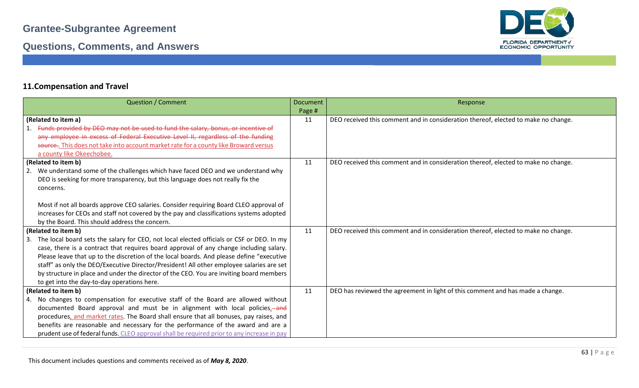

#### **11.Compensation and Travel**

| <b>Question / Comment</b>                                                                       | <b>Document</b> | Response                                                                           |
|-------------------------------------------------------------------------------------------------|-----------------|------------------------------------------------------------------------------------|
|                                                                                                 | Page #          |                                                                                    |
| (Related to item a)                                                                             | 11              | DEO received this comment and in consideration thereof, elected to make no change. |
| Funds provided by DEO may not be used to fund the salary, bonus, or incentive of                |                 |                                                                                    |
| any employee in excess of Federal Executive Level II, regardless of the funding                 |                 |                                                                                    |
| source This does not take into account market rate for a county like Broward versus             |                 |                                                                                    |
| a county like Okeechobee.                                                                       |                 |                                                                                    |
| (Related to item b)                                                                             | 11              | DEO received this comment and in consideration thereof, elected to make no change. |
| We understand some of the challenges which have faced DEO and we understand why<br>2.           |                 |                                                                                    |
| DEO is seeking for more transparency, but this language does not really fix the                 |                 |                                                                                    |
| concerns.                                                                                       |                 |                                                                                    |
|                                                                                                 |                 |                                                                                    |
| Most if not all boards approve CEO salaries. Consider requiring Board CLEO approval of          |                 |                                                                                    |
| increases for CEOs and staff not covered by the pay and classifications systems adopted         |                 |                                                                                    |
| by the Board. This should address the concern.                                                  |                 |                                                                                    |
| (Related to item b)                                                                             | 11              | DEO received this comment and in consideration thereof, elected to make no change. |
| The local board sets the salary for CEO, not local elected officials or CSF or DEO. In my<br>3. |                 |                                                                                    |
| case, there is a contract that requires board approval of any change including salary.          |                 |                                                                                    |
| Please leave that up to the discretion of the local boards. And please define "executive        |                 |                                                                                    |
| staff" as only the DEO/Executive Director/President! All other employee salaries are set        |                 |                                                                                    |
| by structure in place and under the director of the CEO. You are inviting board members         |                 |                                                                                    |
| to get into the day-to-day operations here.                                                     |                 |                                                                                    |
| (Related to item b)                                                                             | 11              | DEO has reviewed the agreement in light of this comment and has made a change.     |
| 4. No changes to compensation for executive staff of the Board are allowed without              |                 |                                                                                    |
| documented Board approval and must be in alignment with local policies,-and                     |                 |                                                                                    |
| procedures, and market rates. The Board shall ensure that all bonuses, pay raises, and          |                 |                                                                                    |
| benefits are reasonable and necessary for the performance of the award and are a                |                 |                                                                                    |
| prudent use of federal funds. CLEO approval shall be required prior to any increase in pay      |                 |                                                                                    |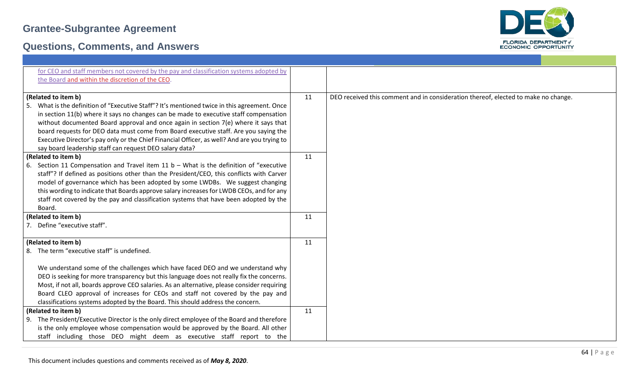

| for CEO and staff members not covered by the pay and classification systems adopted by<br>the Board and within the discretion of the CEO. |    |                                                                                    |
|-------------------------------------------------------------------------------------------------------------------------------------------|----|------------------------------------------------------------------------------------|
|                                                                                                                                           |    |                                                                                    |
| (Related to item b)                                                                                                                       | 11 | DEO received this comment and in consideration thereof, elected to make no change. |
| What is the definition of "Executive Staff"? It's mentioned twice in this agreement. Once<br>-5.                                          |    |                                                                                    |
| in section 11(b) where it says no changes can be made to executive staff compensation                                                     |    |                                                                                    |
| without documented Board approval and once again in section $7(e)$ where it says that                                                     |    |                                                                                    |
| board requests for DEO data must come from Board executive staff. Are you saying the                                                      |    |                                                                                    |
| Executive Director's pay only or the Chief Financial Officer, as well? And are you trying to                                              |    |                                                                                    |
| say board leadership staff can request DEO salary data?                                                                                   |    |                                                                                    |
| (Related to item b)                                                                                                                       | 11 |                                                                                    |
| 6. Section 11 Compensation and Travel item 11 $b -$ What is the definition of "executive"                                                 |    |                                                                                    |
| staff"? If defined as positions other than the President/CEO, this conflicts with Carver                                                  |    |                                                                                    |
| model of governance which has been adopted by some LWDBs. We suggest changing                                                             |    |                                                                                    |
| this wording to indicate that Boards approve salary increases for LWDB CEOs, and for any                                                  |    |                                                                                    |
| staff not covered by the pay and classification systems that have been adopted by the                                                     |    |                                                                                    |
| Board.<br>(Related to item b)                                                                                                             | 11 |                                                                                    |
| 7. Define "executive staff".                                                                                                              |    |                                                                                    |
|                                                                                                                                           |    |                                                                                    |
| (Related to item b)                                                                                                                       | 11 |                                                                                    |
| 8. The term "executive staff" is undefined.                                                                                               |    |                                                                                    |
|                                                                                                                                           |    |                                                                                    |
| We understand some of the challenges which have faced DEO and we understand why                                                           |    |                                                                                    |
| DEO is seeking for more transparency but this language does not really fix the concerns.                                                  |    |                                                                                    |
| Most, if not all, boards approve CEO salaries. As an alternative, please consider requiring                                               |    |                                                                                    |
| Board CLEO approval of increases for CEOs and staff not covered by the pay and                                                            |    |                                                                                    |
| classifications systems adopted by the Board. This should address the concern.                                                            |    |                                                                                    |
| (Related to item b)                                                                                                                       | 11 |                                                                                    |
| 9. The President/Executive Director is the only direct employee of the Board and therefore                                                |    |                                                                                    |
| is the only employee whose compensation would be approved by the Board. All other                                                         |    |                                                                                    |
| staff including those DEO might deem as executive staff report to the                                                                     |    |                                                                                    |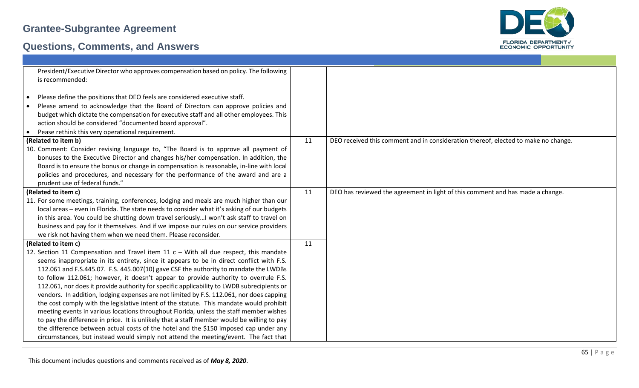

| President/Executive Director who approves compensation based on policy. The following<br>is recommended:                                                                                                                                                                                                                                                                                                                                                                                                                                                                                                                                                                                                                                                                                                                                                                                                                                                                                                                       |    |                                                                                    |
|--------------------------------------------------------------------------------------------------------------------------------------------------------------------------------------------------------------------------------------------------------------------------------------------------------------------------------------------------------------------------------------------------------------------------------------------------------------------------------------------------------------------------------------------------------------------------------------------------------------------------------------------------------------------------------------------------------------------------------------------------------------------------------------------------------------------------------------------------------------------------------------------------------------------------------------------------------------------------------------------------------------------------------|----|------------------------------------------------------------------------------------|
| Please define the positions that DEO feels are considered executive staff.<br>$\bullet$<br>Please amend to acknowledge that the Board of Directors can approve policies and<br>budget which dictate the compensation for executive staff and all other employees. This<br>action should be considered "documented board approval".                                                                                                                                                                                                                                                                                                                                                                                                                                                                                                                                                                                                                                                                                             |    |                                                                                    |
| Pease rethink this very operational requirement.                                                                                                                                                                                                                                                                                                                                                                                                                                                                                                                                                                                                                                                                                                                                                                                                                                                                                                                                                                               |    |                                                                                    |
| (Related to item b)                                                                                                                                                                                                                                                                                                                                                                                                                                                                                                                                                                                                                                                                                                                                                                                                                                                                                                                                                                                                            | 11 | DEO received this comment and in consideration thereof, elected to make no change. |
| 10. Comment: Consider revising language to, "The Board is to approve all payment of<br>bonuses to the Executive Director and changes his/her compensation. In addition, the<br>Board is to ensure the bonus or change in compensation is reasonable, in-line with local<br>policies and procedures, and necessary for the performance of the award and are a<br>prudent use of federal funds."                                                                                                                                                                                                                                                                                                                                                                                                                                                                                                                                                                                                                                 |    |                                                                                    |
| (Related to item c)                                                                                                                                                                                                                                                                                                                                                                                                                                                                                                                                                                                                                                                                                                                                                                                                                                                                                                                                                                                                            | 11 | DEO has reviewed the agreement in light of this comment and has made a change.     |
| 11. For some meetings, training, conferences, lodging and meals are much higher than our<br>local areas - even in Florida. The state needs to consider what it's asking of our budgets<br>in this area. You could be shutting down travel seriously I won't ask staff to travel on<br>business and pay for it themselves. And if we impose our rules on our service providers<br>we risk not having them when we need them. Please reconsider.                                                                                                                                                                                                                                                                                                                                                                                                                                                                                                                                                                                 |    |                                                                                    |
| (Related to item c)                                                                                                                                                                                                                                                                                                                                                                                                                                                                                                                                                                                                                                                                                                                                                                                                                                                                                                                                                                                                            | 11 |                                                                                    |
| 12. Section 11 Compensation and Travel item 11 $c -$ With all due respect, this mandate<br>seems inappropriate in its entirety, since it appears to be in direct conflict with F.S.<br>112.061 and F.S.445.07. F.S. 445.007(10) gave CSF the authority to mandate the LWDBs<br>to follow 112.061; however, it doesn't appear to provide authority to overrule F.S.<br>112.061, nor does it provide authority for specific applicability to LWDB subrecipients or<br>vendors. In addition, lodging expenses are not limited by F.S. 112.061, nor does capping<br>the cost comply with the legislative intent of the statute. This mandate would prohibit<br>meeting events in various locations throughout Florida, unless the staff member wishes<br>to pay the difference in price. It is unlikely that a staff member would be willing to pay<br>the difference between actual costs of the hotel and the \$150 imposed cap under any<br>circumstances, but instead would simply not attend the meeting/event. The fact that |    |                                                                                    |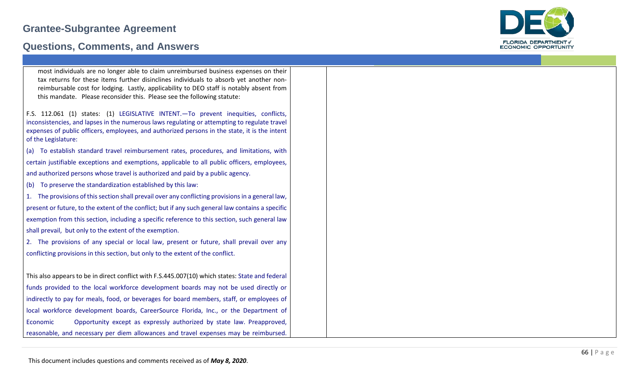#### **Questions, Comments, and Answers**



| most individuals are no longer able to claim unreimbursed business expenses on their<br>tax returns for these items further disinclines individuals to absorb yet another non-<br>reimbursable cost for lodging. Lastly, applicability to DEO staff is notably absent from<br>this mandate. Please reconsider this. Please see the following statute: |  |
|-------------------------------------------------------------------------------------------------------------------------------------------------------------------------------------------------------------------------------------------------------------------------------------------------------------------------------------------------------|--|
| F.S. 112.061 (1) states: (1) LEGISLATIVE INTENT. - To prevent inequities, conflicts,<br>inconsistencies, and lapses in the numerous laws regulating or attempting to regulate travel<br>expenses of public officers, employees, and authorized persons in the state, it is the intent<br>of the Legislature:                                          |  |

(a) To establish standard travel reimbursement rates, procedures, and limitations, with certain justifiable exceptions and exemptions, applicable to all public officers, employees, and authorized persons whose travel is authorized and paid by a public agency.

(b) To preserve the standardization established by this law:

1. The provisions of this section shall prevail over any conflicting provisions in a general law, present or future, to the extent of the conflict; but if any such general law contains a specific exemption from this section, including a specific reference to this section, such general law shall prevail, but only to the extent of the exemption.

2. The provisions of any special or local law, present or future, shall prevail over any conflicting provisions in this section, but only to the extent of the conflict.

This also appears to be in direct conflict with F.S.445.007(10) which states: State and federal funds provided to the local workforce development boards may not be used directly or indirectly to pay for meals, food, or beverages for board members, staff, or employees of local workforce development boards, CareerSource Florida, Inc., or the Department of Economic Opportunity except as expressly authorized by state law. Preapproved, reasonable, and necessary per diem allowances and travel expenses may be reimbursed.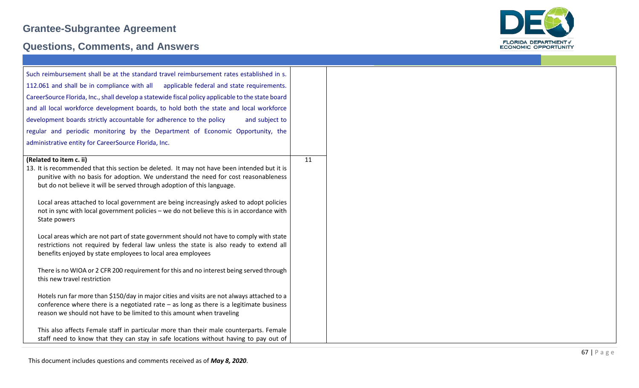

| Such reimbursement shall be at the standard travel reimbursement rates established in s.                               |    |
|------------------------------------------------------------------------------------------------------------------------|----|
| 112.061 and shall be in compliance with all applicable federal and state requirements.                                 |    |
| CareerSource Florida, Inc., shall develop a statewide fiscal policy applicable to the state board                      |    |
| and all local workforce development boards, to hold both the state and local workforce                                 |    |
| development boards strictly accountable for adherence to the policy<br>and subject to                                  |    |
| regular and periodic monitoring by the Department of Economic Opportunity, the                                         |    |
| administrative entity for CareerSource Florida, Inc.                                                                   |    |
|                                                                                                                        |    |
| (Related to item c. ii)<br>13. It is recommended that this section be deleted. It may not have been intended but it is | 11 |
| punitive with no basis for adoption. We understand the need for cost reasonableness                                    |    |
| but do not believe it will be served through adoption of this language.                                                |    |
| Local areas attached to local government are being increasingly asked to adopt policies                                |    |
| not in sync with local government policies - we do not believe this is in accordance with                              |    |
| State powers                                                                                                           |    |
| Local areas which are not part of state government should not have to comply with state                                |    |
| restrictions not required by federal law unless the state is also ready to extend all                                  |    |
| benefits enjoyed by state employees to local area employees                                                            |    |
| There is no WIOA or 2 CFR 200 requirement for this and no interest being served through                                |    |
| this new travel restriction                                                                                            |    |
| Hotels run far more than \$150/day in major cities and visits are not always attached to a                             |    |
| conference where there is a negotiated rate $-$ as long as there is a legitimate business                              |    |
| reason we should not have to be limited to this amount when traveling                                                  |    |
| This also affects Female staff in particular more than their male counterparts. Female                                 |    |
| staff need to know that they can stay in safe locations without having to pay out of                                   |    |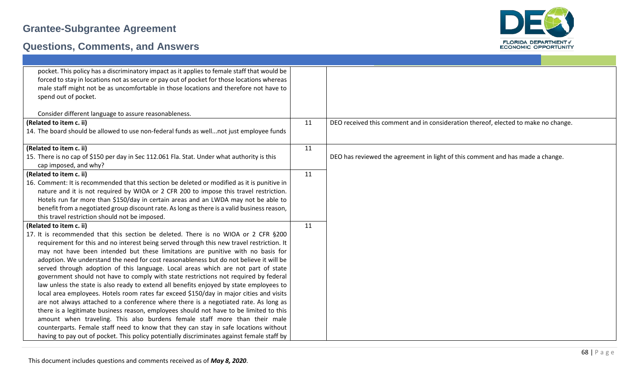

| pocket. This policy has a discriminatory impact as it applies to female staff that would be  |    |                                                                                    |
|----------------------------------------------------------------------------------------------|----|------------------------------------------------------------------------------------|
| forced to stay in locations not as secure or pay out of pocket for those locations whereas   |    |                                                                                    |
| male staff might not be as uncomfortable in those locations and therefore not have to        |    |                                                                                    |
| spend out of pocket.                                                                         |    |                                                                                    |
| Consider different language to assure reasonableness.                                        |    |                                                                                    |
| (Related to item c. ii)                                                                      | 11 | DEO received this comment and in consideration thereof, elected to make no change. |
| 14. The board should be allowed to use non-federal funds as wellnot just employee funds      |    |                                                                                    |
|                                                                                              |    |                                                                                    |
| (Related to item c. ii)                                                                      | 11 |                                                                                    |
| 15. There is no cap of \$150 per day in Sec 112.061 Fla. Stat. Under what authority is this  |    | DEO has reviewed the agreement in light of this comment and has made a change.     |
| cap imposed, and why?                                                                        |    |                                                                                    |
| (Related to item c. ii)                                                                      | 11 |                                                                                    |
| 16. Comment: It is recommended that this section be deleted or modified as it is punitive in |    |                                                                                    |
| nature and it is not required by WIOA or 2 CFR 200 to impose this travel restriction.        |    |                                                                                    |
| Hotels run far more than \$150/day in certain areas and an LWDA may not be able to           |    |                                                                                    |
| benefit from a negotiated group discount rate. As long as there is a valid business reason,  |    |                                                                                    |
| this travel restriction should not be imposed.                                               |    |                                                                                    |
| (Related to item c. ii)                                                                      | 11 |                                                                                    |
| 17. It is recommended that this section be deleted. There is no WIOA or 2 CFR §200           |    |                                                                                    |
| requirement for this and no interest being served through this new travel restriction. It    |    |                                                                                    |
| may not have been intended but these limitations are punitive with no basis for              |    |                                                                                    |
| adoption. We understand the need for cost reasonableness but do not believe it will be       |    |                                                                                    |
| served through adoption of this language. Local areas which are not part of state            |    |                                                                                    |
| government should not have to comply with state restrictions not required by federal         |    |                                                                                    |
| law unless the state is also ready to extend all benefits enjoyed by state employees to      |    |                                                                                    |
| local area employees. Hotels room rates far exceed \$150/day in major cities and visits      |    |                                                                                    |
| are not always attached to a conference where there is a negotiated rate. As long as         |    |                                                                                    |
| there is a legitimate business reason, employees should not have to be limited to this       |    |                                                                                    |
| amount when traveling. This also burdens female staff more than their male                   |    |                                                                                    |
| counterparts. Female staff need to know that they can stay in safe locations without         |    |                                                                                    |
| having to pay out of pocket. This policy potentially discriminates against female staff by   |    |                                                                                    |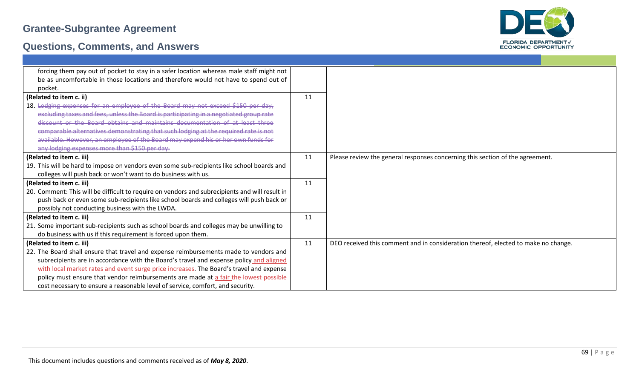



| forcing them pay out of pocket to stay in a safer location whereas male staff might not        |    |                                                                                    |
|------------------------------------------------------------------------------------------------|----|------------------------------------------------------------------------------------|
| be as uncomfortable in those locations and therefore would not have to spend out of            |    |                                                                                    |
| pocket.                                                                                        |    |                                                                                    |
| (Related to item c. ii)                                                                        | 11 |                                                                                    |
| 18. Lodging expenses for an employee of the Board may not exceed \$150 per day,                |    |                                                                                    |
| excluding taxes and fees, unless the Board is participating in a negotiated group rate         |    |                                                                                    |
| discount or the Board obtains and maintains documentation of at least three                    |    |                                                                                    |
| comparable alternatives demonstrating that such lodging at the required rate is not            |    |                                                                                    |
| available. However, an employee of the Board may expend his or her own funds for               |    |                                                                                    |
| any lodging expenses more than \$150 per day.                                                  |    |                                                                                    |
| (Related to item c. iii)                                                                       | 11 | Please review the general responses concerning this section of the agreement.      |
| 19. This will be hard to impose on vendors even some sub-recipients like school boards and     |    |                                                                                    |
| colleges will push back or won't want to do business with us.                                  |    |                                                                                    |
| (Related to item c. iii)                                                                       | 11 |                                                                                    |
| 20. Comment: This will be difficult to require on vendors and subrecipients and will result in |    |                                                                                    |
| push back or even some sub-recipients like school boards and colleges will push back or        |    |                                                                                    |
| possibly not conducting business with the LWDA.                                                |    |                                                                                    |
| (Related to item c. iii)                                                                       | 11 |                                                                                    |
| 21. Some important sub-recipients such as school boards and colleges may be unwilling to       |    |                                                                                    |
| do business with us if this requirement is forced upon them.                                   |    |                                                                                    |
| (Related to item c. iii)                                                                       | 11 | DEO received this comment and in consideration thereof, elected to make no change. |
| 22. The Board shall ensure that travel and expense reimbursements made to vendors and          |    |                                                                                    |
| subrecipients are in accordance with the Board's travel and expense policy and aligned         |    |                                                                                    |
| with local market rates and event surge price increases. The Board's travel and expense        |    |                                                                                    |
| policy must ensure that vendor reimbursements are made at a fair the lowest possible           |    |                                                                                    |
| cost necessary to ensure a reasonable level of service, comfort, and security.                 |    |                                                                                    |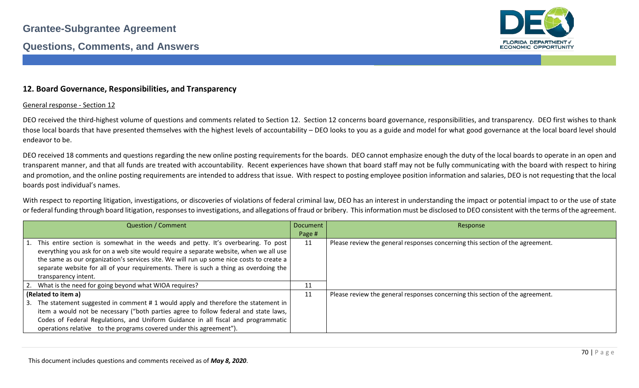

#### **12. Board Governance, Responsibilities, and Transparency**

#### General response - Section 12

DEO received the third-highest volume of questions and comments related to Section 12. Section 12 concerns board governance, responsibilities, and transparency. DEO first wishes to thank those local boards that have presented themselves with the highest levels of accountability – DEO looks to you as a guide and model for what good governance at the local board level should endeavor to be.

DEO received 18 comments and questions regarding the new online posting requirements for the boards. DEO cannot emphasize enough the duty of the local boards to operate in an open and transparent manner, and that all funds are treated with accountability. Recent experiences have shown that board staff may not be fully communicating with the board with respect to hiring and promotion, and the online posting requirements are intended to address that issue. With respect to posting employee position information and salaries, DEO is not requesting that the local boards post individual's names.

With respect to reporting litigation, investigations, or discoveries of violations of federal criminal law, DEO has an interest in understanding the impact or potential impact to or the use of state or federal funding through board litigation, responses to investigations, and allegations of fraud or bribery. This information must be disclosed to DEO consistent with the terms of the agreement.

| <b>Question / Comment</b>                                                                | <b>Document</b> | Response                                                                      |
|------------------------------------------------------------------------------------------|-----------------|-------------------------------------------------------------------------------|
|                                                                                          | Page #          |                                                                               |
| 1. This entire section is somewhat in the weeds and petty. It's overbearing. To post     | 11              | Please review the general responses concerning this section of the agreement. |
| everything you ask for on a web site would require a separate website, when we all use   |                 |                                                                               |
| the same as our organization's services site. We will run up some nice costs to create a |                 |                                                                               |
| separate website for all of your requirements. There is such a thing as overdoing the    |                 |                                                                               |
| transparency intent.                                                                     |                 |                                                                               |
| 2. What is the need for going beyond what WIOA requires?                                 | 11              |                                                                               |
| (Related to item a)                                                                      | 11              | Please review the general responses concerning this section of the agreement. |
| 3. The statement suggested in comment # 1 would apply and therefore the statement in     |                 |                                                                               |
| item a would not be necessary ("both parties agree to follow federal and state laws,     |                 |                                                                               |
| Codes of Federal Regulations, and Uniform Guidance in all fiscal and programmatic        |                 |                                                                               |
| operations relative to the programs covered under this agreement").                      |                 |                                                                               |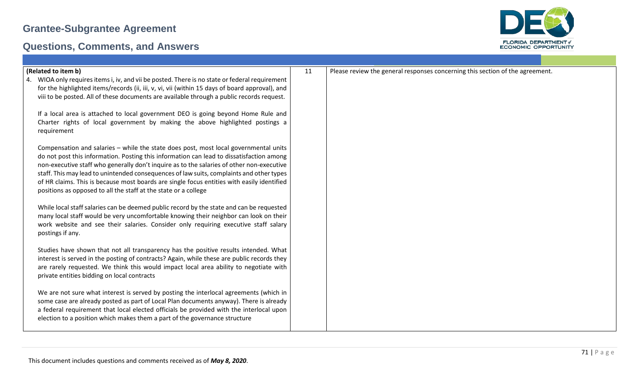

| (Related to item b)                                                                                                                                                                | 11 | Please review the general responses concerning this section of the agreement. |
|------------------------------------------------------------------------------------------------------------------------------------------------------------------------------------|----|-------------------------------------------------------------------------------|
| WIOA only requires items i, iv, and vii be posted. There is no state or federal requirement<br>4.                                                                                  |    |                                                                               |
| for the highlighted items/records (ii, iii, v, vi, vii (within 15 days of board approval), and                                                                                     |    |                                                                               |
| viii to be posted. All of these documents are available through a public records request.                                                                                          |    |                                                                               |
| If a local area is attached to local government DEO is going beyond Home Rule and                                                                                                  |    |                                                                               |
| Charter rights of local government by making the above highlighted postings a                                                                                                      |    |                                                                               |
| requirement                                                                                                                                                                        |    |                                                                               |
|                                                                                                                                                                                    |    |                                                                               |
| Compensation and salaries - while the state does post, most local governmental units                                                                                               |    |                                                                               |
| do not post this information. Posting this information can lead to dissatisfaction among                                                                                           |    |                                                                               |
| non-executive staff who generally don't inquire as to the salaries of other non-executive                                                                                          |    |                                                                               |
| staff. This may lead to unintended consequences of law suits, complaints and other types                                                                                           |    |                                                                               |
| of HR claims. This is because most boards are single focus entities with easily identified<br>positions as opposed to all the staff at the state or a college                      |    |                                                                               |
|                                                                                                                                                                                    |    |                                                                               |
| While local staff salaries can be deemed public record by the state and can be requested                                                                                           |    |                                                                               |
| many local staff would be very uncomfortable knowing their neighbor can look on their                                                                                              |    |                                                                               |
| work website and see their salaries. Consider only requiring executive staff salary                                                                                                |    |                                                                               |
| postings if any.                                                                                                                                                                   |    |                                                                               |
|                                                                                                                                                                                    |    |                                                                               |
| Studies have shown that not all transparency has the positive results intended. What<br>interest is served in the posting of contracts? Again, while these are public records they |    |                                                                               |
| are rarely requested. We think this would impact local area ability to negotiate with                                                                                              |    |                                                                               |
| private entities bidding on local contracts                                                                                                                                        |    |                                                                               |
|                                                                                                                                                                                    |    |                                                                               |
| We are not sure what interest is served by posting the interlocal agreements (which in                                                                                             |    |                                                                               |
| some case are already posted as part of Local Plan documents anyway). There is already                                                                                             |    |                                                                               |
| a federal requirement that local elected officials be provided with the interlocal upon                                                                                            |    |                                                                               |
| election to a position which makes them a part of the governance structure                                                                                                         |    |                                                                               |
|                                                                                                                                                                                    |    |                                                                               |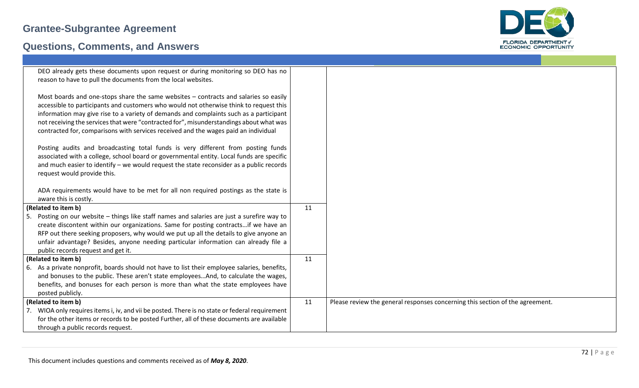

| DEO already gets these documents upon request or during monitoring so DEO has no                                                                                                                                                                                                                                                                                                                                                                                                                                                                        |          |                                                                               |
|---------------------------------------------------------------------------------------------------------------------------------------------------------------------------------------------------------------------------------------------------------------------------------------------------------------------------------------------------------------------------------------------------------------------------------------------------------------------------------------------------------------------------------------------------------|----------|-------------------------------------------------------------------------------|
| reason to have to pull the documents from the local websites.                                                                                                                                                                                                                                                                                                                                                                                                                                                                                           |          |                                                                               |
| Most boards and one-stops share the same websites - contracts and salaries so easily                                                                                                                                                                                                                                                                                                                                                                                                                                                                    |          |                                                                               |
| accessible to participants and customers who would not otherwise think to request this                                                                                                                                                                                                                                                                                                                                                                                                                                                                  |          |                                                                               |
| information may give rise to a variety of demands and complaints such as a participant                                                                                                                                                                                                                                                                                                                                                                                                                                                                  |          |                                                                               |
| not receiving the services that were "contracted for", misunderstandings about what was<br>contracted for, comparisons with services received and the wages paid an individual                                                                                                                                                                                                                                                                                                                                                                          |          |                                                                               |
|                                                                                                                                                                                                                                                                                                                                                                                                                                                                                                                                                         |          |                                                                               |
| Posting audits and broadcasting total funds is very different from posting funds                                                                                                                                                                                                                                                                                                                                                                                                                                                                        |          |                                                                               |
| associated with a college, school board or governmental entity. Local funds are specific                                                                                                                                                                                                                                                                                                                                                                                                                                                                |          |                                                                               |
| and much easier to identify - we would request the state reconsider as a public records                                                                                                                                                                                                                                                                                                                                                                                                                                                                 |          |                                                                               |
| request would provide this.                                                                                                                                                                                                                                                                                                                                                                                                                                                                                                                             |          |                                                                               |
| ADA requirements would have to be met for all non required postings as the state is                                                                                                                                                                                                                                                                                                                                                                                                                                                                     |          |                                                                               |
| aware this is costly.                                                                                                                                                                                                                                                                                                                                                                                                                                                                                                                                   |          |                                                                               |
| (Related to item b)                                                                                                                                                                                                                                                                                                                                                                                                                                                                                                                                     | 11       |                                                                               |
| 5. Posting on our website - things like staff names and salaries are just a surefire way to                                                                                                                                                                                                                                                                                                                                                                                                                                                             |          |                                                                               |
|                                                                                                                                                                                                                                                                                                                                                                                                                                                                                                                                                         |          |                                                                               |
|                                                                                                                                                                                                                                                                                                                                                                                                                                                                                                                                                         |          |                                                                               |
|                                                                                                                                                                                                                                                                                                                                                                                                                                                                                                                                                         |          |                                                                               |
|                                                                                                                                                                                                                                                                                                                                                                                                                                                                                                                                                         |          |                                                                               |
| 6. As a private nonprofit, boards should not have to list their employee salaries, benefits,                                                                                                                                                                                                                                                                                                                                                                                                                                                            |          |                                                                               |
| and bonuses to the public. These aren't state employeesAnd, to calculate the wages,                                                                                                                                                                                                                                                                                                                                                                                                                                                                     |          |                                                                               |
| benefits, and bonuses for each person is more than what the state employees have                                                                                                                                                                                                                                                                                                                                                                                                                                                                        |          |                                                                               |
| posted publicly.                                                                                                                                                                                                                                                                                                                                                                                                                                                                                                                                        |          |                                                                               |
|                                                                                                                                                                                                                                                                                                                                                                                                                                                                                                                                                         |          |                                                                               |
|                                                                                                                                                                                                                                                                                                                                                                                                                                                                                                                                                         |          |                                                                               |
|                                                                                                                                                                                                                                                                                                                                                                                                                                                                                                                                                         |          |                                                                               |
| create discontent within our organizations. Same for posting contractsif we have an<br>RFP out there seeking proposers, why would we put up all the details to give anyone an<br>unfair advantage? Besides, anyone needing particular information can already file a<br>public records request and get it.<br>(Related to item b)<br>(Related to item b)<br>7. WIOA only requires items i, iv, and vii be posted. There is no state or federal requirement<br>for the other items or records to be posted Further, all of these documents are available | 11<br>11 | Please review the general responses concerning this section of the agreement. |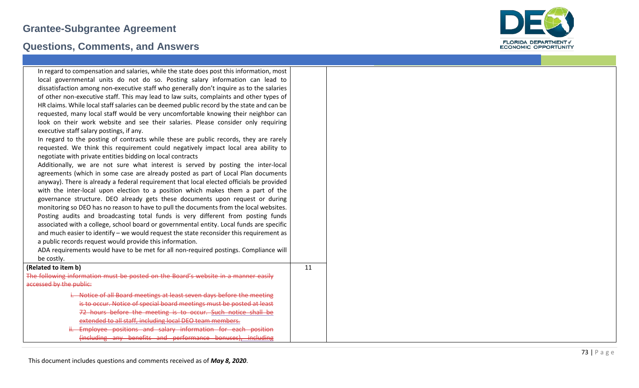

| In regard to compensation and salaries, while the state does post this information, most  |    |
|-------------------------------------------------------------------------------------------|----|
| local governmental units do not do so. Posting salary information can lead to             |    |
| dissatisfaction among non-executive staff who generally don't inquire as to the salaries  |    |
| of other non-executive staff. This may lead to law suits, complaints and other types of   |    |
| HR claims. While local staff salaries can be deemed public record by the state and can be |    |
| requested, many local staff would be very uncomfortable knowing their neighbor can        |    |
| look on their work website and see their salaries. Please consider only requiring         |    |
| executive staff salary postings, if any.                                                  |    |
| In regard to the posting of contracts while these are public records, they are rarely     |    |
| requested. We think this requirement could negatively impact local area ability to        |    |
| negotiate with private entities bidding on local contracts                                |    |
| Additionally, we are not sure what interest is served by posting the inter-local          |    |
| agreements (which in some case are already posted as part of Local Plan documents         |    |
| anyway). There is already a federal requirement that local elected officials be provided  |    |
| with the inter-local upon election to a position which makes them a part of the           |    |
| governance structure. DEO already gets these documents upon request or during             |    |
| monitoring so DEO has no reason to have to pull the documents from the local websites.    |    |
| Posting audits and broadcasting total funds is very different from posting funds          |    |
| associated with a college, school board or governmental entity. Local funds are specific  |    |
| and much easier to identify - we would request the state reconsider this requirement as   |    |
| a public records request would provide this information.                                  |    |
| ADA requirements would have to be met for all non-required postings. Compliance will      |    |
| be costly.                                                                                |    |
| (Related to item b)                                                                       | 11 |
| The following information must be posted on the Board's website in a manner easily        |    |
| accessed by the public:                                                                   |    |
| i. Notice of all Board meetings at least seven days before the meeting                    |    |
| is to occur. Notice of special board meetings must be posted at least                     |    |
| 72 hours before the meeting is to occur. Such notice shall be                             |    |
| extended to all staff, including local DEO team members.                                  |    |
| Employee positions and salary information for each position                               |    |
| (including any benefits and performance bonuses), including                               |    |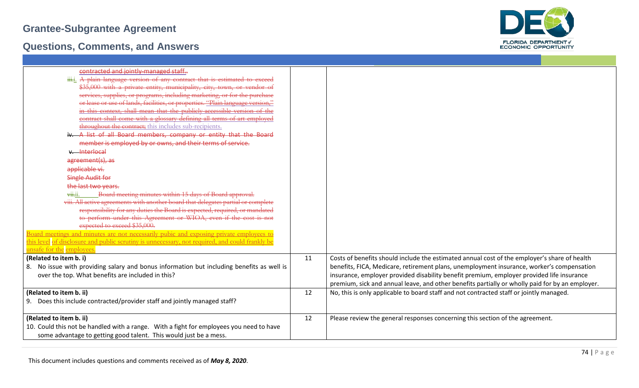

| contracted and jointly-managed staff                                                            |    |                                                                                                 |
|-------------------------------------------------------------------------------------------------|----|-------------------------------------------------------------------------------------------------|
| iii.j. A plain language version of any contract that is estimated to exceed                     |    |                                                                                                 |
| \$35,000 with a private entity, municipality, city, town, or vendor of                          |    |                                                                                                 |
| services, supplies, or programs, including marketing, or for the purchase                       |    |                                                                                                 |
| or lease or use of lands, facilities, or properties. "Plain language version,"                  |    |                                                                                                 |
| in this context, shall mean that the publicly-accessible version of the                         |    |                                                                                                 |
| contract shall come with a glossary defining all terms-of-art employed                          |    |                                                                                                 |
| throughout the contract; this includes sub-recipients.                                          |    |                                                                                                 |
| iv. A list of all Board members, company or entity that the Board                               |    |                                                                                                 |
| member is employed by or owns, and their terms of service.                                      |    |                                                                                                 |
| v. Interlocal                                                                                   |    |                                                                                                 |
| agreement(s), as                                                                                |    |                                                                                                 |
| applicable vi.                                                                                  |    |                                                                                                 |
| <b>Single Audit for</b>                                                                         |    |                                                                                                 |
| the last two years.                                                                             |    |                                                                                                 |
| $\overline{\text{with}}$<br>Board meeting minutes within 15 days of Board approval.             |    |                                                                                                 |
| viii. All active agreements with another board that delegates partial or complete               |    |                                                                                                 |
| responsibility for any duties the Board is expected, required, or mandated                      |    |                                                                                                 |
| to perform under this Agreement or WIOA, even if the cost is not                                |    |                                                                                                 |
| expected to exceed \$35,000.                                                                    |    |                                                                                                 |
| Board meetings and minutes are not necessarily pubic and exposing private employees to          |    |                                                                                                 |
| this level of disclosure and public scrutiny is unnecessary, not required, and could frankly be |    |                                                                                                 |
| unsafe for the employees.                                                                       |    |                                                                                                 |
| (Related to item b. i)                                                                          | 11 | Costs of benefits should include the estimated annual cost of the employer's share of health    |
| 8. No issue with providing salary and bonus information but including benefits as well is       |    | benefits, FICA, Medicare, retirement plans, unemployment insurance, worker's compensation       |
| over the top. What benefits are included in this?                                               |    | insurance, employer provided disability benefit premium, employer provided life insurance       |
|                                                                                                 |    | premium, sick and annual leave, and other benefits partially or wholly paid for by an employer. |
| (Related to item b. ii)                                                                         | 12 | No, this is only applicable to board staff and not contracted staff or jointly managed.         |
| 9. Does this include contracted/provider staff and jointly managed staff?                       |    |                                                                                                 |
|                                                                                                 |    |                                                                                                 |
| (Related to item b. ii)                                                                         | 12 | Please review the general responses concerning this section of the agreement.                   |
| 10. Could this not be handled with a range. With a fight for employees you need to have         |    |                                                                                                 |
| some advantage to getting good talent. This would just be a mess.                               |    |                                                                                                 |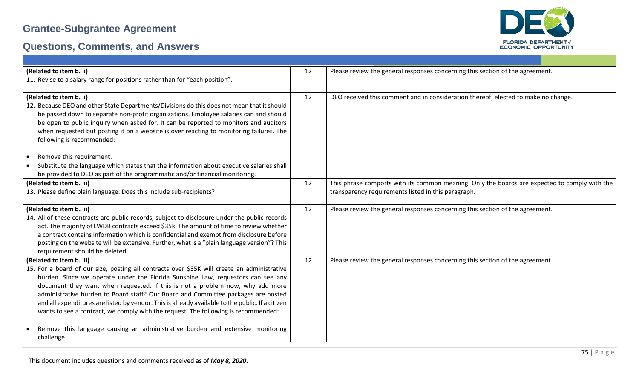

| (Related to item b. ii)                                                                          | 12 | Please review the general responses concerning this section of the agreement.                 |
|--------------------------------------------------------------------------------------------------|----|-----------------------------------------------------------------------------------------------|
| 11. Revise to a salary range for positions rather than for "each position".                      |    |                                                                                               |
|                                                                                                  |    |                                                                                               |
| (Related to item b. ii)                                                                          | 12 | DEO received this comment and in consideration thereof, elected to make no change.            |
| 12. Because DEO and other State Departments/Divisions do this does not mean that it should       |    |                                                                                               |
| be passed down to separate non-profit organizations. Employee salaries can and should            |    |                                                                                               |
| be open to public inquiry when asked for. It can be reported to monitors and auditors            |    |                                                                                               |
| when requested but posting it on a website is over reacting to monitoring failures. The          |    |                                                                                               |
| following is recommended:                                                                        |    |                                                                                               |
|                                                                                                  |    |                                                                                               |
| Remove this requirement.<br>$\bullet$                                                            |    |                                                                                               |
| Substitute the language which states that the information about executive salaries shall         |    |                                                                                               |
| be provided to DEO as part of the programmatic and/or financial monitoring.                      |    |                                                                                               |
| (Related to item b. iii)                                                                         | 12 | This phrase comports with its common meaning. Only the boards are expected to comply with the |
| 13. Please define plain language. Does this include sub-recipients?                              |    | transparency requirements listed in this paragraph.                                           |
|                                                                                                  |    |                                                                                               |
| (Related to item b. iii)                                                                         | 12 | Please review the general responses concerning this section of the agreement.                 |
| 14. All of these contracts are public records, subject to disclosure under the public records    |    |                                                                                               |
| act. The majority of LWDB contracts exceed \$35k. The amount of time to review whether           |    |                                                                                               |
| a contract contains information which is confidential and exempt from disclosure before          |    |                                                                                               |
| posting on the website will be extensive. Further, what is a "plain language version"? This      |    |                                                                                               |
| requirement should be deleted.                                                                   |    |                                                                                               |
| (Related to item b. iii)                                                                         | 12 | Please review the general responses concerning this section of the agreement.                 |
| 15. For a board of our size, posting all contracts over \$35K will create an administrative      |    |                                                                                               |
| burden. Since we operate under the Florida Sunshine Law, requestors can see any                  |    |                                                                                               |
| document they want when requested. If this is not a problem now, why add more                    |    |                                                                                               |
| administrative burden to Board staff? Our Board and Committee packages are posted                |    |                                                                                               |
| and all expenditures are listed by vendor. This is already available to the public. If a citizen |    |                                                                                               |
| wants to see a contract, we comply with the request. The following is recommended:               |    |                                                                                               |
|                                                                                                  |    |                                                                                               |
|                                                                                                  |    |                                                                                               |
| Remove this language causing an administrative burden and extensive monitoring<br>challenge.     |    |                                                                                               |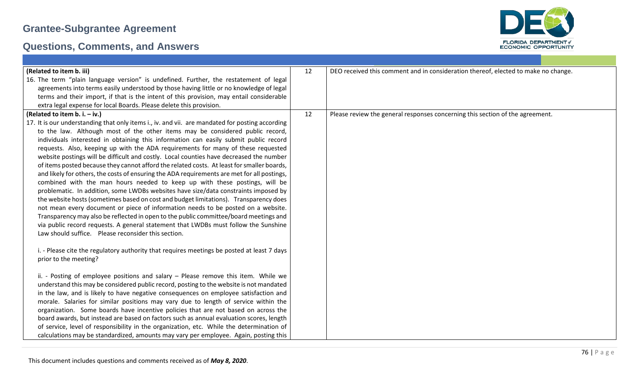

| (Related to item b. iii)                                                                        | 12 | DEO received this comment and in consideration thereof, elected to make no change. |
|-------------------------------------------------------------------------------------------------|----|------------------------------------------------------------------------------------|
| 16. The term "plain language version" is undefined. Further, the restatement of legal           |    |                                                                                    |
| agreements into terms easily understood by those having little or no knowledge of legal         |    |                                                                                    |
| terms and their import, if that is the intent of this provision, may entail considerable        |    |                                                                                    |
| extra legal expense for local Boards. Please delete this provision.                             |    |                                                                                    |
| (Related to item b. i. $-$ iv.)                                                                 | 12 | Please review the general responses concerning this section of the agreement.      |
| 17. It is our understanding that only items i., iv. and vii. are mandated for posting according |    |                                                                                    |
| to the law. Although most of the other items may be considered public record,                   |    |                                                                                    |
| individuals interested in obtaining this information can easily submit public record            |    |                                                                                    |
| requests. Also, keeping up with the ADA requirements for many of these requested                |    |                                                                                    |
| website postings will be difficult and costly. Local counties have decreased the number         |    |                                                                                    |
| of items posted because they cannot afford the related costs. At least for smaller boards,      |    |                                                                                    |
| and likely for others, the costs of ensuring the ADA requirements are met for all postings,     |    |                                                                                    |
| combined with the man hours needed to keep up with these postings, will be                      |    |                                                                                    |
| problematic. In addition, some LWDBs websites have size/data constraints imposed by             |    |                                                                                    |
| the website hosts (sometimes based on cost and budget limitations). Transparency does           |    |                                                                                    |
| not mean every document or piece of information needs to be posted on a website.                |    |                                                                                    |
| Transparency may also be reflected in open to the public committee/board meetings and           |    |                                                                                    |
| via public record requests. A general statement that LWDBs must follow the Sunshine             |    |                                                                                    |
| Law should suffice. Please reconsider this section.                                             |    |                                                                                    |
|                                                                                                 |    |                                                                                    |
| i. - Please cite the regulatory authority that requires meetings be posted at least 7 days      |    |                                                                                    |
| prior to the meeting?                                                                           |    |                                                                                    |
|                                                                                                 |    |                                                                                    |
| ii. - Posting of employee positions and salary - Please remove this item. While we              |    |                                                                                    |
| understand this may be considered public record, posting to the website is not mandated         |    |                                                                                    |
| in the law, and is likely to have negative consequences on employee satisfaction and            |    |                                                                                    |
| morale. Salaries for similar positions may vary due to length of service within the             |    |                                                                                    |
| organization. Some boards have incentive policies that are not based on across the              |    |                                                                                    |
| board awards, but instead are based on factors such as annual evaluation scores, length         |    |                                                                                    |
| of service, level of responsibility in the organization, etc. While the determination of        |    |                                                                                    |
| calculations may be standardized, amounts may vary per employee. Again, posting this            |    |                                                                                    |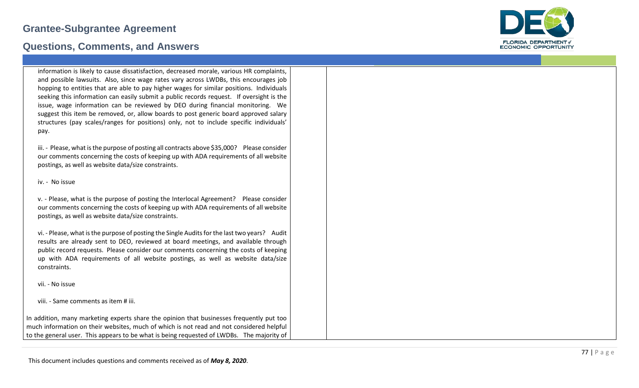### **Questions, Comments, and Answers**



information is likely to cause dissatisfaction, decreased morale, various HR complaints, and possible lawsuits. Also, since wage rates vary across LWDBs, this encourages job hopping to entities that are able to pay higher wages for similar positions. Individuals seeking this information can easily submit a public records request. If oversight is the issue, wage information can be reviewed by DEO during financial monitoring. We suggest this item be removed, or, allow boards to post generic board approved salary structures (pay scales/ranges for positions) only, not to include specific individuals' pay.

iii. - Please, what is the purpose of posting all contracts above \$35,000? Please consider our comments concerning the costs of keeping up with ADA requirements of all website postings, as well as website data/size constraints.

iv. - No issue

v. - Please, what is the purpose of posting the Interlocal Agreement? Please consider our comments concerning the costs of keeping up with ADA requirements of all website postings, as well as website data/size constraints.

vi. - Please, what is the purpose of posting the Single Audits for the last two years? Audit results are already sent to DEO, reviewed at board meetings, and available through public record requests. Please consider our comments concerning the costs of keeping up with ADA requirements of all website postings, as well as website data/size constraints.

vii. - No issue

viii. - Same comments as item # iii.

In addition, many marketing experts share the opinion that businesses frequently put too much information on their websites, much of which is not read and not considered helpful to the general user. This appears to be what is being requested of LWDBs. The majority of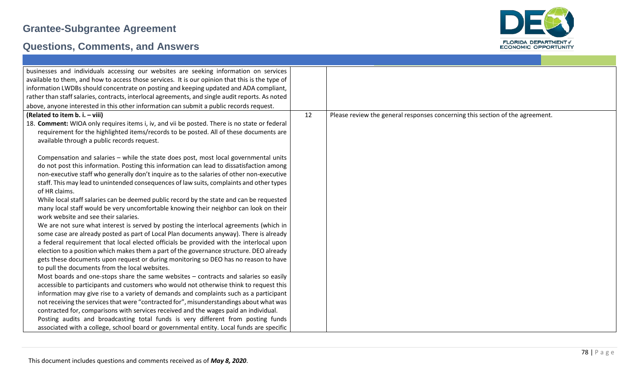

| businesses and individuals accessing our websites are seeking information on services            |    |                                                                               |
|--------------------------------------------------------------------------------------------------|----|-------------------------------------------------------------------------------|
| available to them, and how to access those services. It is our opinion that this is the type of  |    |                                                                               |
| information LWDBs should concentrate on posting and keeping updated and ADA compliant,           |    |                                                                               |
| rather than staff salaries, contracts, interlocal agreements, and single audit reports. As noted |    |                                                                               |
| above, anyone interested in this other information can submit a public records request.          |    |                                                                               |
| (Related to item b. i. - viii)                                                                   | 12 | Please review the general responses concerning this section of the agreement. |
| 18. Comment: WIOA only requires items i, iv, and vii be posted. There is no state or federal     |    |                                                                               |
| requirement for the highlighted items/records to be posted. All of these documents are           |    |                                                                               |
| available through a public records request.                                                      |    |                                                                               |
|                                                                                                  |    |                                                                               |
| Compensation and salaries - while the state does post, most local governmental units             |    |                                                                               |
| do not post this information. Posting this information can lead to dissatisfaction among         |    |                                                                               |
| non-executive staff who generally don't inquire as to the salaries of other non-executive        |    |                                                                               |
| staff. This may lead to unintended consequences of law suits, complaints and other types         |    |                                                                               |
| of HR claims.                                                                                    |    |                                                                               |
| While local staff salaries can be deemed public record by the state and can be requested         |    |                                                                               |
| many local staff would be very uncomfortable knowing their neighbor can look on their            |    |                                                                               |
| work website and see their salaries.                                                             |    |                                                                               |
| We are not sure what interest is served by posting the interlocal agreements (which in           |    |                                                                               |
| some case are already posted as part of Local Plan documents anyway). There is already           |    |                                                                               |
| a federal requirement that local elected officials be provided with the interlocal upon          |    |                                                                               |
| election to a position which makes them a part of the governance structure. DEO already          |    |                                                                               |
| gets these documents upon request or during monitoring so DEO has no reason to have              |    |                                                                               |
| to pull the documents from the local websites.                                                   |    |                                                                               |
| Most boards and one-stops share the same websites - contracts and salaries so easily             |    |                                                                               |
| accessible to participants and customers who would not otherwise think to request this           |    |                                                                               |
| information may give rise to a variety of demands and complaints such as a participant           |    |                                                                               |
| not receiving the services that were "contracted for", misunderstandings about what was          |    |                                                                               |
| contracted for, comparisons with services received and the wages paid an individual.             |    |                                                                               |
| Posting audits and broadcasting total funds is very different from posting funds                 |    |                                                                               |
| associated with a college, school board or governmental entity. Local funds are specific         |    |                                                                               |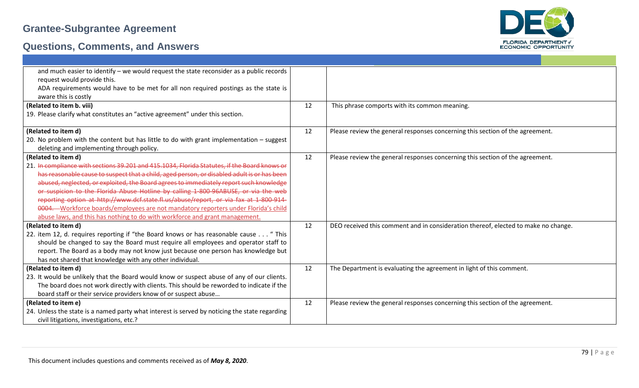

| and much easier to identify - we would request the state reconsider as a public records       |    |                                                                                    |
|-----------------------------------------------------------------------------------------------|----|------------------------------------------------------------------------------------|
| request would provide this.                                                                   |    |                                                                                    |
| ADA requirements would have to be met for all non required postings as the state is           |    |                                                                                    |
| aware this is costly                                                                          |    |                                                                                    |
| (Related to item b. viii)                                                                     | 12 | This phrase comports with its common meaning.                                      |
| 19. Please clarify what constitutes an "active agreement" under this section.                 |    |                                                                                    |
|                                                                                               |    |                                                                                    |
| (Related to item d)                                                                           | 12 | Please review the general responses concerning this section of the agreement.      |
| 20. No problem with the content but has little to do with grant implementation - suggest      |    |                                                                                    |
| deleting and implementing through policy.                                                     |    |                                                                                    |
| (Related to item d)                                                                           | 12 | Please review the general responses concerning this section of the agreement.      |
| 21. In compliance with sections 39.201 and 415.1034, Florida Statutes, if the Board knows or  |    |                                                                                    |
| has reasonable cause to suspect that a child, aged person, or disabled adult is or has been   |    |                                                                                    |
| abused, neglected, or exploited, the Board agrees to immediately report such knowledge        |    |                                                                                    |
| or suspicion to the Florida Abuse Hotline by calling 1-800-96ABUSE, or via the web            |    |                                                                                    |
| reporting option at http://www.dcf.state.fl.us/abuse/report, or via fax at 1-800-914-         |    |                                                                                    |
| 0004. - Workforce boards/employees are not mandatory reporters under Florida's child          |    |                                                                                    |
| abuse laws, and this has nothing to do with workforce and grant management.                   |    |                                                                                    |
| (Related to item d)                                                                           | 12 | DEO received this comment and in consideration thereof, elected to make no change. |
| 22. item 12, d. requires reporting if "the Board knows or has reasonable cause " This         |    |                                                                                    |
| should be changed to say the Board must require all employees and operator staff to           |    |                                                                                    |
| report. The Board as a body may not know just because one person has knowledge but            |    |                                                                                    |
| has not shared that knowledge with any other individual.                                      |    |                                                                                    |
| (Related to item d)                                                                           | 12 | The Department is evaluating the agreement in light of this comment.               |
| 23. It would be unlikely that the Board would know or suspect abuse of any of our clients.    |    |                                                                                    |
| The board does not work directly with clients. This should be reworded to indicate if the     |    |                                                                                    |
| board staff or their service providers know of or suspect abuse                               |    |                                                                                    |
| (Related to item e)                                                                           | 12 | Please review the general responses concerning this section of the agreement.      |
| 24. Unless the state is a named party what interest is served by noticing the state regarding |    |                                                                                    |
| civil litigations, investigations, etc.?                                                      |    |                                                                                    |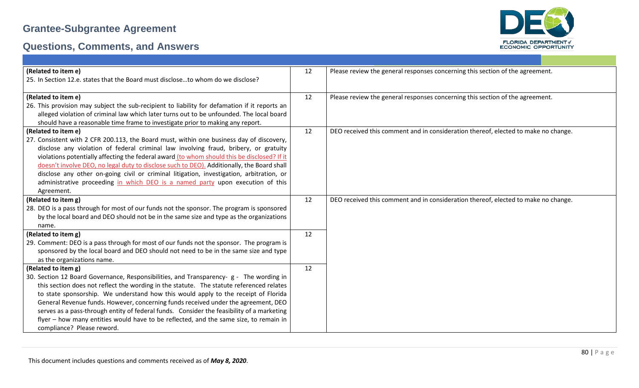

| (Related to item e)                                                                           | 12 | Please review the general responses concerning this section of the agreement.      |
|-----------------------------------------------------------------------------------------------|----|------------------------------------------------------------------------------------|
| 25. In Section 12.e. states that the Board must discloseto whom do we disclose?               |    |                                                                                    |
|                                                                                               |    |                                                                                    |
| (Related to item e)                                                                           | 12 | Please review the general responses concerning this section of the agreement.      |
| 26. This provision may subject the sub-recipient to liability for defamation if it reports an |    |                                                                                    |
| alleged violation of criminal law which later turns out to be unfounded. The local board      |    |                                                                                    |
| should have a reasonable time frame to investigate prior to making any report.                |    |                                                                                    |
| (Related to item e)                                                                           | 12 | DEO received this comment and in consideration thereof, elected to make no change. |
| 27. Consistent with 2 CFR 200.113, the Board must, within one business day of discovery,      |    |                                                                                    |
| disclose any violation of federal criminal law involving fraud, bribery, or gratuity          |    |                                                                                    |
| violations potentially affecting the federal award (to whom should this be disclosed? If it   |    |                                                                                    |
| doesn't involve DEO, no legal duty to disclose such to DEO). Additionally, the Board shall    |    |                                                                                    |
| disclose any other on-going civil or criminal litigation, investigation, arbitration, or      |    |                                                                                    |
| administrative proceeding in which DEO is a named party upon execution of this                |    |                                                                                    |
| Agreement.                                                                                    |    |                                                                                    |
| (Related to item g)                                                                           | 12 | DEO received this comment and in consideration thereof, elected to make no change. |
| 28. DEO is a pass through for most of our funds not the sponsor. The program is sponsored     |    |                                                                                    |
| by the local board and DEO should not be in the same size and type as the organizations       |    |                                                                                    |
| name.                                                                                         |    |                                                                                    |
| (Related to item g)                                                                           | 12 |                                                                                    |
| 29. Comment: DEO is a pass through for most of our funds not the sponsor. The program is      |    |                                                                                    |
| sponsored by the local board and DEO should not need to be in the same size and type          |    |                                                                                    |
| as the organizations name.                                                                    |    |                                                                                    |
| (Related to item g)                                                                           | 12 |                                                                                    |
| 30. Section 12 Board Governance, Responsibilities, and Transparency- g - The wording in       |    |                                                                                    |
| this section does not reflect the wording in the statute. The statute referenced relates      |    |                                                                                    |
| to state sponsorship. We understand how this would apply to the receipt of Florida            |    |                                                                                    |
| General Revenue funds. However, concerning funds received under the agreement, DEO            |    |                                                                                    |
| serves as a pass-through entity of federal funds. Consider the feasibility of a marketing     |    |                                                                                    |
| flyer - how many entities would have to be reflected, and the same size, to remain in         |    |                                                                                    |
| compliance? Please reword.                                                                    |    |                                                                                    |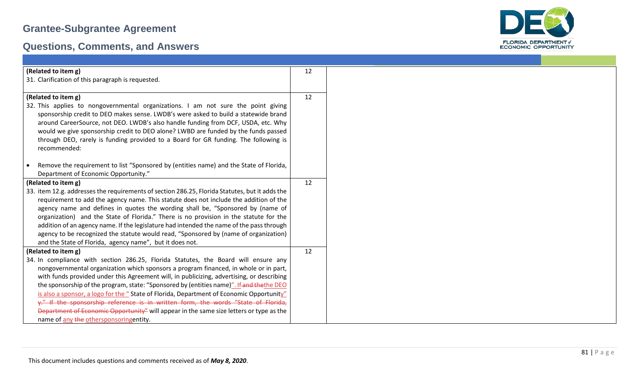

| (Related to item g)                                                                                 | 12 |
|-----------------------------------------------------------------------------------------------------|----|
| 31. Clarification of this paragraph is requested.                                                   |    |
|                                                                                                     |    |
| (Related to item g)                                                                                 | 12 |
| 32. This applies to nongovernmental organizations. I am not sure the point giving                   |    |
| sponsorship credit to DEO makes sense. LWDB's were asked to build a statewide brand                 |    |
| around CareerSource, not DEO. LWDB's also handle funding from DCF, USDA, etc. Why                   |    |
| would we give sponsorship credit to DEO alone? LWBD are funded by the funds passed                  |    |
| through DEO, rarely is funding provided to a Board for GR funding. The following is<br>recommended: |    |
|                                                                                                     |    |
| Remove the requirement to list "Sponsored by (entities name) and the State of Florida,<br>$\bullet$ |    |
| Department of Economic Opportunity."                                                                |    |
| (Related to item g)                                                                                 | 12 |
| 33. item 12.g. addresses the requirements of section 286.25, Florida Statutes, but it adds the      |    |
| requirement to add the agency name. This statute does not include the addition of the               |    |
| agency name and defines in quotes the wording shall be, "Sponsored by (name of                      |    |
| organization) and the State of Florida." There is no provision in the statute for the               |    |
| addition of an agency name. If the legislature had intended the name of the pass through            |    |
| agency to be recognized the statute would read, "Sponsored by (name of organization)                |    |
| and the State of Florida, agency name", but it does not.                                            |    |
| (Related to item g)                                                                                 | 12 |
| 34. In compliance with section 286.25, Florida Statutes, the Board will ensure any                  |    |
| nongovernmental organization which sponsors a program financed, in whole or in part,                |    |
| with funds provided under this Agreement will, in publicizing, advertising, or describing           |    |
| the sponsorship of the program, state: "Sponsored by (entities name)". If and thethe DEO            |    |
| is also a sponsor, a logo for the "State of Florida, Department of Economic Opportunity"            |    |
| y." If the sponsorship reference is in written form, the words "State of Florida,                   |    |
| Department of Economic Opportunity" will appear in the same size letters or type as the             |    |
| name of any the othersponsoringentity.                                                              |    |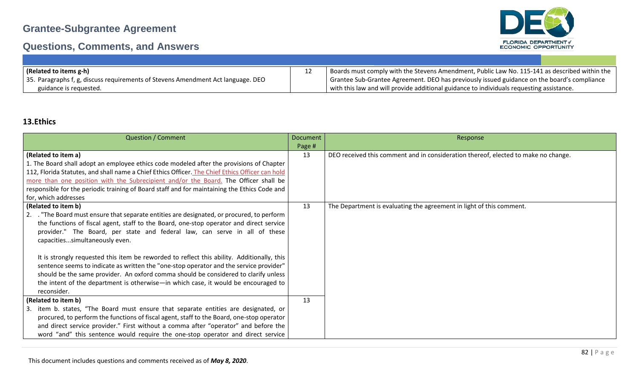# **Questions, Comments, and Answers**



| (Related to items g-h)                                                           | Boards must comply with the Stevens Amendment, Public Law No. 115-141 as described within the |
|----------------------------------------------------------------------------------|-----------------------------------------------------------------------------------------------|
| 35. Paragraphs f, g, discuss requirements of Stevens Amendment Act language. DEO | Grantee Sub-Grantee Agreement. DEO has previously issued guidance on the board's compliance   |
| guidance is requested.                                                           | with this law and will provide additional guidance to individuals requesting assistance.      |

### **13.Ethics**

| <b>Question / Comment</b>                                                                                                                                                                                                                                                                                                                                                        | <b>Document</b> | Response                                                                           |
|----------------------------------------------------------------------------------------------------------------------------------------------------------------------------------------------------------------------------------------------------------------------------------------------------------------------------------------------------------------------------------|-----------------|------------------------------------------------------------------------------------|
|                                                                                                                                                                                                                                                                                                                                                                                  | Page #          |                                                                                    |
| (Related to item a)                                                                                                                                                                                                                                                                                                                                                              | 13              | DEO received this comment and in consideration thereof, elected to make no change. |
| 1. The Board shall adopt an employee ethics code modeled after the provisions of Chapter                                                                                                                                                                                                                                                                                         |                 |                                                                                    |
| 112, Florida Statutes, and shall name a Chief Ethics Officer. The Chief Ethics Officer can hold                                                                                                                                                                                                                                                                                  |                 |                                                                                    |
| more than one position with the Subrecipient and/or the Board. The Officer shall be                                                                                                                                                                                                                                                                                              |                 |                                                                                    |
| responsible for the periodic training of Board staff and for maintaining the Ethics Code and                                                                                                                                                                                                                                                                                     |                 |                                                                                    |
| for, which addresses                                                                                                                                                                                                                                                                                                                                                             |                 |                                                                                    |
| (Related to item b)                                                                                                                                                                                                                                                                                                                                                              | 13              | The Department is evaluating the agreement in light of this comment.               |
| 2. The Board must ensure that separate entities are designated, or procured, to perform<br>the functions of fiscal agent, staff to the Board, one-stop operator and direct service<br>provider." The Board, per state and federal law, can serve in all of these<br>capacitiessimultaneously even.                                                                               |                 |                                                                                    |
| It is strongly requested this item be reworded to reflect this ability. Additionally, this<br>sentence seems to indicate as written the "one-stop operator and the service provider"<br>should be the same provider. An oxford comma should be considered to clarify unless<br>the intent of the department is otherwise—in which case, it would be encouraged to<br>reconsider. |                 |                                                                                    |
| (Related to item b)                                                                                                                                                                                                                                                                                                                                                              |                 |                                                                                    |
| item b. states, "The Board must ensure that separate entities are designated, or<br>3.                                                                                                                                                                                                                                                                                           |                 |                                                                                    |
| procured, to perform the functions of fiscal agent, staff to the Board, one-stop operator                                                                                                                                                                                                                                                                                        |                 |                                                                                    |
| and direct service provider." First without a comma after "operator" and before the                                                                                                                                                                                                                                                                                              |                 |                                                                                    |
| word "and" this sentence would require the one-stop operator and direct service                                                                                                                                                                                                                                                                                                  |                 |                                                                                    |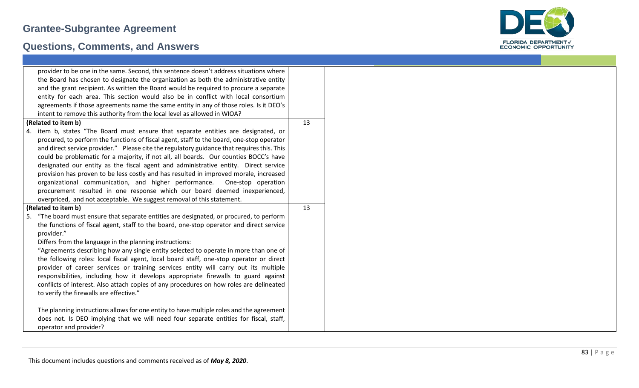

| provider to be one in the same. Second, this sentence doesn't address situations where     |    |
|--------------------------------------------------------------------------------------------|----|
| the Board has chosen to designate the organization as both the administrative entity       |    |
| and the grant recipient. As written the Board would be required to procure a separate      |    |
| entity for each area. This section would also be in conflict with local consortium         |    |
| agreements if those agreements name the same entity in any of those roles. Is it DEO's     |    |
| intent to remove this authority from the local level as allowed in WIOA?                   |    |
| (Related to item b)                                                                        | 13 |
| 4. item b, states "The Board must ensure that separate entities are designated, or         |    |
| procured, to perform the functions of fiscal agent, staff to the board, one-stop operator  |    |
| and direct service provider." Please cite the regulatory guidance that requires this. This |    |
| could be problematic for a majority, if not all, all boards. Our counties BOCC's have      |    |
| designated our entity as the fiscal agent and administrative entity. Direct service        |    |
| provision has proven to be less costly and has resulted in improved morale, increased      |    |
| organizational communication, and higher performance.<br>One-stop operation                |    |
| procurement resulted in one response which our board deemed inexperienced,                 |    |
| overpriced, and not acceptable. We suggest removal of this statement.                      |    |
| (Related to item b)                                                                        | 13 |
| 5. "The board must ensure that separate entities are designated, or procured, to perform   |    |
| the functions of fiscal agent, staff to the board, one-stop operator and direct service    |    |
| provider."                                                                                 |    |
| Differs from the language in the planning instructions:                                    |    |
| "Agreements describing how any single entity selected to operate in more than one of       |    |
| the following roles: local fiscal agent, local board staff, one-stop operator or direct    |    |
| provider of career services or training services entity will carry out its multiple        |    |
| responsibilities, including how it develops appropriate firewalls to guard against         |    |
| conflicts of interest. Also attach copies of any procedures on how roles are delineated    |    |
| to verify the firewalls are effective."                                                    |    |
|                                                                                            |    |
| The planning instructions allows for one entity to have multiple roles and the agreement   |    |
| does not. Is DEO implying that we will need four separate entities for fiscal, staff,      |    |
| operator and provider?                                                                     |    |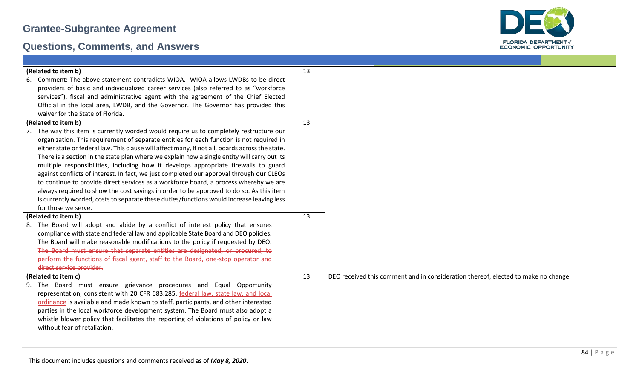

| (Related to item b)                                                                             | 13 |                                                                                    |
|-------------------------------------------------------------------------------------------------|----|------------------------------------------------------------------------------------|
| 6. Comment: The above statement contradicts WIOA. WIOA allows LWDBs to be direct                |    |                                                                                    |
| providers of basic and individualized career services (also referred to as "workforce           |    |                                                                                    |
| services"), fiscal and administrative agent with the agreement of the Chief Elected             |    |                                                                                    |
| Official in the local area, LWDB, and the Governor. The Governor has provided this              |    |                                                                                    |
| waiver for the State of Florida.                                                                |    |                                                                                    |
| (Related to item b)                                                                             | 13 |                                                                                    |
| 7. The way this item is currently worded would require us to completely restructure our         |    |                                                                                    |
| organization. This requirement of separate entities for each function is not required in        |    |                                                                                    |
| either state or federal law. This clause will affect many, if not all, boards across the state. |    |                                                                                    |
| There is a section in the state plan where we explain how a single entity will carry out its    |    |                                                                                    |
| multiple responsibilities, including how it develops appropriate firewalls to guard             |    |                                                                                    |
| against conflicts of interest. In fact, we just completed our approval through our CLEOs        |    |                                                                                    |
| to continue to provide direct services as a workforce board, a process whereby we are           |    |                                                                                    |
| always required to show the cost savings in order to be approved to do so. As this item         |    |                                                                                    |
| is currently worded, costs to separate these duties/functions would increase leaving less       |    |                                                                                    |
| for those we serve.                                                                             |    |                                                                                    |
| (Related to item b)                                                                             | 13 |                                                                                    |
| 8. The Board will adopt and abide by a conflict of interest policy that ensures                 |    |                                                                                    |
| compliance with state and federal law and applicable State Board and DEO policies.              |    |                                                                                    |
| The Board will make reasonable modifications to the policy if requested by DEO.                 |    |                                                                                    |
| The Board must ensure that separate entities are designated, or procured, to                    |    |                                                                                    |
| perform the functions of fiscal agent, staff to the Board, one-stop operator and                |    |                                                                                    |
| direct service provider.                                                                        |    |                                                                                    |
| (Related to item c)                                                                             | 13 | DEO received this comment and in consideration thereof, elected to make no change. |
| 9. The Board must ensure grievance procedures and Equal Opportunity                             |    |                                                                                    |
| representation, consistent with 20 CFR 683.285, federal law, state law, and local               |    |                                                                                    |
| ordinance is available and made known to staff, participants, and other interested              |    |                                                                                    |
| parties in the local workforce development system. The Board must also adopt a                  |    |                                                                                    |
| whistle blower policy that facilitates the reporting of violations of policy or law             |    |                                                                                    |
| without fear of retaliation.                                                                    |    |                                                                                    |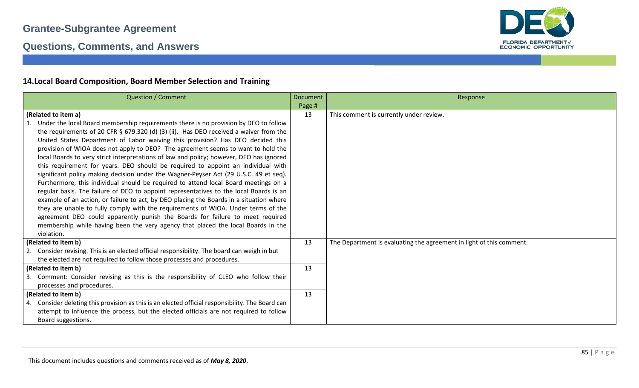

### **Questions, Comments, and Answers**

### **14.Local Board Composition, Board Member Selection and Training**

| <b>Question / Comment</b>                                                                        | <b>Document</b> | Response                                                             |
|--------------------------------------------------------------------------------------------------|-----------------|----------------------------------------------------------------------|
|                                                                                                  | Page #          |                                                                      |
| (Related to item a)                                                                              | 13              | This comment is currently under review.                              |
| Under the local Board membership requirements there is no provision by DEO to follow             |                 |                                                                      |
| the requirements of 20 CFR § 679.320 (d) (3) (ii). Has DEO received a waiver from the            |                 |                                                                      |
| United States Department of Labor waiving this provision? Has DEO decided this                   |                 |                                                                      |
| provision of WIOA does not apply to DEO? The agreement seems to want to hold the                 |                 |                                                                      |
| local Boards to very strict interpretations of law and policy; however, DEO has ignored          |                 |                                                                      |
| this requirement for years. DEO should be required to appoint an individual with                 |                 |                                                                      |
| significant policy making decision under the Wagner-Peyser Act (29 U.S.C. 49 et seq).            |                 |                                                                      |
| Furthermore, this individual should be required to attend local Board meetings on a              |                 |                                                                      |
| regular basis. The failure of DEO to appoint representatives to the local Boards is an           |                 |                                                                      |
| example of an action, or failure to act, by DEO placing the Boards in a situation where          |                 |                                                                      |
| they are unable to fully comply with the requirements of WIOA. Under terms of the                |                 |                                                                      |
| agreement DEO could apparently punish the Boards for failure to meet required                    |                 |                                                                      |
| membership while having been the very agency that placed the local Boards in the                 |                 |                                                                      |
| violation.                                                                                       |                 |                                                                      |
| (Related to item b)                                                                              | 13              | The Department is evaluating the agreement in light of this comment. |
| 2. Consider revising. This is an elected official responsibility. The board can weigh in but     |                 |                                                                      |
| the elected are not required to follow those processes and procedures.                           |                 |                                                                      |
| (Related to item b)                                                                              | 13              |                                                                      |
| 3. Comment: Consider revising as this is the responsibility of CLEO who follow their             |                 |                                                                      |
| processes and procedures.                                                                        |                 |                                                                      |
| (Related to item b)                                                                              | 13              |                                                                      |
| 4. Consider deleting this provision as this is an elected official responsibility. The Board can |                 |                                                                      |
| attempt to influence the process, but the elected officials are not required to follow           |                 |                                                                      |
| Board suggestions.                                                                               |                 |                                                                      |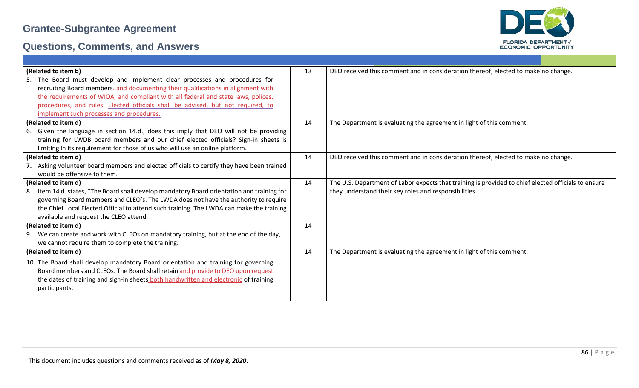

|     | (Related to item b)                                                                      | 13 | DEO received this comment and in consideration thereof, elected to make no change.                  |
|-----|------------------------------------------------------------------------------------------|----|-----------------------------------------------------------------------------------------------------|
|     | The Board must develop and implement clear processes and procedures for                  |    |                                                                                                     |
|     | recruiting Board members. and documenting their qualifications in alignment with         |    |                                                                                                     |
|     | the requirements of WIOA, and compliant with all federal and state laws, polices,        |    |                                                                                                     |
|     | procedures, and rules. Elected officials shall be advised, but not required, to          |    |                                                                                                     |
|     | implement such processes and procedures.                                                 |    |                                                                                                     |
|     | (Related to item d)                                                                      | 14 | The Department is evaluating the agreement in light of this comment.                                |
| -6. | Given the language in section 14.d., does this imply that DEO will not be providing      |    |                                                                                                     |
|     | training for LWDB board members and our chief elected officials? Sign-in sheets is       |    |                                                                                                     |
|     | limiting in its requirement for those of us who will use an online platform.             |    |                                                                                                     |
|     | (Related to item d)                                                                      | 14 | DEO received this comment and in consideration thereof, elected to make no change.                  |
|     | Asking volunteer board members and elected officials to certify they have been trained   |    |                                                                                                     |
|     | would be offensive to them.                                                              |    |                                                                                                     |
|     | (Related to item d)                                                                      | 14 | The U.S. Department of Labor expects that training is provided to chief elected officials to ensure |
| -8. | Item 14 d. states, "The Board shall develop mandatory Board orientation and training for |    | they understand their key roles and responsibilities.                                               |
|     | governing Board members and CLEO's. The LWDA does not have the authority to require      |    |                                                                                                     |
|     | the Chief Local Elected Official to attend such training. The LWDA can make the training |    |                                                                                                     |
|     | available and request the CLEO attend.                                                   |    |                                                                                                     |
|     | (Related to item d)                                                                      | 14 |                                                                                                     |
|     | 9. We can create and work with CLEOs on mandatory training, but at the end of the day,   |    |                                                                                                     |
|     | we cannot require them to complete the training.                                         |    |                                                                                                     |
|     | (Related to item d)                                                                      | 14 | The Department is evaluating the agreement in light of this comment.                                |
|     | 10. The Board shall develop mandatory Board orientation and training for governing       |    |                                                                                                     |
|     | Board members and CLEOs. The Board shall retain and provide to DEO upon request          |    |                                                                                                     |
|     | the dates of training and sign-in sheets both handwritten and electronic of training     |    |                                                                                                     |
|     | participants.                                                                            |    |                                                                                                     |
|     |                                                                                          |    |                                                                                                     |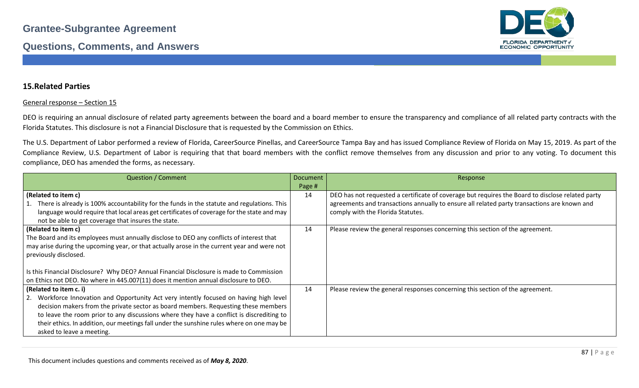

### **15.Related Parties**

#### General response – Section 15

DEO is requiring an annual disclosure of related party agreements between the board and a board member to ensure the transparency and compliance of all related party contracts with the Florida Statutes. This disclosure is not a Financial Disclosure that is requested by the Commission on Ethics.

The U.S. Department of Labor performed a review of Florida, CareerSource Pinellas, and CareerSource Tampa Bay and has issued Compliance Review of Florida on May 15, 2019. As part of the Compliance Review, U.S. Department of Labor is requiring that that board members with the conflict remove themselves from any discussion and prior to any voting. To document this compliance, DEO has amended the forms, as necessary.

| <b>Question / Comment</b>                                                                     | Document | Response                                                                                         |
|-----------------------------------------------------------------------------------------------|----------|--------------------------------------------------------------------------------------------------|
|                                                                                               | Page #   |                                                                                                  |
| (Related to item c)                                                                           | 14       | DEO has not requested a certificate of coverage but requires the Board to disclose related party |
| 1. There is already is 100% accountability for the funds in the statute and regulations. This |          | agreements and transactions annually to ensure all related party transactions are known and      |
| language would require that local areas get certificates of coverage for the state and may    |          | comply with the Florida Statutes.                                                                |
| not be able to get coverage that insures the state.                                           |          |                                                                                                  |
| (Related to item c)                                                                           | 14       | Please review the general responses concerning this section of the agreement.                    |
| The Board and its employees must annually disclose to DEO any conflicts of interest that      |          |                                                                                                  |
| may arise during the upcoming year, or that actually arose in the current year and were not   |          |                                                                                                  |
| previously disclosed.                                                                         |          |                                                                                                  |
|                                                                                               |          |                                                                                                  |
| Is this Financial Disclosure? Why DEO? Annual Financial Disclosure is made to Commission      |          |                                                                                                  |
| on Ethics not DEO. No where in 445.007(11) does it mention annual disclosure to DEO.          |          |                                                                                                  |
| (Related to item c. i)                                                                        | 14       | Please review the general responses concerning this section of the agreement.                    |
| 2. Workforce Innovation and Opportunity Act very intently focused on having high level        |          |                                                                                                  |
| decision makers from the private sector as board members. Requesting these members            |          |                                                                                                  |
| to leave the room prior to any discussions where they have a conflict is discrediting to      |          |                                                                                                  |
| their ethics. In addition, our meetings fall under the sunshine rules where on one may be     |          |                                                                                                  |
| asked to leave a meeting.                                                                     |          |                                                                                                  |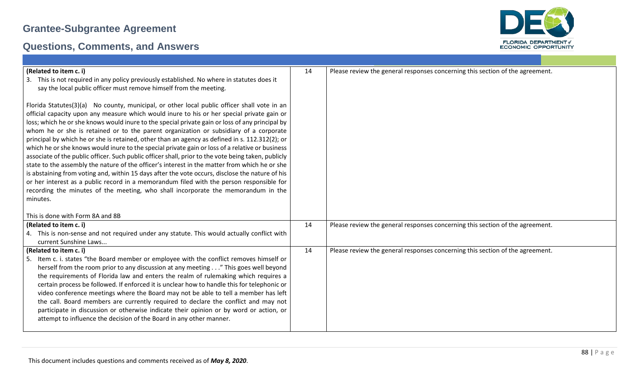

| (Related to item c. i)<br>This is not required in any policy previously established. No where in statutes does it<br>3.<br>say the local public officer must remove himself from the meeting.                                                                                                                                                                                                                                                                                                                                                                                                                                                                                                                                                                                                                                                                                                                                                                                                                                                                                                      | 14 | Please review the general responses concerning this section of the agreement. |
|----------------------------------------------------------------------------------------------------------------------------------------------------------------------------------------------------------------------------------------------------------------------------------------------------------------------------------------------------------------------------------------------------------------------------------------------------------------------------------------------------------------------------------------------------------------------------------------------------------------------------------------------------------------------------------------------------------------------------------------------------------------------------------------------------------------------------------------------------------------------------------------------------------------------------------------------------------------------------------------------------------------------------------------------------------------------------------------------------|----|-------------------------------------------------------------------------------|
| Florida Statutes(3)(a) No county, municipal, or other local public officer shall vote in an<br>official capacity upon any measure which would inure to his or her special private gain or<br>loss; which he or she knows would inure to the special private gain or loss of any principal by<br>whom he or she is retained or to the parent organization or subsidiary of a corporate<br>principal by which he or she is retained, other than an agency as defined in s. 112.312(2); or<br>which he or she knows would inure to the special private gain or loss of a relative or business<br>associate of the public officer. Such public officer shall, prior to the vote being taken, publicly<br>state to the assembly the nature of the officer's interest in the matter from which he or she<br>is abstaining from voting and, within 15 days after the vote occurs, disclose the nature of his<br>or her interest as a public record in a memorandum filed with the person responsible for<br>recording the minutes of the meeting, who shall incorporate the memorandum in the<br>minutes. |    |                                                                               |
| This is done with Form 8A and 8B                                                                                                                                                                                                                                                                                                                                                                                                                                                                                                                                                                                                                                                                                                                                                                                                                                                                                                                                                                                                                                                                   |    |                                                                               |
| (Related to item c. i)<br>4. This is non-sense and not required under any statute. This would actually conflict with<br>current Sunshine Laws                                                                                                                                                                                                                                                                                                                                                                                                                                                                                                                                                                                                                                                                                                                                                                                                                                                                                                                                                      | 14 | Please review the general responses concerning this section of the agreement. |
| (Related to item c. i)<br>Item c. i. states "the Board member or employee with the conflict removes himself or<br>-5.<br>herself from the room prior to any discussion at any meeting" This goes well beyond<br>the requirements of Florida law and enters the realm of rulemaking which requires a<br>certain process be followed. If enforced it is unclear how to handle this for telephonic or<br>video conference meetings where the Board may not be able to tell a member has left<br>the call. Board members are currently required to declare the conflict and may not<br>participate in discussion or otherwise indicate their opinion or by word or action, or<br>attempt to influence the decision of the Board in any other manner.                                                                                                                                                                                                                                                                                                                                                   | 14 | Please review the general responses concerning this section of the agreement. |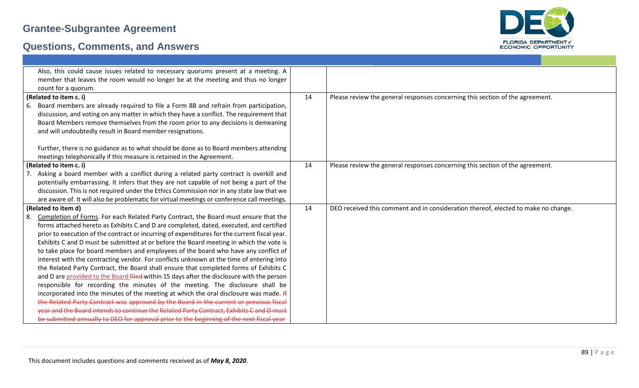

|    | Also, this could cause issues related to necessary quorums present at a meeting. A           |    |                                                                                    |
|----|----------------------------------------------------------------------------------------------|----|------------------------------------------------------------------------------------|
|    | member that leaves the room would no longer be at the meeting and thus no longer             |    |                                                                                    |
|    | count for a quorum.                                                                          |    |                                                                                    |
|    | (Related to item c. i)                                                                       | 14 | Please review the general responses concerning this section of the agreement.      |
| 6. | Board members are already required to file a Form 8B and refrain from participation,         |    |                                                                                    |
|    | discussion, and voting on any matter in which they have a conflict. The requirement that     |    |                                                                                    |
|    | Board Members remove themselves from the room prior to any decisions is demeaning            |    |                                                                                    |
|    | and will undoubtedly result in Board member resignations.                                    |    |                                                                                    |
|    | Further, there is no guidance as to what should be done as to Board members attending        |    |                                                                                    |
|    | meetings telephonically if this measure is retained in the Agreement.                        |    |                                                                                    |
|    | (Related to item c. i)                                                                       | 14 | Please review the general responses concerning this section of the agreement.      |
|    | Asking a board member with a conflict during a related party contract is overkill and        |    |                                                                                    |
|    | potentially embarrassing. It infers that they are not capable of not being a part of the     |    |                                                                                    |
|    | discussion. This is not required under the Ethics Commission nor in any state law that we    |    |                                                                                    |
|    | are aware of. It will also be problematic for virtual meetings or conference call meetings.  |    |                                                                                    |
|    | (Related to item d)                                                                          | 14 | DEO received this comment and in consideration thereof, elected to make no change. |
| 8. | Completion of Forms. For each Related Party Contract, the Board must ensure that the         |    |                                                                                    |
|    | forms attached hereto as Exhibits C and D are completed, dated, executed, and certified      |    |                                                                                    |
|    | prior to execution of the contract or incurring of expenditures for the current fiscal year. |    |                                                                                    |
|    | Exhibits C and D must be submitted at or before the Board meeting in which the vote is       |    |                                                                                    |
|    | to take place for board members and employees of the board who have any conflict of          |    |                                                                                    |
|    | interest with the contracting vendor. For conflicts unknown at the time of entering into     |    |                                                                                    |
|    | the Related Party Contract, the Board shall ensure that completed forms of Exhibits C        |    |                                                                                    |
|    | and D are provided to the Board filed-within 15 days after the disclosure with the person    |    |                                                                                    |
|    | responsible for recording the minutes of the meeting. The disclosure shall be                |    |                                                                                    |
|    | incorporated into the minutes of the meeting at which the oral disclosure was made. If       |    |                                                                                    |
|    | the Related Party Contract was approved by the Board in the current or previous fiscal       |    |                                                                                    |
|    | year and the Board intends to continue the Related Party Contract, Exhibits C and D must     |    |                                                                                    |
|    | be submitted annually to DEO for approval prior to the beginning of the next fiscal year     |    |                                                                                    |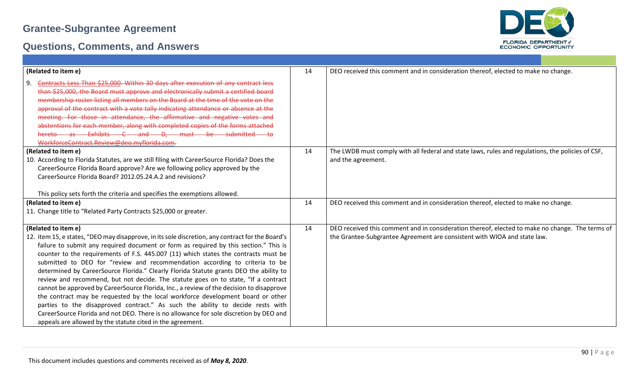

| (Related to item e)                                                                                                                                                                                                                                                                                                                                                                                                                                                                                                                                                                                                                                                                                                                                                                                                                                                                                                                                                                             | 14 | DEO received this comment and in consideration thereof, elected to make no change.                                                                                          |
|-------------------------------------------------------------------------------------------------------------------------------------------------------------------------------------------------------------------------------------------------------------------------------------------------------------------------------------------------------------------------------------------------------------------------------------------------------------------------------------------------------------------------------------------------------------------------------------------------------------------------------------------------------------------------------------------------------------------------------------------------------------------------------------------------------------------------------------------------------------------------------------------------------------------------------------------------------------------------------------------------|----|-----------------------------------------------------------------------------------------------------------------------------------------------------------------------------|
| Contracts Less Than \$25,000. Within 30 days after execution of any contract less<br>9.<br>than \$25,000, the Board must approve and electronically submit a certified board<br>membership roster listing all members on the Board at the time of the vote on the<br>approval of the contract with a vote tally indicating attendance or absence at the<br>meeting. For those in attendance, the affirmative and negative votes and<br>abstentions for each member, along with completed copies of the forms attached<br>hereto as Exhibits C and D, must be submitted to<br>WorkforceContract.Review@deo.myflorida.com.                                                                                                                                                                                                                                                                                                                                                                        |    |                                                                                                                                                                             |
| (Related to item e)<br>10. According to Florida Statutes, are we still filing with CareerSource Florida? Does the<br>CareerSource Florida Board approve? Are we following policy approved by the<br>CareerSource Florida Board? 2012.05.24.A.2 and revisions?<br>This policy sets forth the criteria and specifies the exemptions allowed.                                                                                                                                                                                                                                                                                                                                                                                                                                                                                                                                                                                                                                                      | 14 | The LWDB must comply with all federal and state laws, rules and regulations, the policies of CSF,<br>and the agreement.                                                     |
| (Related to item e)<br>11. Change title to "Related Party Contracts \$25,000 or greater.                                                                                                                                                                                                                                                                                                                                                                                                                                                                                                                                                                                                                                                                                                                                                                                                                                                                                                        | 14 | DEO received this comment and in consideration thereof, elected to make no change.                                                                                          |
| (Related to item e)<br>12. item 15, e states, "DEO may disapprove, in its sole discretion, any contract for the Board's<br>failure to submit any required document or form as required by this section." This is<br>counter to the requirements of F.S. 445.007 (11) which states the contracts must be<br>submitted to DEO for "review and recommendation according to criteria to be<br>determined by CareerSource Florida." Clearly Florida Statute grants DEO the ability to<br>review and recommend, but not decide. The statute goes on to state, "If a contract<br>cannot be approved by CareerSource Florida, Inc., a review of the decision to disapprove<br>the contract may be requested by the local workforce development board or other<br>parties to the disapproved contract." As such the ability to decide rests with<br>CareerSource Florida and not DEO. There is no allowance for sole discretion by DEO and<br>appeals are allowed by the statute cited in the agreement. | 14 | DEO received this comment and in consideration thereof, elected to make no change. The terms of<br>the Grantee-Subgrantee Agreement are consistent with WIOA and state law. |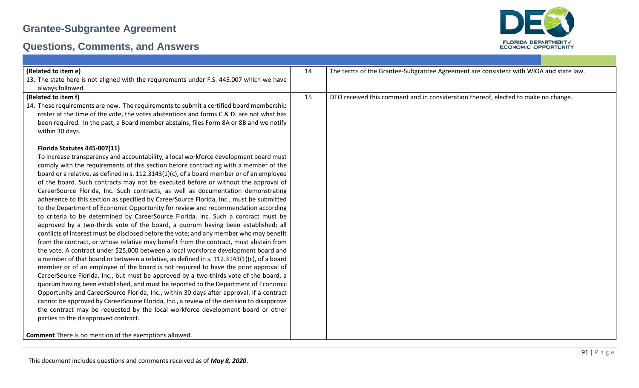

| (Related to item e)                                                                                                                                                                                                                                                                             | 14 | The terms of the Grantee-Subgrantee Agreement are consistent with WIOA and state law. |
|-------------------------------------------------------------------------------------------------------------------------------------------------------------------------------------------------------------------------------------------------------------------------------------------------|----|---------------------------------------------------------------------------------------|
| 13. The state here is not aligned with the requirements under F.S. 445.007 which we have                                                                                                                                                                                                        |    |                                                                                       |
| always followed.                                                                                                                                                                                                                                                                                |    |                                                                                       |
| (Related to item f)                                                                                                                                                                                                                                                                             | 15 | DEO received this comment and in consideration thereof, elected to make no change.    |
| 14. These requirements are new. The requirements to submit a certified board membership<br>roster at the time of the vote, the votes abstentions and forms C & D. are not what has<br>been required. In the past, a Board member abstains, files Form 8A or 8B and we notify<br>within 30 days. |    |                                                                                       |
| Florida Statutes 445-007(11)                                                                                                                                                                                                                                                                    |    |                                                                                       |
| To increase transparency and accountability, a local workforce development board must                                                                                                                                                                                                           |    |                                                                                       |
| comply with the requirements of this section before contracting with a member of the                                                                                                                                                                                                            |    |                                                                                       |
| board or a relative, as defined in s. $112.3143(1)(c)$ , of a board member or of an employee                                                                                                                                                                                                    |    |                                                                                       |
| of the board. Such contracts may not be executed before or without the approval of                                                                                                                                                                                                              |    |                                                                                       |
| CareerSource Florida, Inc. Such contracts, as well as documentation demonstrating                                                                                                                                                                                                               |    |                                                                                       |
| adherence to this section as specified by CareerSource Florida, Inc., must be submitted                                                                                                                                                                                                         |    |                                                                                       |
| to the Department of Economic Opportunity for review and recommendation according                                                                                                                                                                                                               |    |                                                                                       |
| to criteria to be determined by CareerSource Florida, Inc. Such a contract must be                                                                                                                                                                                                              |    |                                                                                       |
| approved by a two-thirds vote of the board, a quorum having been established; all                                                                                                                                                                                                               |    |                                                                                       |
| conflicts of interest must be disclosed before the vote; and any member who may benefit                                                                                                                                                                                                         |    |                                                                                       |
| from the contract, or whose relative may benefit from the contract, must abstain from                                                                                                                                                                                                           |    |                                                                                       |
| the vote. A contract under \$25,000 between a local workforce development board and                                                                                                                                                                                                             |    |                                                                                       |
| a member of that board or between a relative, as defined in s. 112.3143(1)(c), of a board<br>member or of an employee of the board is not required to have the prior approval of                                                                                                                |    |                                                                                       |
| CareerSource Florida, Inc., but must be approved by a two-thirds vote of the board, a                                                                                                                                                                                                           |    |                                                                                       |
| quorum having been established, and must be reported to the Department of Economic                                                                                                                                                                                                              |    |                                                                                       |
| Opportunity and CareerSource Florida, Inc., within 30 days after approval. If a contract                                                                                                                                                                                                        |    |                                                                                       |
| cannot be approved by CareerSource Florida, Inc., a review of the decision to disapprove                                                                                                                                                                                                        |    |                                                                                       |
| the contract may be requested by the local workforce development board or other                                                                                                                                                                                                                 |    |                                                                                       |
| parties to the disapproved contract.                                                                                                                                                                                                                                                            |    |                                                                                       |
| <b>Comment</b> There is no mention of the exemptions allowed.                                                                                                                                                                                                                                   |    |                                                                                       |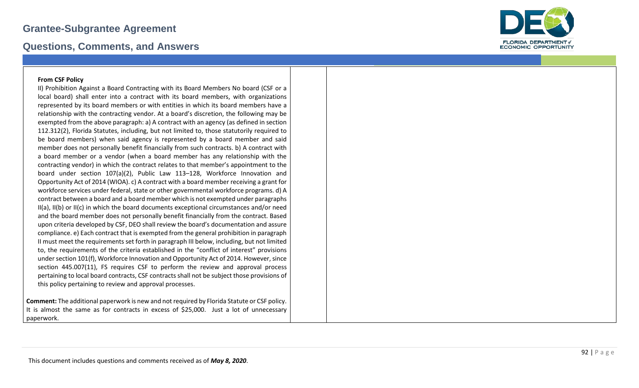### **Questions, Comments, and Answers**



#### **From CSF Policy**

II) Prohibition Against a Board Contracting with its Board Members No board (CSF or a local board) shall enter into a contract with its board members, with organizations represented by its board members or with entities in which its board members have a relationship with the contracting vendor. At a board's discretion, the following may be exempted from the above paragraph: a) A contract with an agency (as defined in section 112.312(2), Florida Statutes, including, but not limited to, those statutorily required to be board members) when said agency is represented by a board member and said member does not personally benefit financially from such contracts. b) A contract with a board member or a vendor (when a board member has any relationship with the contracting vendor) in which the contract relates to that member's appointment to the board under section 107(a)(2), Public Law 113 –128, Workforce Innovation and Opportunity Act of 2014 (WIOA). c) A contract with a board member receiving a grant for workforce services under federal, state or other governmental workforce programs. d) A contract between a board and a board member which is not exempted under paragraphs II(a), II(b) or II(c) in which the board documents exceptional circumstances and/or need and the board member does not personally benefit financially from the contract. Based upon criteria developed by CSF, DEO shall review the board's documentation and assure compliance. e) Each contract that is exempted from the general prohibition in paragraph II must meet the requirements set forth in paragraph III below, including, but not limited to, the requirements of the criteria established in the "conflict of interest" provisions under section 101(f), Workforce Innovation and Opportunity Act of 2014. However, since section 445.007(11), FS requires CSF to perform the review and approval process pertaining to local board contracts, CSF contracts shall not be subject those provisions of this policy pertaining to review and approval processes.

**Comment:** The additional paperwork is new and not required by Florida Statute or CSF policy. It is almost the same as for contracts in excess of \$25,000. Just a lot of unnecessary paperwork.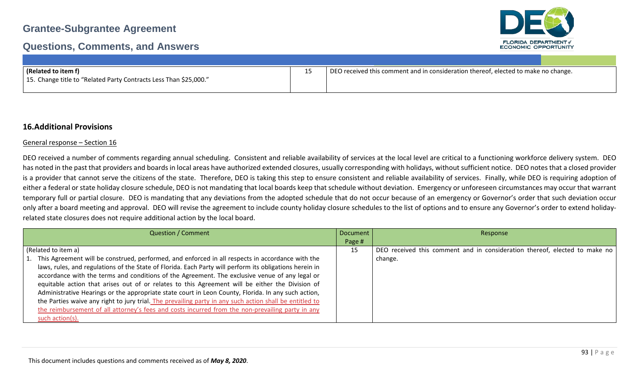### **Questions, Comments, and Answers**



| (Related to item f)                                               | DEO received this comment and in consideration thereof, elected to make no change. |
|-------------------------------------------------------------------|------------------------------------------------------------------------------------|
| 15. Change title to "Related Party Contracts Less Than \$25,000." |                                                                                    |

### **16.Additional Provisions**

#### General response – Section 16

DEO received a number of comments regarding annual scheduling. Consistent and reliable availability of services at the local level are critical to a functioning workforce delivery system. DEO has noted in the past that providers and boards in local areas have authorized extended closures, usually corresponding with holidays, without sufficient notice. DEO notes that a closed provider is a provider that cannot serve the citizens of the state. Therefore, DEO is taking this step to ensure consistent and reliable availability of services. Finally, while DEO is requiring adoption of either a federal or state holiday closure schedule, DEO is not mandating that local boards keep that schedule without deviation. Emergency or unforeseen circumstances may occur that warrant temporary full or partial closure. DEO is mandating that any deviations from the adopted schedule that do not occur because of an emergency or Governor's order that such deviation occur only after a board meeting and approval. DEO will revise the agreement to include county holiday closure schedules to the list of options and to ensure any Governor's order to extend holidayrelated state closures does not require additional action by the local board.

| <b>Question / Comment</b><br>Document                                                                   |        | Response                                                                   |
|---------------------------------------------------------------------------------------------------------|--------|----------------------------------------------------------------------------|
|                                                                                                         | Page # |                                                                            |
| (Related to item a)                                                                                     | 15     | DEO received this comment and in consideration thereof, elected to make no |
| 1. This Agreement will be construed, performed, and enforced in all respects in accordance with the     |        | change.                                                                    |
| laws, rules, and regulations of the State of Florida. Each Party will perform its obligations herein in |        |                                                                            |
| accordance with the terms and conditions of the Agreement. The exclusive venue of any legal or          |        |                                                                            |
| equitable action that arises out of or relates to this Agreement will be either the Division of         |        |                                                                            |
| Administrative Hearings or the appropriate state court in Leon County, Florida. In any such action,     |        |                                                                            |
| the Parties waive any right to jury trial. The prevailing party in any such action shall be entitled to |        |                                                                            |
| the reimbursement of all attorney's fees and costs incurred from the non-prevailing party in any        |        |                                                                            |
| such action(s).                                                                                         |        |                                                                            |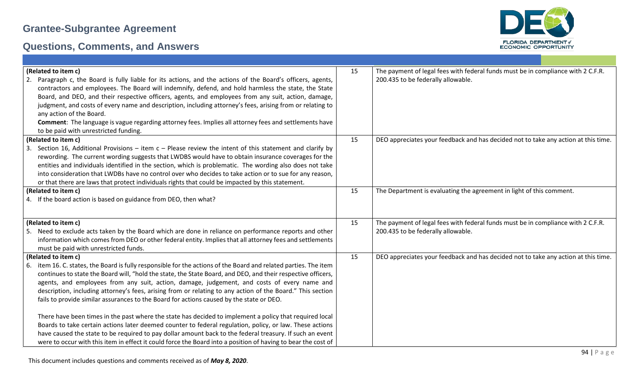

| (Related to item c)                                                                                              | 15 | The payment of legal fees with federal funds must be in compliance with 2 C.F.R.   |
|------------------------------------------------------------------------------------------------------------------|----|------------------------------------------------------------------------------------|
| Paragraph c, the Board is fully liable for its actions, and the actions of the Board's officers, agents,         |    | 200.435 to be federally allowable.                                                 |
| contractors and employees. The Board will indemnify, defend, and hold harmless the state, the State              |    |                                                                                    |
| Board, and DEO, and their respective officers, agents, and employees from any suit, action, damage,              |    |                                                                                    |
| judgment, and costs of every name and description, including attorney's fees, arising from or relating to        |    |                                                                                    |
| any action of the Board.                                                                                         |    |                                                                                    |
| Comment: The language is vague regarding attorney fees. Implies all attorney fees and settlements have           |    |                                                                                    |
| to be paid with unrestricted funding.                                                                            |    |                                                                                    |
| (Related to item c)                                                                                              | 15 | DEO appreciates your feedback and has decided not to take any action at this time. |
| 3. Section 16, Additional Provisions – item $c$ – Please review the intent of this statement and clarify by      |    |                                                                                    |
| rewording. The current wording suggests that LWDBS would have to obtain insurance coverages for the              |    |                                                                                    |
| entities and individuals identified in the section, which is problematic. The wording also does not take         |    |                                                                                    |
| into consideration that LWDBs have no control over who decides to take action or to sue for any reason,          |    |                                                                                    |
|                                                                                                                  |    |                                                                                    |
| or that there are laws that protect individuals rights that could be impacted by this statement.                 |    |                                                                                    |
| (Related to item c)                                                                                              | 15 | The Department is evaluating the agreement in light of this comment.               |
| 4. If the board action is based on guidance from DEO, then what?                                                 |    |                                                                                    |
|                                                                                                                  |    |                                                                                    |
| (Related to item c)                                                                                              | 15 | The payment of legal fees with federal funds must be in compliance with 2 C.F.R.   |
| 5. Need to exclude acts taken by the Board which are done in reliance on performance reports and other           |    | 200.435 to be federally allowable.                                                 |
| information which comes from DEO or other federal entity. Implies that all attorney fees and settlements         |    |                                                                                    |
| must be paid with unrestricted funds.                                                                            |    |                                                                                    |
| (Related to item c)                                                                                              | 15 | DEO appreciates your feedback and has decided not to take any action at this time. |
| 6. item 16. C. states, the Board is fully responsible for the actions of the Board and related parties. The item |    |                                                                                    |
| continues to state the Board will, "hold the state, the State Board, and DEO, and their respective officers,     |    |                                                                                    |
| agents, and employees from any suit, action, damage, judgement, and costs of every name and                      |    |                                                                                    |
|                                                                                                                  |    |                                                                                    |
| description, including attorney's fees, arising from or relating to any action of the Board." This section       |    |                                                                                    |
| fails to provide similar assurances to the Board for actions caused by the state or DEO.                         |    |                                                                                    |
|                                                                                                                  |    |                                                                                    |
| There have been times in the past where the state has decided to implement a policy that required local          |    |                                                                                    |
| Boards to take certain actions later deemed counter to federal regulation, policy, or law. These actions         |    |                                                                                    |
| have caused the state to be required to pay dollar amount back to the federal treasury. If such an event         |    |                                                                                    |
| were to occur with this item in effect it could force the Board into a position of having to bear the cost of    |    |                                                                                    |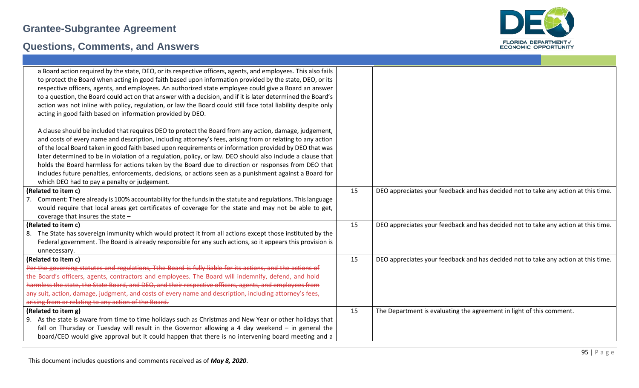

| a Board action required by the state, DEO, or its respective officers, agents, and employees. This also fails<br>to protect the Board when acting in good faith based upon information provided by the state, DEO, or its<br>respective officers, agents, and employees. An authorized state employee could give a Board an answer<br>to a question, the Board could act on that answer with a decision, and if it is later determined the Board's<br>action was not inline with policy, regulation, or law the Board could still face total liability despite only<br>acting in good faith based on information provided by DEO.<br>A clause should be included that requires DEO to protect the Board from any action, damage, judgement,<br>and costs of every name and description, including attorney's fees, arising from or relating to any action |    |                                                                                    |
|-----------------------------------------------------------------------------------------------------------------------------------------------------------------------------------------------------------------------------------------------------------------------------------------------------------------------------------------------------------------------------------------------------------------------------------------------------------------------------------------------------------------------------------------------------------------------------------------------------------------------------------------------------------------------------------------------------------------------------------------------------------------------------------------------------------------------------------------------------------|----|------------------------------------------------------------------------------------|
| of the local Board taken in good faith based upon requirements or information provided by DEO that was<br>later determined to be in violation of a regulation, policy, or law. DEO should also include a clause that                                                                                                                                                                                                                                                                                                                                                                                                                                                                                                                                                                                                                                      |    |                                                                                    |
| holds the Board harmless for actions taken by the Board due to direction or responses from DEO that                                                                                                                                                                                                                                                                                                                                                                                                                                                                                                                                                                                                                                                                                                                                                       |    |                                                                                    |
| includes future penalties, enforcements, decisions, or actions seen as a punishment against a Board for                                                                                                                                                                                                                                                                                                                                                                                                                                                                                                                                                                                                                                                                                                                                                   |    |                                                                                    |
| which DEO had to pay a penalty or judgement.                                                                                                                                                                                                                                                                                                                                                                                                                                                                                                                                                                                                                                                                                                                                                                                                              |    |                                                                                    |
| (Related to item c)                                                                                                                                                                                                                                                                                                                                                                                                                                                                                                                                                                                                                                                                                                                                                                                                                                       | 15 | DEO appreciates your feedback and has decided not to take any action at this time. |
| 7. Comment: There already is 100% accountability for the funds in the statute and regulations. This language                                                                                                                                                                                                                                                                                                                                                                                                                                                                                                                                                                                                                                                                                                                                              |    |                                                                                    |
| would require that local areas get certificates of coverage for the state and may not be able to get,                                                                                                                                                                                                                                                                                                                                                                                                                                                                                                                                                                                                                                                                                                                                                     |    |                                                                                    |
| coverage that insures the state $-$                                                                                                                                                                                                                                                                                                                                                                                                                                                                                                                                                                                                                                                                                                                                                                                                                       |    |                                                                                    |
| (Related to item c)                                                                                                                                                                                                                                                                                                                                                                                                                                                                                                                                                                                                                                                                                                                                                                                                                                       | 15 | DEO appreciates your feedback and has decided not to take any action at this time. |
| 8. The State has sovereign immunity which would protect it from all actions except those instituted by the                                                                                                                                                                                                                                                                                                                                                                                                                                                                                                                                                                                                                                                                                                                                                |    |                                                                                    |
| Federal government. The Board is already responsible for any such actions, so it appears this provision is<br>unnecessary.                                                                                                                                                                                                                                                                                                                                                                                                                                                                                                                                                                                                                                                                                                                                |    |                                                                                    |
| (Related to item c)                                                                                                                                                                                                                                                                                                                                                                                                                                                                                                                                                                                                                                                                                                                                                                                                                                       | 15 | DEO appreciates your feedback and has decided not to take any action at this time. |
| Per the governing statutes and regulations, Tthe Board is fully liable for its actions, and the actions of                                                                                                                                                                                                                                                                                                                                                                                                                                                                                                                                                                                                                                                                                                                                                |    |                                                                                    |
| the Board's officers, agents, contractors and employees. The Board will indemnify, defend, and hold                                                                                                                                                                                                                                                                                                                                                                                                                                                                                                                                                                                                                                                                                                                                                       |    |                                                                                    |
| harmless the state, the State Board, and DEO, and their respective officers, agents, and employees from                                                                                                                                                                                                                                                                                                                                                                                                                                                                                                                                                                                                                                                                                                                                                   |    |                                                                                    |
| any suit, action, damage, judgment, and costs of every name and description, including attorney's fees,                                                                                                                                                                                                                                                                                                                                                                                                                                                                                                                                                                                                                                                                                                                                                   |    |                                                                                    |
| arising from or relating to any action of the Board.                                                                                                                                                                                                                                                                                                                                                                                                                                                                                                                                                                                                                                                                                                                                                                                                      |    |                                                                                    |
| (Related to item g)                                                                                                                                                                                                                                                                                                                                                                                                                                                                                                                                                                                                                                                                                                                                                                                                                                       | 15 | The Department is evaluating the agreement in light of this comment.               |
| 9. As the state is aware from time to time holidays such as Christmas and New Year or other holidays that                                                                                                                                                                                                                                                                                                                                                                                                                                                                                                                                                                                                                                                                                                                                                 |    |                                                                                    |
| fall on Thursday or Tuesday will result in the Governor allowing a 4 day weekend $-$ in general the                                                                                                                                                                                                                                                                                                                                                                                                                                                                                                                                                                                                                                                                                                                                                       |    |                                                                                    |
| board/CEO would give approval but it could happen that there is no intervening board meeting and a                                                                                                                                                                                                                                                                                                                                                                                                                                                                                                                                                                                                                                                                                                                                                        |    |                                                                                    |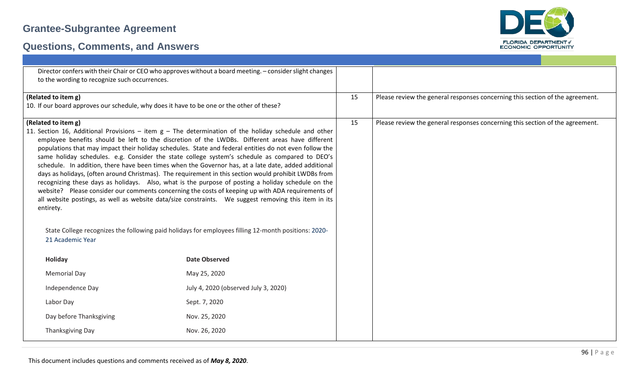

| to the wording to recognize such occurrences.                                                                                                                                                                                                                                                                                                                                                                                                                                                                                                                                                                                                                                                                                                                                                                                                                                                                                                                                                                                                                                                       | Director confers with their Chair or CEO who approves without a board meeting. - consider slight changes |    |                                                                               |
|-----------------------------------------------------------------------------------------------------------------------------------------------------------------------------------------------------------------------------------------------------------------------------------------------------------------------------------------------------------------------------------------------------------------------------------------------------------------------------------------------------------------------------------------------------------------------------------------------------------------------------------------------------------------------------------------------------------------------------------------------------------------------------------------------------------------------------------------------------------------------------------------------------------------------------------------------------------------------------------------------------------------------------------------------------------------------------------------------------|----------------------------------------------------------------------------------------------------------|----|-------------------------------------------------------------------------------|
| (Related to item g)                                                                                                                                                                                                                                                                                                                                                                                                                                                                                                                                                                                                                                                                                                                                                                                                                                                                                                                                                                                                                                                                                 |                                                                                                          | 15 | Please review the general responses concerning this section of the agreement. |
| 10. If our board approves our schedule, why does it have to be one or the other of these?                                                                                                                                                                                                                                                                                                                                                                                                                                                                                                                                                                                                                                                                                                                                                                                                                                                                                                                                                                                                           |                                                                                                          |    |                                                                               |
| (Related to item g)                                                                                                                                                                                                                                                                                                                                                                                                                                                                                                                                                                                                                                                                                                                                                                                                                                                                                                                                                                                                                                                                                 |                                                                                                          | 15 | Please review the general responses concerning this section of the agreement. |
| 11. Section 16, Additional Provisions – item $g$ – The determination of the holiday schedule and other<br>employee benefits should be left to the discretion of the LWDBs. Different areas have different<br>populations that may impact their holiday schedules. State and federal entities do not even follow the<br>same holiday schedules. e.g. Consider the state college system's schedule as compared to DEO's<br>schedule. In addition, there have been times when the Governor has, at a late date, added additional<br>days as holidays, (often around Christmas). The requirement in this section would prohibit LWDBs from<br>recognizing these days as holidays. Also, what is the purpose of posting a holiday schedule on the<br>website? Please consider our comments concerning the costs of keeping up with ADA requirements of<br>all website postings, as well as website data/size constraints.  We suggest removing this item in its<br>entirety.<br>State College recognizes the following paid holidays for employees filling 12-month positions: 2020-<br>21 Academic Year |                                                                                                          |    |                                                                               |
| Holiday                                                                                                                                                                                                                                                                                                                                                                                                                                                                                                                                                                                                                                                                                                                                                                                                                                                                                                                                                                                                                                                                                             | <b>Date Observed</b>                                                                                     |    |                                                                               |
|                                                                                                                                                                                                                                                                                                                                                                                                                                                                                                                                                                                                                                                                                                                                                                                                                                                                                                                                                                                                                                                                                                     |                                                                                                          |    |                                                                               |
| <b>Memorial Day</b>                                                                                                                                                                                                                                                                                                                                                                                                                                                                                                                                                                                                                                                                                                                                                                                                                                                                                                                                                                                                                                                                                 | May 25, 2020                                                                                             |    |                                                                               |
| Independence Day                                                                                                                                                                                                                                                                                                                                                                                                                                                                                                                                                                                                                                                                                                                                                                                                                                                                                                                                                                                                                                                                                    | July 4, 2020 (observed July 3, 2020)                                                                     |    |                                                                               |
| Labor Day                                                                                                                                                                                                                                                                                                                                                                                                                                                                                                                                                                                                                                                                                                                                                                                                                                                                                                                                                                                                                                                                                           | Sept. 7, 2020                                                                                            |    |                                                                               |
| Day before Thanksgiving                                                                                                                                                                                                                                                                                                                                                                                                                                                                                                                                                                                                                                                                                                                                                                                                                                                                                                                                                                                                                                                                             | Nov. 25, 2020                                                                                            |    |                                                                               |
| Thanksgiving Day                                                                                                                                                                                                                                                                                                                                                                                                                                                                                                                                                                                                                                                                                                                                                                                                                                                                                                                                                                                                                                                                                    | Nov. 26, 2020                                                                                            |    |                                                                               |
|                                                                                                                                                                                                                                                                                                                                                                                                                                                                                                                                                                                                                                                                                                                                                                                                                                                                                                                                                                                                                                                                                                     |                                                                                                          |    |                                                                               |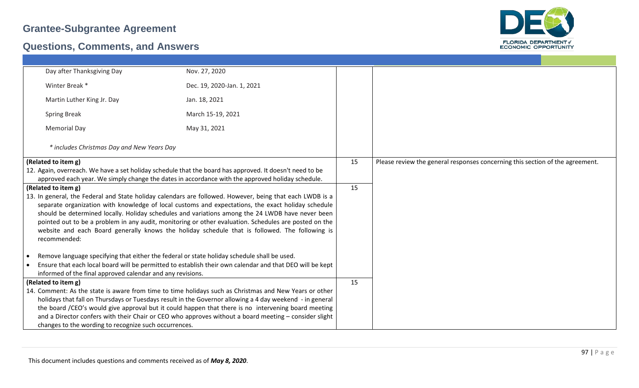

| Day after Thanksgiving Day                                                                              | Nov. 27, 2020                                                                                                                                                                                                                                                                                                                                                                                                                                                                                                                 |    |                                                                               |
|---------------------------------------------------------------------------------------------------------|-------------------------------------------------------------------------------------------------------------------------------------------------------------------------------------------------------------------------------------------------------------------------------------------------------------------------------------------------------------------------------------------------------------------------------------------------------------------------------------------------------------------------------|----|-------------------------------------------------------------------------------|
| Winter Break *                                                                                          | Dec. 19, 2020-Jan. 1, 2021                                                                                                                                                                                                                                                                                                                                                                                                                                                                                                    |    |                                                                               |
| Martin Luther King Jr. Day                                                                              | Jan. 18, 2021                                                                                                                                                                                                                                                                                                                                                                                                                                                                                                                 |    |                                                                               |
| <b>Spring Break</b>                                                                                     | March 15-19, 2021                                                                                                                                                                                                                                                                                                                                                                                                                                                                                                             |    |                                                                               |
| <b>Memorial Day</b>                                                                                     | May 31, 2021                                                                                                                                                                                                                                                                                                                                                                                                                                                                                                                  |    |                                                                               |
| * includes Christmas Day and New Years Day                                                              |                                                                                                                                                                                                                                                                                                                                                                                                                                                                                                                               |    |                                                                               |
| (Related to item g)                                                                                     |                                                                                                                                                                                                                                                                                                                                                                                                                                                                                                                               | 15 | Please review the general responses concerning this section of the agreement. |
| 12. Again, overreach. We have a set holiday schedule that the board has approved. It doesn't need to be |                                                                                                                                                                                                                                                                                                                                                                                                                                                                                                                               |    |                                                                               |
| approved each year. We simply change the dates in accordance with the approved holiday schedule.        |                                                                                                                                                                                                                                                                                                                                                                                                                                                                                                                               |    |                                                                               |
| (Related to item g)                                                                                     |                                                                                                                                                                                                                                                                                                                                                                                                                                                                                                                               | 15 |                                                                               |
| recommended:                                                                                            | 13. In general, the Federal and State holiday calendars are followed. However, being that each LWDB is a<br>separate organization with knowledge of local customs and expectations, the exact holiday schedule<br>should be determined locally. Holiday schedules and variations among the 24 LWDB have never been<br>pointed out to be a problem in any audit, monitoring or other evaluation. Schedules are posted on the<br>website and each Board generally knows the holiday schedule that is followed. The following is |    |                                                                               |
| Remove language specifying that either the federal or state holiday schedule shall be used.             |                                                                                                                                                                                                                                                                                                                                                                                                                                                                                                                               |    |                                                                               |
|                                                                                                         | Ensure that each local board will be permitted to establish their own calendar and that DEO will be kept                                                                                                                                                                                                                                                                                                                                                                                                                      |    |                                                                               |
| informed of the final approved calendar and any revisions.                                              |                                                                                                                                                                                                                                                                                                                                                                                                                                                                                                                               |    |                                                                               |
| (Related to item g)                                                                                     |                                                                                                                                                                                                                                                                                                                                                                                                                                                                                                                               | 15 |                                                                               |
|                                                                                                         | 14. Comment: As the state is aware from time to time holidays such as Christmas and New Years or other                                                                                                                                                                                                                                                                                                                                                                                                                        |    |                                                                               |
|                                                                                                         | holidays that fall on Thursdays or Tuesdays result in the Governor allowing a 4 day weekend - in general                                                                                                                                                                                                                                                                                                                                                                                                                      |    |                                                                               |
|                                                                                                         | the board /CEO's would give approval but it could happen that there is no intervening board meeting                                                                                                                                                                                                                                                                                                                                                                                                                           |    |                                                                               |
|                                                                                                         | and a Director confers with their Chair or CEO who approves without a board meeting – consider slight                                                                                                                                                                                                                                                                                                                                                                                                                         |    |                                                                               |
| changes to the wording to recognize such occurrences.                                                   |                                                                                                                                                                                                                                                                                                                                                                                                                                                                                                                               |    |                                                                               |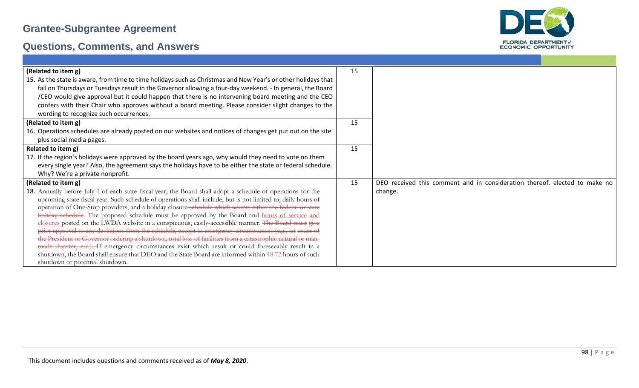

| (Related to item g)                                                                                                                                                                                           | 15 |                                                                            |
|---------------------------------------------------------------------------------------------------------------------------------------------------------------------------------------------------------------|----|----------------------------------------------------------------------------|
| 15. As the state is aware, from time to time holidays such as Christmas and New Year's or other holidays that                                                                                                 |    |                                                                            |
| fall on Thursdays or Tuesdays result in the Governor allowing a four-day weekend. - In general, the Board                                                                                                     |    |                                                                            |
| /CEO would give approval but it could happen that there is no intervening board meeting and the CEO                                                                                                           |    |                                                                            |
| confers with their Chair who approves without a board meeting. Please consider slight changes to the                                                                                                          |    |                                                                            |
| wording to recognize such occurrences.                                                                                                                                                                        |    |                                                                            |
| (Related to item g)                                                                                                                                                                                           | 15 |                                                                            |
| 16. Operations schedules are already posted on our websites and notices of changes get put out on the site                                                                                                    |    |                                                                            |
| plus social media pages.                                                                                                                                                                                      |    |                                                                            |
| Related to item g)                                                                                                                                                                                            | 15 |                                                                            |
| 17. If the region's holidays were approved by the board years ago, why would they need to vote on them                                                                                                        |    |                                                                            |
| every single year? Also, the agreement says the holidays have to be either the state or federal schedule.                                                                                                     |    |                                                                            |
| Why? We're a private nonprofit.                                                                                                                                                                               |    |                                                                            |
| (Related to item g)                                                                                                                                                                                           | 15 | DEO received this comment and in consideration thereof, elected to make no |
| 18. Annually before July 1 of each state fiscal year, the Board shall adopt a schedule of operations for the                                                                                                  |    | change.                                                                    |
| upcoming state fiscal year. Such schedule of operations shall include, but is not limited to, daily hours of                                                                                                  |    |                                                                            |
| operation of One-Stop providers, and a holiday closure-schedule which adopts either the federal or state                                                                                                      |    |                                                                            |
| holiday schedule. The proposed schedule must be approved by the Board and hours of service and                                                                                                                |    |                                                                            |
| closures posted on the LWDA website in a conspicuous, easily-accessible manner. The Board must give                                                                                                           |    |                                                                            |
| prior approval to any deviations from the schedule, except in emergency circumstances (e.g., an order of                                                                                                      |    |                                                                            |
| the President or Governor ordering a shutdown, total loss of facilities from a catastrophic natural or man-                                                                                                   |    |                                                                            |
| made disaster, etc.). If emergency circumstances exist which result or could foreseeably result in a<br>shutdown, the Board shall ensure that DEO and the State Board are informed within 48-72 hours of such |    |                                                                            |
| shutdown or potential shutdown.                                                                                                                                                                               |    |                                                                            |
|                                                                                                                                                                                                               |    |                                                                            |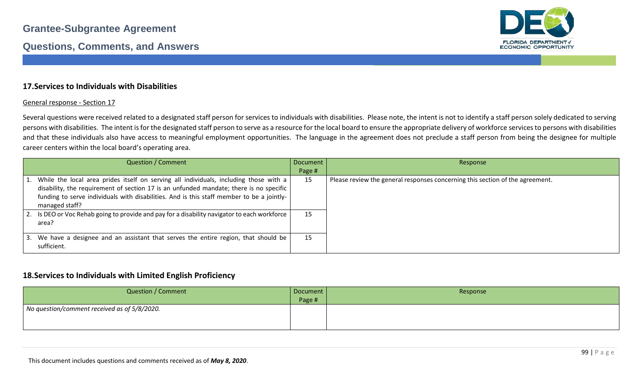

### **17.Services to Individuals with Disabilities**

#### General response - Section 17

Several questions were received related to a designated staff person for services to individuals with disabilities. Please note, the intent is not to identify a staff person solely dedicated to serving persons with disabilities. The intent is for the designated staff person to serve as a resource for the local board to ensure the appropriate delivery of workforce services to persons with disabilities and that these individuals also have access to meaningful employment opportunities. The language in the agreement does not preclude a staff person from being the designee for multiple career centers within the local board's operating area.

|    | <b>Question / Comment</b>                                                                                                                                                                                                                                                                         | Document | Response                                                                      |
|----|---------------------------------------------------------------------------------------------------------------------------------------------------------------------------------------------------------------------------------------------------------------------------------------------------|----------|-------------------------------------------------------------------------------|
|    |                                                                                                                                                                                                                                                                                                   | Page #   |                                                                               |
|    | 1. While the local area prides itself on serving all individuals, including those with a<br>disability, the requirement of section 17 is an unfunded mandate; there is no specific<br>funding to serve individuals with disabilities. And is this staff member to be a jointly-<br>managed staff? | 15       | Please review the general responses concerning this section of the agreement. |
|    | 2. Is DEO or Voc Rehab going to provide and pay for a disability navigator to each workforce<br>area?                                                                                                                                                                                             | 15       |                                                                               |
| 3. | We have a designee and an assistant that serves the entire region, that should be<br>sufficient.                                                                                                                                                                                                  | 15       |                                                                               |

### **18.Services to Individuals with Limited English Proficiency**

| <b>Question / Comment</b>                    | Document<br>Page # | Response |
|----------------------------------------------|--------------------|----------|
| No question/comment received as of 5/8/2020. |                    |          |
|                                              |                    |          |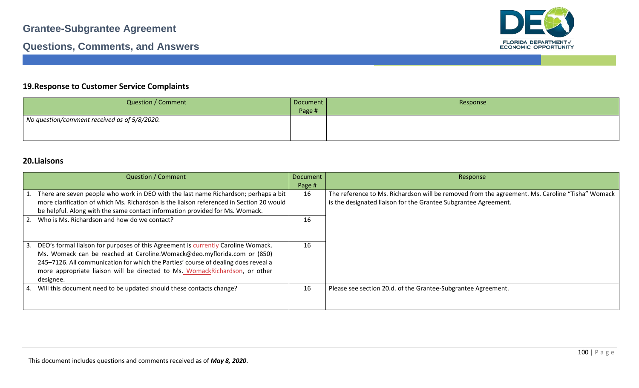

### **Questions, Comments, and Answers**

### **19.Response to Customer Service Complaints**

| <b>Question / Comment</b>                    | Document | Response |
|----------------------------------------------|----------|----------|
|                                              | Page #   |          |
| No question/comment received as of 5/8/2020. |          |          |
|                                              |          |          |
|                                              |          |          |

### **20.Liaisons**

| <b>Question / Comment</b>                                                                                                                                                                                                                                                                                                                         | <b>Document</b><br>Page # | Response                                                                                                                                                           |
|---------------------------------------------------------------------------------------------------------------------------------------------------------------------------------------------------------------------------------------------------------------------------------------------------------------------------------------------------|---------------------------|--------------------------------------------------------------------------------------------------------------------------------------------------------------------|
| 1. There are seven people who work in DEO with the last name Richardson; perhaps a bit<br>more clarification of which Ms. Richardson is the liaison referenced in Section 20 would<br>be helpful. Along with the same contact information provided for Ms. Womack.                                                                                | 16                        | The reference to Ms. Richardson will be removed from the agreement. Ms. Caroline "Tisha" Womack<br>is the designated liaison for the Grantee Subgrantee Agreement. |
| 2. Who is Ms. Richardson and how do we contact?                                                                                                                                                                                                                                                                                                   | 16                        |                                                                                                                                                                    |
| 3. DEO's formal liaison for purposes of this Agreement is currently Caroline Womack.<br>Ms. Womack can be reached at Caroline.Womack@deo.myflorida.com or (850)<br>245-7126. All communication for which the Parties' course of dealing does reveal a<br>more appropriate liaison will be directed to Ms. WomackRichardson, or other<br>designee. | 16                        |                                                                                                                                                                    |
| 4. Will this document need to be updated should these contacts change?                                                                                                                                                                                                                                                                            | 16                        | Please see section 20.d. of the Grantee-Subgrantee Agreement.                                                                                                      |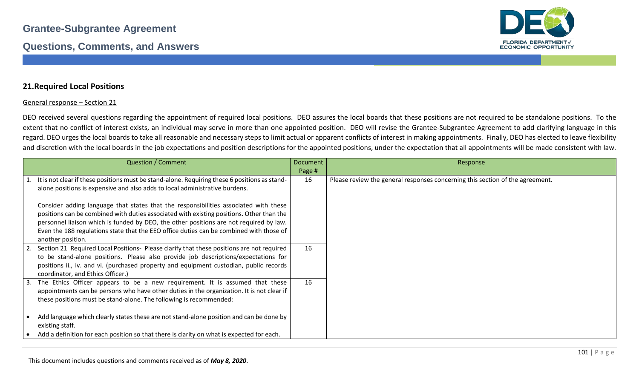

### **21.Required Local Positions**

#### General response – Section 21

DEO received several questions regarding the appointment of required local positions. DEO assures the local boards that these positions are not required to be standalone positions. To the extent that no conflict of interest exists, an individual may serve in more than one appointed position. DEO will revise the Grantee-Subgrantee Agreement to add clarifying language in this regard. DEO urges the local boards to take all reasonable and necessary steps to limit actual or apparent conflicts of interest in making appointments. Finally, DEO has elected to leave flexibility and discretion with the local boards in the job expectations and position descriptions for the appointed positions, under the expectation that all appointments will be made consistent with law.

| <b>Question / Comment</b>                                                                                                                                                       | <b>Document</b> | Response                                                                      |
|---------------------------------------------------------------------------------------------------------------------------------------------------------------------------------|-----------------|-------------------------------------------------------------------------------|
|                                                                                                                                                                                 | Page #          |                                                                               |
| 1. It is not clear if these positions must be stand-alone. Requiring these 6 positions as stand-<br>alone positions is expensive and also adds to local administrative burdens. | 16              | Please review the general responses concerning this section of the agreement. |
| Consider adding language that states that the responsibilities associated with these                                                                                            |                 |                                                                               |
| positions can be combined with duties associated with existing positions. Other than the                                                                                        |                 |                                                                               |
| personnel liaison which is funded by DEO, the other positions are not required by law.                                                                                          |                 |                                                                               |
| Even the 188 regulations state that the EEO office duties can be combined with those of                                                                                         |                 |                                                                               |
| another position.                                                                                                                                                               |                 |                                                                               |
| Section 21 Required Local Positions- Please clarify that these positions are not required                                                                                       | 16              |                                                                               |
| to be stand-alone positions. Please also provide job descriptions/expectations for                                                                                              |                 |                                                                               |
| positions ii., iv. and vi. (purchased property and equipment custodian, public records<br>coordinator, and Ethics Officer.)                                                     |                 |                                                                               |
| The Ethics Officer appears to be a new requirement. It is assumed that these<br>3.                                                                                              | 16              |                                                                               |
| appointments can be persons who have other duties in the organization. It is not clear if                                                                                       |                 |                                                                               |
| these positions must be stand-alone. The following is recommended:                                                                                                              |                 |                                                                               |
| Add language which clearly states these are not stand-alone position and can be done by<br>existing staff.                                                                      |                 |                                                                               |
| Add a definition for each position so that there is clarity on what is expected for each.                                                                                       |                 |                                                                               |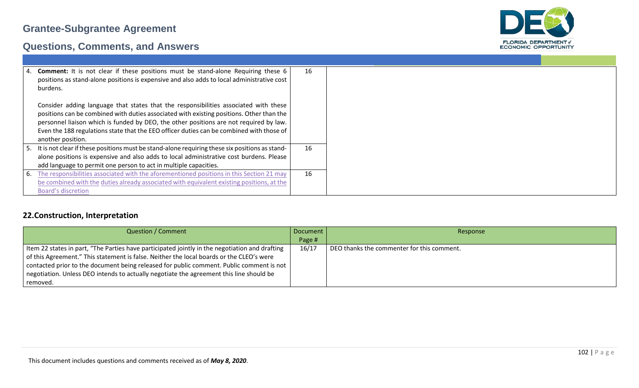

## **Questions, Comments, and Answers**

|    | 4. Comment: It is not clear if these positions must be stand-alone Requiring these 6              | 16 |
|----|---------------------------------------------------------------------------------------------------|----|
|    | positions as stand-alone positions is expensive and also adds to local administrative cost        |    |
|    | burdens.                                                                                          |    |
|    |                                                                                                   |    |
|    | Consider adding language that states that the responsibilities associated with these              |    |
|    | positions can be combined with duties associated with existing positions. Other than the          |    |
|    | personnel liaison which is funded by DEO, the other positions are not required by law.            |    |
|    | Even the 188 regulations state that the EEO officer duties can be combined with those of          |    |
|    | another position.                                                                                 |    |
|    | 5. It is not clear if these positions must be stand-alone requiring these six positions as stand- | 16 |
|    | alone positions is expensive and also adds to local administrative cost burdens. Please           |    |
|    | add language to permit one person to act in multiple capacities.                                  |    |
|    |                                                                                                   |    |
| b. | The responsibilities associated with the aforementioned positions in this Section 21 may          | 16 |
|    | be combined with the duties already associated with equivalent existing positions, at the         |    |
|    | Board's discretion                                                                                |    |

### **22.Construction, Interpretation**

| <b>Question / Comment</b>                                                                      | Document | Response                                   |
|------------------------------------------------------------------------------------------------|----------|--------------------------------------------|
|                                                                                                | Page #   |                                            |
| Item 22 states in part, "The Parties have participated jointly in the negotiation and drafting | 16/17    | DEO thanks the commenter for this comment. |
| of this Agreement." This statement is false. Neither the local boards or the CLEO's were       |          |                                            |
| contacted prior to the document being released for public comment. Public comment is not       |          |                                            |
| negotiation. Unless DEO intends to actually negotiate the agreement this line should be        |          |                                            |
| removed.                                                                                       |          |                                            |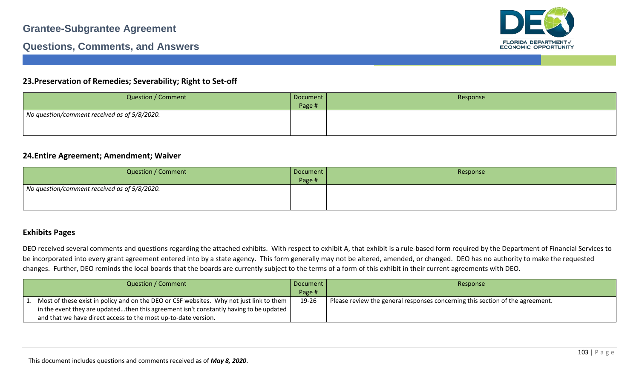

### **Questions, Comments, and Answers**

### **23.Preservation of Remedies; Severability; Right to Set-off**

| <b>Question / Comment</b>                    | Document  <br>Page # | Response |
|----------------------------------------------|----------------------|----------|
| No question/comment received as of 5/8/2020. |                      |          |

### **24.Entire Agreement; Amendment; Waiver**

| <b>Question / Comment</b>                    | Document<br>Page # | Response |
|----------------------------------------------|--------------------|----------|
| No question/comment received as of 5/8/2020. |                    |          |

### **Exhibits Pages**

DEO received several comments and questions regarding the attached exhibits. With respect to exhibit A, that exhibit is a rule-based form required by the Department of Financial Services to be incorporated into every grant agreement entered into by a state agency. This form generally may not be altered, amended, or changed. DEO has no authority to make the requested changes. Further, DEO reminds the local boards that the boards are currently subject to the terms of a form of this exhibit in their current agreements with DEO.

| Question / Comment                                                                                 | Document | Response                                                                      |
|----------------------------------------------------------------------------------------------------|----------|-------------------------------------------------------------------------------|
|                                                                                                    | Page #   |                                                                               |
| 1. Most of these exist in policy and on the DEO or CSF websites. Why not just link to them         | 19-26    | Please review the general responses concerning this section of the agreement. |
| in the event they are updatedthen this agreement isn't constantly having to be updated $\parallel$ |          |                                                                               |
| and that we have direct access to the most up-to-date version.                                     |          |                                                                               |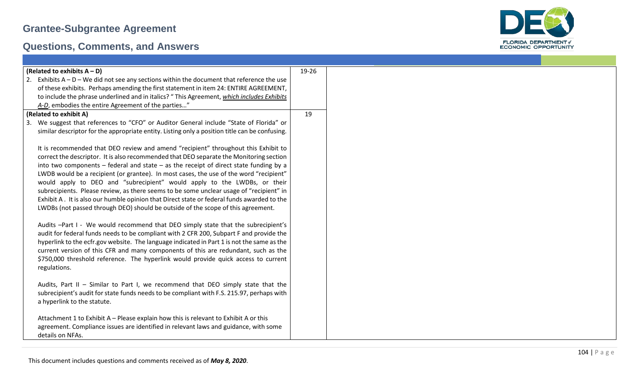

| (Related to exhibits $A - D$ )                                                                 | 19-26 |
|------------------------------------------------------------------------------------------------|-------|
| 2. Exhibits $A - D - We$ did not see any sections within the document that reference the use   |       |
| of these exhibits. Perhaps amending the first statement in item 24: ENTIRE AGREEMENT,          |       |
| to include the phrase underlined and in italics? "This Agreement, which includes Exhibits      |       |
| A-D, embodies the entire Agreement of the parties"                                             |       |
|                                                                                                |       |
| (Related to exhibit A)                                                                         | 19    |
| We suggest that references to "CFO" or Auditor General include "State of Florida" or<br>3.     |       |
| similar descriptor for the appropriate entity. Listing only a position title can be confusing. |       |
|                                                                                                |       |
| It is recommended that DEO review and amend "recipient" throughout this Exhibit to             |       |
| correct the descriptor. It is also recommended that DEO separate the Monitoring section        |       |
| into two components $-$ federal and state $-$ as the receipt of direct state funding by a      |       |
| LWDB would be a recipient (or grantee). In most cases, the use of the word "recipient"         |       |
| would apply to DEO and "subrecipient" would apply to the LWDBs, or their                       |       |
| subrecipients. Please review, as there seems to be some unclear usage of "recipient" in        |       |
|                                                                                                |       |
| Exhibit A. It is also our humble opinion that Direct state or federal funds awarded to the     |       |
| LWDBs (not passed through DEO) should be outside of the scope of this agreement.               |       |
|                                                                                                |       |
| Audits -Part I - We would recommend that DEO simply state that the subrecipient's              |       |
| audit for federal funds needs to be compliant with 2 CFR 200, Subpart F and provide the        |       |
| hyperlink to the ecfr.gov website. The language indicated in Part 1 is not the same as the     |       |
| current version of this CFR and many components of this are redundant, such as the             |       |
| \$750,000 threshold reference. The hyperlink would provide quick access to current             |       |
| regulations.                                                                                   |       |
|                                                                                                |       |
| Audits, Part II - Similar to Part I, we recommend that DEO simply state that the               |       |
| subrecipient's audit for state funds needs to be compliant with F.S. 215.97, perhaps with      |       |
|                                                                                                |       |
| a hyperlink to the statute.                                                                    |       |
|                                                                                                |       |
| Attachment 1 to Exhibit A - Please explain how this is relevant to Exhibit A or this           |       |
| agreement. Compliance issues are identified in relevant laws and guidance, with some           |       |
| details on NFAs.                                                                               |       |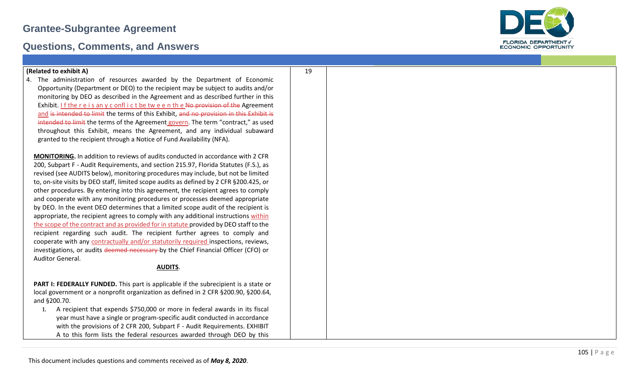### **Questions, Comments, and Answers**



4. The administration of resources awarded by the Department of Economic Opportunity (Department or DEO) to the recipient may be subject to audits and/or monitoring by DEO as described in the Agreement and as described further in this Exhibit. I f the r e i s an y c onfl i c t be tw e e n th e No provision of the Agreement and is intended to limit the terms of this Exhibit, and no provision in this Exhibit is intended to limit the terms of the Agreement govern. The term "contract," as used throughout this Exhibit, means the Agreement, and any individual subaward granted to the recipient through a Notice of Fund Availability (NFA).

19

**MONITORING.** In addition to reviews of audits conducted in accordance with 2 CFR 200, Subpart F - Audit Requirements, and section 215.97, Florida Statutes (F.S.), as revised (see AUDITS below), monitoring procedures may include, but not be limited to, on -site visits by DEO staff, limited scope audits as defined by 2 CFR §200.425, or other procedures. By entering into this agreement, the recipient agrees to comply and cooperate with any monitoring procedures or processes deemed appropriate by DEO. In the event DEO determines that a limited scope audit of the recipient is appropriate, the recipient agrees to comply with any additional instructions within the scope of the contract and as provided for in statute provided by DEO staff to the recipient regarding such audit. The recipient further agrees to comply and cooperate with any contractually and/or statutorily required inspections, reviews, investigations, or audits deemed necessary by the Chief Financial Officer (CFO) or Auditor General.

#### **AUDITS** .

**PART I: FEDERALLY FUNDED.** This part is applicable if the subrecipient is a state or local government or a nonprofit organization as defined in 2 CFR §200.90, §200.64, and §200.70.

**1.** A recipient that expends \$750,000 or more in federal awards in its fiscal year must have a single or program -specific audit conducted in accordance with the provisions of 2 CFR 200, Subpart F - Audit Requirements. EXHIBIT A to this form lists the federal resources awarded through DEO by this

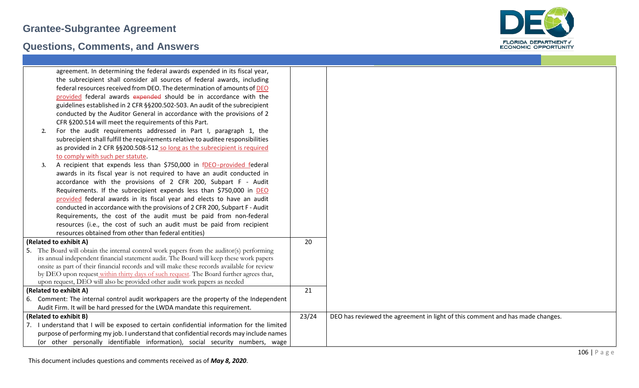

|                        | agreement. In determining the federal awards expended in its fiscal year,                  |       |                                                                               |  |
|------------------------|--------------------------------------------------------------------------------------------|-------|-------------------------------------------------------------------------------|--|
|                        | the subrecipient shall consider all sources of federal awards, including                   |       |                                                                               |  |
|                        | federal resources received from DEO. The determination of amounts of DEO                   |       |                                                                               |  |
|                        | provided federal awards expended should be in accordance with the                          |       |                                                                               |  |
|                        | guidelines established in 2 CFR §§200.502-503. An audit of the subrecipient                |       |                                                                               |  |
|                        | conducted by the Auditor General in accordance with the provisions of 2                    |       |                                                                               |  |
|                        | CFR §200.514 will meet the requirements of this Part.                                      |       |                                                                               |  |
| 2.                     | For the audit requirements addressed in Part I, paragraph 1, the                           |       |                                                                               |  |
|                        | subrecipient shall fulfill the requirements relative to auditee responsibilities           |       |                                                                               |  |
|                        | as provided in 2 CFR §§200.508-512 so long as the subrecipient is required                 |       |                                                                               |  |
|                        | to comply with such per statute.                                                           |       |                                                                               |  |
| 3.                     | A recipient that expends less than \$750,000 in fDEO-provided federal                      |       |                                                                               |  |
|                        | awards in its fiscal year is not required to have an audit conducted in                    |       |                                                                               |  |
|                        | accordance with the provisions of 2 CFR 200, Subpart F - Audit                             |       |                                                                               |  |
|                        | Requirements. If the subrecipient expends less than \$750,000 in DEO                       |       |                                                                               |  |
|                        | provided federal awards in its fiscal year and elects to have an audit                     |       |                                                                               |  |
|                        | conducted in accordance with the provisions of 2 CFR 200, Subpart F - Audit                |       |                                                                               |  |
|                        | Requirements, the cost of the audit must be paid from non-federal                          |       |                                                                               |  |
|                        | resources (i.e., the cost of such an audit must be paid from recipient                     |       |                                                                               |  |
|                        | resources obtained from other than federal entities)                                       |       |                                                                               |  |
| (Related to exhibit A) |                                                                                            | 20    |                                                                               |  |
|                        | 5. The Board will obtain the internal control work papers from the auditor(s) performing   |       |                                                                               |  |
|                        | its annual independent financial statement audit. The Board will keep these work papers    |       |                                                                               |  |
|                        | onsite as part of their financial records and will make these records available for review |       |                                                                               |  |
|                        | by DEO upon request within thirty days of such request. The Board further agrees that,     |       |                                                                               |  |
|                        | upon request, DEO will also be provided other audit work papers as needed                  |       |                                                                               |  |
| (Related to exhibit A) |                                                                                            | 21    |                                                                               |  |
|                        | 6. Comment: The internal control audit workpapers are the property of the Independent      |       |                                                                               |  |
|                        | Audit Firm. It will be hard pressed for the LWDA mandate this requirement.                 |       |                                                                               |  |
| (Related to exhibit B) |                                                                                            | 23/24 | DEO has reviewed the agreement in light of this comment and has made changes. |  |
|                        | 7. I understand that I will be exposed to certain confidential information for the limited |       |                                                                               |  |
|                        | purpose of performing my job. I understand that confidential records may include names     |       |                                                                               |  |
|                        | (or other personally identifiable information), social security numbers, wage              |       |                                                                               |  |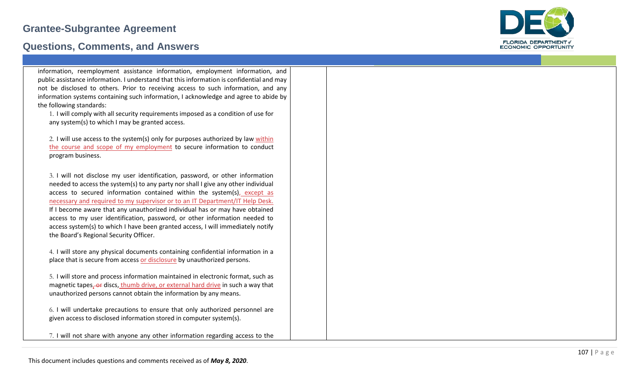### **Questions, Comments, and Answers**



information, reemployment assistance information, employment information, and public assistance information. I understand that this information is confidential and may not be disclosed to others. Prior to receiving access to such information, and any information systems containing such information, I acknowledge and agree to abide by the following standards:

1. I will comply with all security requirements imposed as a condition of use for any system(s) to which I may be granted access.

2. I will use access to the system(s) only for purposes authorized by law within the course and scope of my employment to secure information to conduct program business.

3. I will not disclose my user identification, password, or other information needed to access the system(s) to any party nor shall I give any other individual access to secured information contained within the system(s), except as necessary and required to my supervisor or to an IT Department/IT Help Desk. If I become aware that any unauthorized individual has or may have obtained access to my user identification, password, or other information needed to access system(s) to which I have been granted access, I will immediately notify the Board's Regional Security Officer.

4. I will store any physical documents containing confidential information in a place that is secure from access or disclosure by unauthorized persons.

5. I will store and process information maintained in electronic format, such as magnetic tapes, or discs, thumb drive, or external hard drive in such a way that unauthorized persons cannot obtain the information by any means.

6. I will undertake precautions to ensure that only authorized personnel are given access to disclosed information stored in computer system(s).

7. I will not share with anyone any other information regarding access to the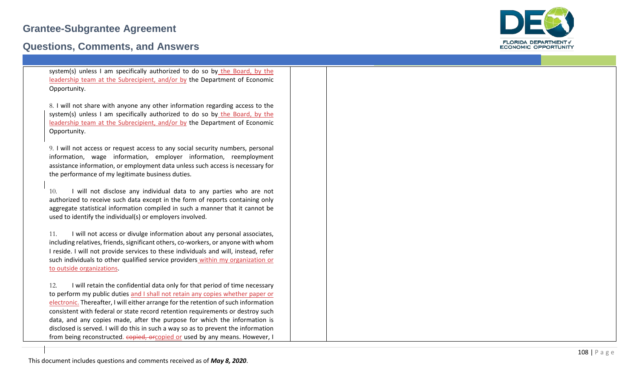### **Questions, Comments, and Answers**



| system(s) unless I am specifically authorized to do so by the Board, by the |
|-----------------------------------------------------------------------------|
| leadership team at the Subrecipient, and/or by the Department of Economic   |
| Opportunity.                                                                |

8. I will not share with anyone any other information regarding access to the system(s) unless I am specifically authorized to do so by the Board, by the leadership team at the Subrecipient, and/or by the Department of Economic Opportunity.

9. I will not access or request access to any social security numbers, personal information, wage information, employer information, reemployment assistance information, or employment data unless such access is necessary for the performance of my legitimate business duties.

10. I will not disclose any individual data to any parties who are not authorized to receive such data except in the form of reports containing only aggregate statistical information compiled in such a manner that it cannot be used to identify the individual(s) or employers involved.

11. I will not access or divulge information about any personal associates, including relatives, friends, significant others, co -workers, or anyone with whom I reside. I will not provide services to these individuals and will, instead, refer such individuals to other qualified service providers within my organization or to outside organizations .

12. I will retain the confidential data only for that period of time necessary to perform my public duties and I shall not retain any copies whether paper or electronic. Thereafter, I will either arrange for the retention of such information consistent with federal or state record retention requirements or destroy such data, and any copies made, after the purpose for which the information is disclosed is served. I will do this in such a way so as to prevent the information from being reconstructed. copied, orcopied or used by any means. However, I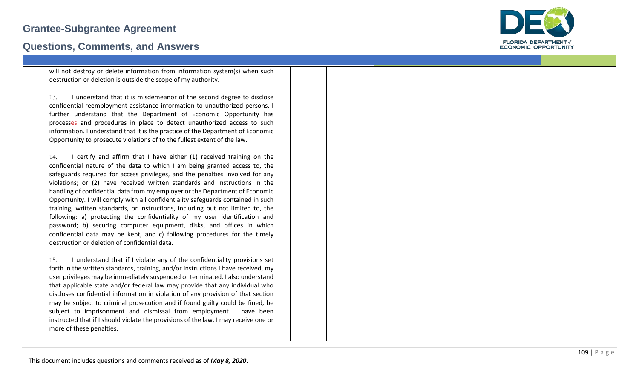## **Grantee -Subgrantee Agreement**

## **Questions, Comments, and Answers**

will not destroy or delete information from information system(s) when such destruction or deletion is outside the scope of my authority.

13. I understand that it is misdemeanor of the second degree to disclose confidential reemployment assistance information to unauthorized persons. I further understand that the Department of Economic Opportunity has processes and procedures in place to detect unauthorized access to such information. I understand that it is the practice of the Department of Economic Opportunity to prosecute violations of to the fullest extent of the law.

14. I certify and affirm that I have either (1) received training on the confidential nature of the data to which I am being granted access to, the safeguards required for access privileges, and the penalties involved for any violations; or (2) have received written standards and instructions in the handling of confidential data from my employer or the Department of Economic Opportunity. I will comply with all confidentiality safeguards contained in such training, written standards, or instructions, including but not limited to, the following: a) protecting the confidentiality of my user identification and password; b) securing computer equipment, disks, and offices in which confidential data may be kept; and c) following procedures for the timely destruction or deletion of confidential data.

15. I understand that if I violate any of the confidentiality provisions set forth in the written standards, training, and/or instructions I have received, my user privileges may be immediately suspended or terminated. I also understand that applicable state and/or federal law may provide that any individual who discloses confidential information in violation of any provision of that section may be subject to criminal prosecution and if found guilty could be fined, be subject to imprisonment and dismissal from employment. I have been instructed that if I should violate the provisions of the law, I may receive one or more of these penalties.